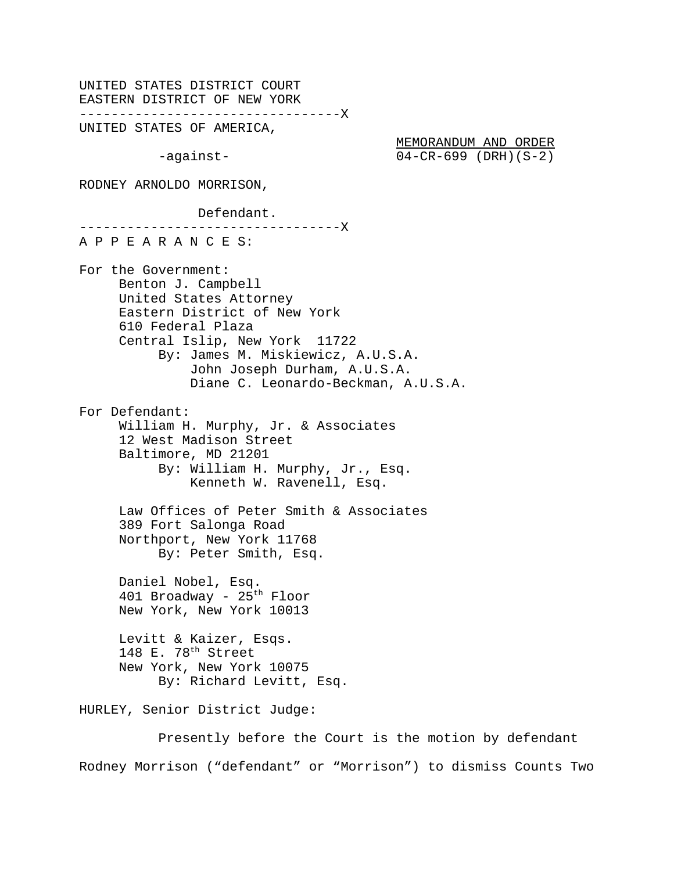UNITED STATES DISTRICT COURT EASTERN DISTRICT OF NEW YORK ---------------------------------X UNITED STATES OF AMERICA,

-against-

|           | MEMORANDUM AND ORDER    |  |
|-----------|-------------------------|--|
| -aqainst- | $04-CR-699$ (DRH) (S-2) |  |

RODNEY ARNOLDO MORRISON,

Defendant.

---------------------------------X A P P E A R A N C E S: For the Government: Benton J. Campbell United States Attorney Eastern District of New York 610 Federal Plaza Central Islip, New York 11722 By: James M. Miskiewicz, A.U.S.A. John Joseph Durham, A.U.S.A. Diane C. Leonardo-Beckman, A.U.S.A. For Defendant: William H. Murphy, Jr. & Associates 12 West Madison Street Baltimore, MD 21201 By: William H. Murphy, Jr., Esq. Kenneth W. Ravenell, Esq. Law Offices of Peter Smith & Associates 389 Fort Salonga Road Northport, New York 11768 By: Peter Smith, Esq. Daniel Nobel, Esq. 401 Broadway - 25<sup>th</sup> Floor New York, New York 10013 Levitt & Kaizer, Esqs. 148 E. 78<sup>th</sup> Street New York, New York 10075 By: Richard Levitt, Esq. HURLEY, Senior District Judge: Presently before the Court is the motion by defendant

Rodney Morrison ("defendant" or "Morrison") to dismiss Counts Two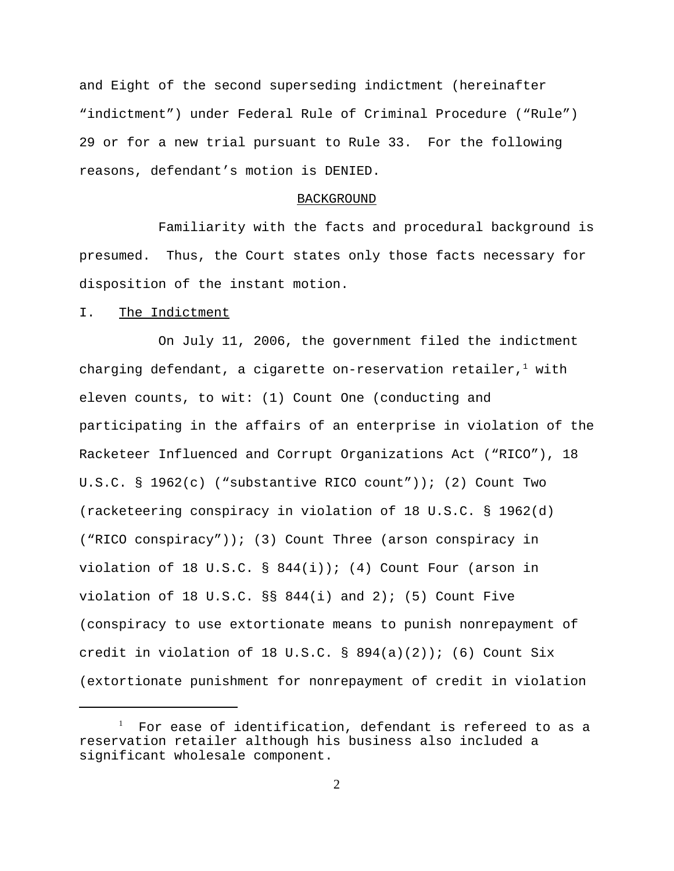and Eight of the second superseding indictment (hereinafter "indictment") under Federal Rule of Criminal Procedure ("Rule") 29 or for a new trial pursuant to Rule 33. For the following reasons, defendant's motion is DENIED.

#### BACKGROUND

Familiarity with the facts and procedural background is presumed. Thus, the Court states only those facts necessary for disposition of the instant motion.

### I. The Indictment

On July 11, 2006, the government filed the indictment charging defendant, a cigarette on-reservation retailer, $^1$  with eleven counts, to wit: (1) Count One (conducting and participating in the affairs of an enterprise in violation of the Racketeer Influenced and Corrupt Organizations Act ("RICO"), 18 U.S.C. § 1962(c) ("substantive RICO count")); (2) Count Two (racketeering conspiracy in violation of 18 U.S.C. § 1962(d) ("RICO conspiracy")); (3) Count Three (arson conspiracy in violation of 18 U.S.C.  $\S$  844(i)); (4) Count Four (arson in violation of 18 U.S.C.  $\S$ § 844(i) and 2); (5) Count Five (conspiracy to use extortionate means to punish nonrepayment of credit in violation of 18 U.S.C. §  $894(a)(2)$ ); (6) Count Six (extortionate punishment for nonrepayment of credit in violation

<sup>1</sup> For ease of identification, defendant is refereed to as a reservation retailer although his business also included a significant wholesale component.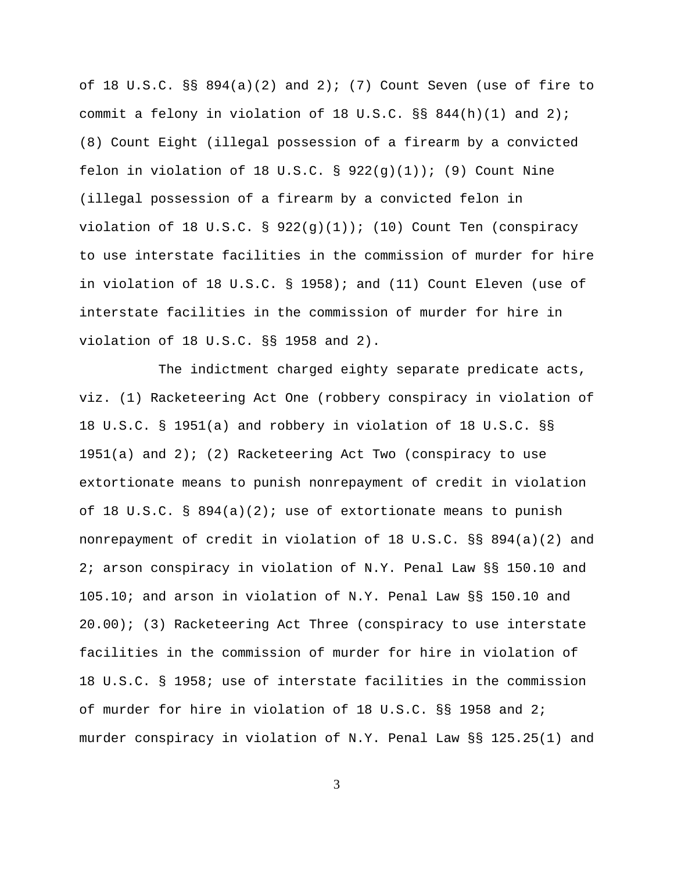of 18 U.S.C.  $\S$ § 894(a)(2) and 2); (7) Count Seven (use of fire to commit a felony in violation of 18 U.S.C.  $\S$ § 844(h)(1) and 2); (8) Count Eight (illegal possession of a firearm by a convicted felon in violation of 18 U.S.C. §  $922(q)(1)$ ; (9) Count Nine (illegal possession of a firearm by a convicted felon in violation of 18 U.S.C. §  $922(g)(1))$ ; (10) Count Ten (conspiracy to use interstate facilities in the commission of murder for hire in violation of 18 U.S.C. § 1958); and (11) Count Eleven (use of interstate facilities in the commission of murder for hire in violation of 18 U.S.C. §§ 1958 and 2).

The indictment charged eighty separate predicate acts, viz. (1) Racketeering Act One (robbery conspiracy in violation of 18 U.S.C. § 1951(a) and robbery in violation of 18 U.S.C. §§  $1951(a)$  and  $2)$ ; (2) Racketeering Act Two (conspiracy to use extortionate means to punish nonrepayment of credit in violation of 18 U.S.C. § 894(a)(2); use of extortionate means to punish nonrepayment of credit in violation of 18 U.S.C. §§ 894(a)(2) and 2; arson conspiracy in violation of N.Y. Penal Law §§ 150.10 and 105.10; and arson in violation of N.Y. Penal Law §§ 150.10 and 20.00); (3) Racketeering Act Three (conspiracy to use interstate facilities in the commission of murder for hire in violation of 18 U.S.C. § 1958; use of interstate facilities in the commission of murder for hire in violation of 18 U.S.C. §§ 1958 and 2; murder conspiracy in violation of N.Y. Penal Law §§ 125.25(1) and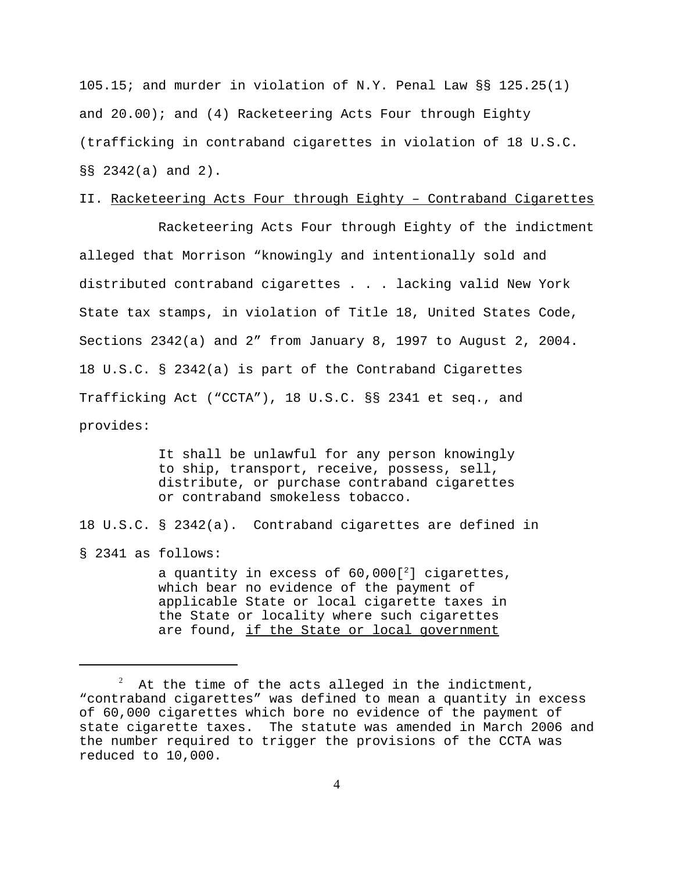105.15; and murder in violation of N.Y. Penal Law §§ 125.25(1) and 20.00); and (4) Racketeering Acts Four through Eighty (trafficking in contraband cigarettes in violation of 18 U.S.C. §§ 2342(a) and 2).

## II. Racketeering Acts Four through Eighty – Contraband Cigarettes

Racketeering Acts Four through Eighty of the indictment alleged that Morrison "knowingly and intentionally sold and distributed contraband cigarettes . . . lacking valid New York State tax stamps, in violation of Title 18, United States Code, Sections 2342(a) and 2" from January 8, 1997 to August 2, 2004. 18 U.S.C. § 2342(a) is part of the Contraband Cigarettes Trafficking Act ("CCTA"), 18 U.S.C. §§ 2341 et seq., and provides:

> It shall be unlawful for any person knowingly to ship, transport, receive, possess, sell, distribute, or purchase contraband cigarettes or contraband smokeless tobacco.

18 U.S.C. § 2342(a). Contraband cigarettes are defined in

§ 2341 as follows:

a quantity in excess of  $60,000[^2]$  cigarettes, which bear no evidence of the payment of applicable State or local cigarette taxes in the State or locality where such cigarettes are found, if the State or local government

<sup>2</sup> At the time of the acts alleged in the indictment, "contraband cigarettes" was defined to mean a quantity in excess of 60,000 cigarettes which bore no evidence of the payment of state cigarette taxes. The statute was amended in March 2006 and the number required to trigger the provisions of the CCTA was reduced to 10,000.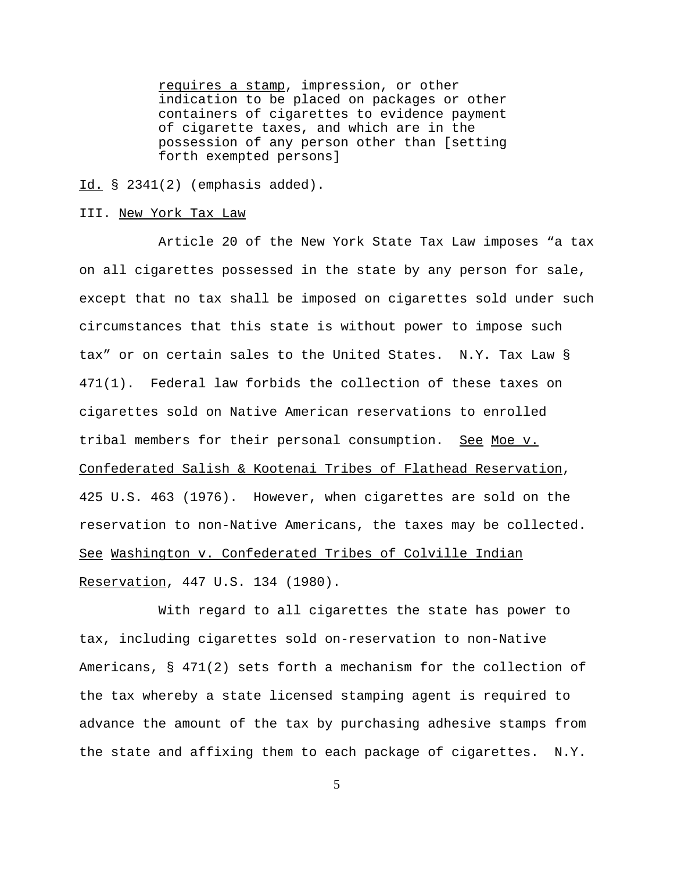requires a stamp, impression, or other indication to be placed on packages or other containers of cigarettes to evidence payment of cigarette taxes, and which are in the possession of any person other than [setting forth exempted persons]

 $Id. \S$  2341(2) (emphasis added).

#### III. New York Tax Law

Article 20 of the New York State Tax Law imposes "a tax on all cigarettes possessed in the state by any person for sale, except that no tax shall be imposed on cigarettes sold under such circumstances that this state is without power to impose such tax" or on certain sales to the United States. N.Y. Tax Law § 471(1). Federal law forbids the collection of these taxes on cigarettes sold on Native American reservations to enrolled tribal members for their personal consumption. See Moe v. Confederated Salish & Kootenai Tribes of Flathead Reservation, 425 U.S. 463 (1976). However, when cigarettes are sold on the reservation to non-Native Americans, the taxes may be collected. See Washington v. Confederated Tribes of Colville Indian Reservation, 447 U.S. 134 (1980).

With regard to all cigarettes the state has power to tax, including cigarettes sold on-reservation to non-Native Americans, § 471(2) sets forth a mechanism for the collection of the tax whereby a state licensed stamping agent is required to advance the amount of the tax by purchasing adhesive stamps from the state and affixing them to each package of cigarettes. N.Y.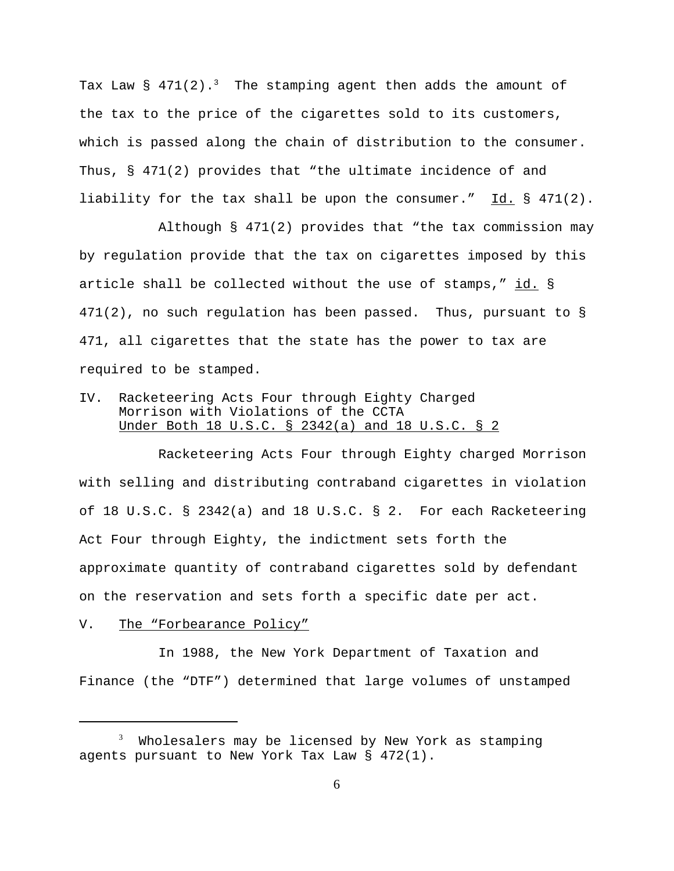Tax Law  $\S$  471(2).<sup>3</sup> The stamping agent then adds the amount of the tax to the price of the cigarettes sold to its customers, which is passed along the chain of distribution to the consumer. Thus, § 471(2) provides that "the ultimate incidence of and liability for the tax shall be upon the consumer." Id. § 471(2).

Although § 471(2) provides that "the tax commission may by regulation provide that the tax on cigarettes imposed by this article shall be collected without the use of stamps," id. § 471(2), no such regulation has been passed. Thus, pursuant to § 471, all cigarettes that the state has the power to tax are required to be stamped.

IV. Racketeering Acts Four through Eighty Charged Morrison with Violations of the CCTA Under Both 18 U.S.C. § 2342(a) and 18 U.S.C. § 2

Racketeering Acts Four through Eighty charged Morrison with selling and distributing contraband cigarettes in violation of 18 U.S.C. § 2342(a) and 18 U.S.C. § 2. For each Racketeering Act Four through Eighty, the indictment sets forth the approximate quantity of contraband cigarettes sold by defendant on the reservation and sets forth a specific date per act.

V. The "Forbearance Policy"

In 1988, the New York Department of Taxation and Finance (the "DTF") determined that large volumes of unstamped

<sup>3</sup> Wholesalers may be licensed by New York as stamping agents pursuant to New York Tax Law § 472(1).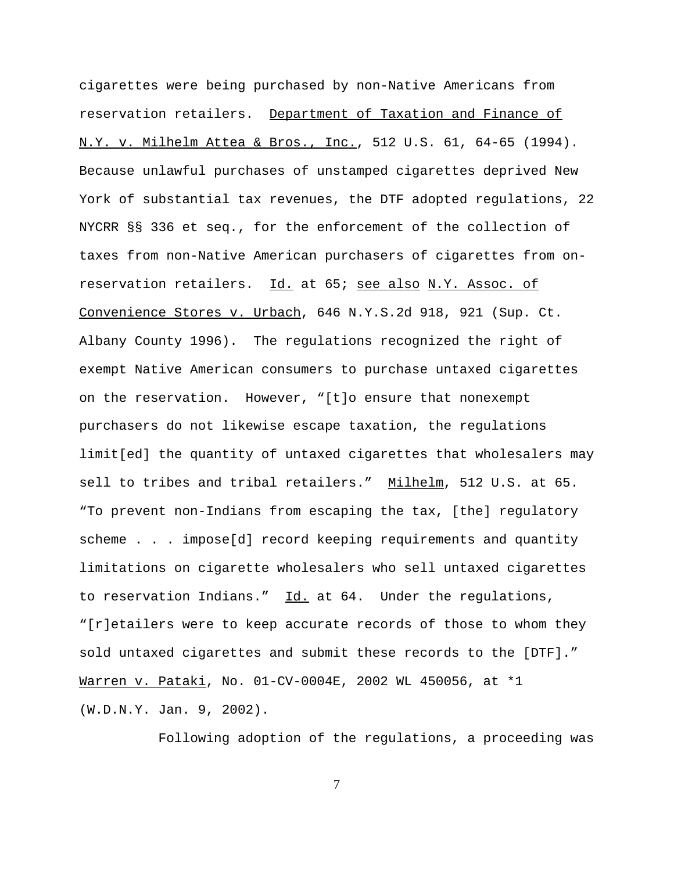cigarettes were being purchased by non-Native Americans from reservation retailers. Department of Taxation and Finance of N.Y. v. Milhelm Attea & Bros., Inc., 512 U.S. 61, 64-65 (1994). Because unlawful purchases of unstamped cigarettes deprived New York of substantial tax revenues, the DTF adopted regulations, 22 NYCRR §§ 336 et seq., for the enforcement of the collection of taxes from non-Native American purchasers of cigarettes from onreservation retailers. Id. at 65; see also N.Y. Assoc. of Convenience Stores v. Urbach, 646 N.Y.S.2d 918, 921 (Sup. Ct. Albany County 1996). The regulations recognized the right of exempt Native American consumers to purchase untaxed cigarettes on the reservation. However, "[t]o ensure that nonexempt purchasers do not likewise escape taxation, the regulations limit[ed] the quantity of untaxed cigarettes that wholesalers may sell to tribes and tribal retailers." Milhelm, 512 U.S. at 65. "To prevent non-Indians from escaping the tax, [the] regulatory scheme . . . impose[d] record keeping requirements and quantity limitations on cigarette wholesalers who sell untaxed cigarettes to reservation Indians."  $Id.$  at 64. Under the regulations, "[r]etailers were to keep accurate records of those to whom they sold untaxed cigarettes and submit these records to the [DTF]." Warren v. Pataki, No. 01-CV-0004E, 2002 WL 450056, at \*1 (W.D.N.Y. Jan. 9, 2002).

Following adoption of the regulations, a proceeding was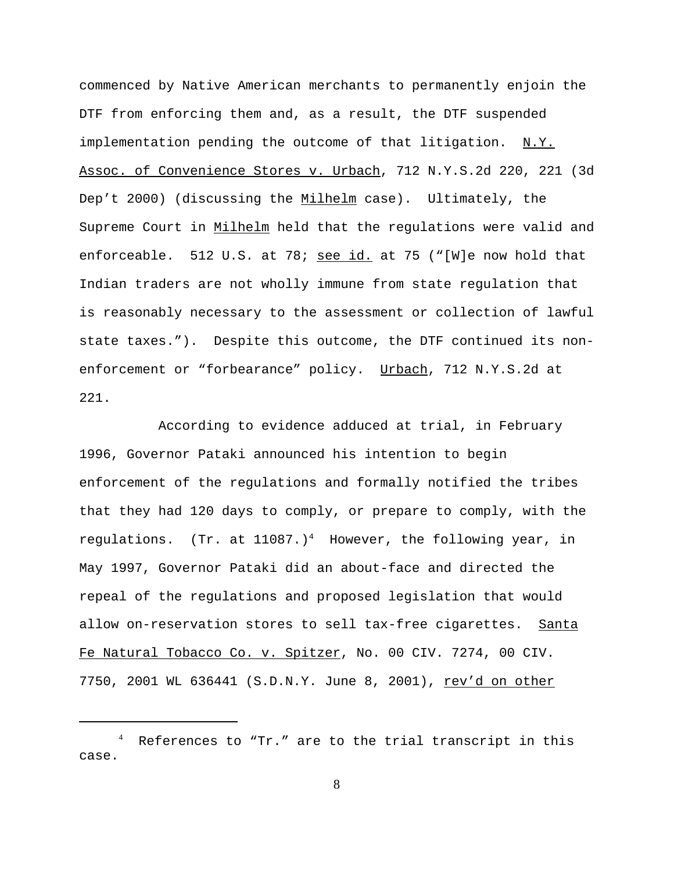commenced by Native American merchants to permanently enjoin the DTF from enforcing them and, as a result, the DTF suspended implementation pending the outcome of that litigation. N.Y. Assoc. of Convenience Stores v. Urbach, 712 N.Y.S.2d 220, 221 (3d Dep't 2000) (discussing the Milhelm case). Ultimately, the Supreme Court in Milhelm held that the regulations were valid and enforceable. 512 U.S. at 78; see id. at 75 ("[W]e now hold that Indian traders are not wholly immune from state regulation that is reasonably necessary to the assessment or collection of lawful state taxes."). Despite this outcome, the DTF continued its nonenforcement or "forbearance" policy. Urbach, 712 N.Y.S.2d at 221.

According to evidence adduced at trial, in February 1996, Governor Pataki announced his intention to begin enforcement of the regulations and formally notified the tribes that they had 120 days to comply, or prepare to comply, with the regulations. (Tr. at  $11087.$ )<sup>4</sup> However, the following year, in May 1997, Governor Pataki did an about-face and directed the repeal of the regulations and proposed legislation that would allow on-reservation stores to sell tax-free cigarettes. Santa Fe Natural Tobacco Co. v. Spitzer, No. 00 CIV. 7274, 00 CIV. 7750, 2001 WL 636441 (S.D.N.Y. June 8, 2001), rev'd on other

<sup>&</sup>lt;sup>4</sup> References to "Tr." are to the trial transcript in this case.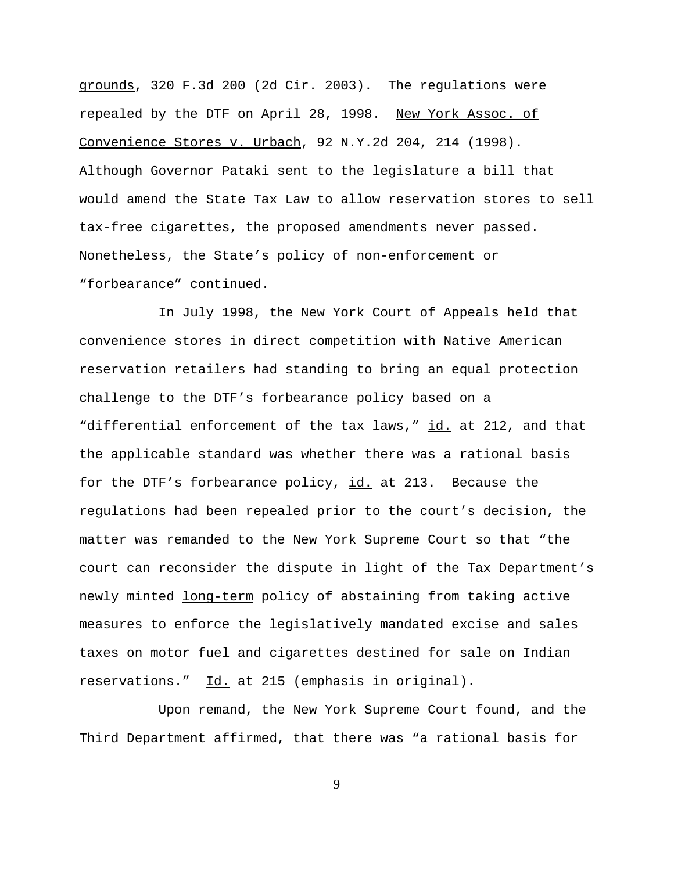grounds, 320 F.3d 200 (2d Cir. 2003). The regulations were repealed by the DTF on April 28, 1998. New York Assoc. of Convenience Stores v. Urbach, 92 N.Y.2d 204, 214 (1998). Although Governor Pataki sent to the legislature a bill that would amend the State Tax Law to allow reservation stores to sell tax-free cigarettes, the proposed amendments never passed. Nonetheless, the State's policy of non-enforcement or "forbearance" continued.

In July 1998, the New York Court of Appeals held that convenience stores in direct competition with Native American reservation retailers had standing to bring an equal protection challenge to the DTF's forbearance policy based on a "differential enforcement of the tax laws," id. at 212, and that the applicable standard was whether there was a rational basis for the DTF's forbearance policy, id. at 213. Because the regulations had been repealed prior to the court's decision, the matter was remanded to the New York Supreme Court so that "the court can reconsider the dispute in light of the Tax Department's newly minted long-term policy of abstaining from taking active measures to enforce the legislatively mandated excise and sales taxes on motor fuel and cigarettes destined for sale on Indian reservations." Id. at 215 (emphasis in original).

Upon remand, the New York Supreme Court found, and the Third Department affirmed, that there was "a rational basis for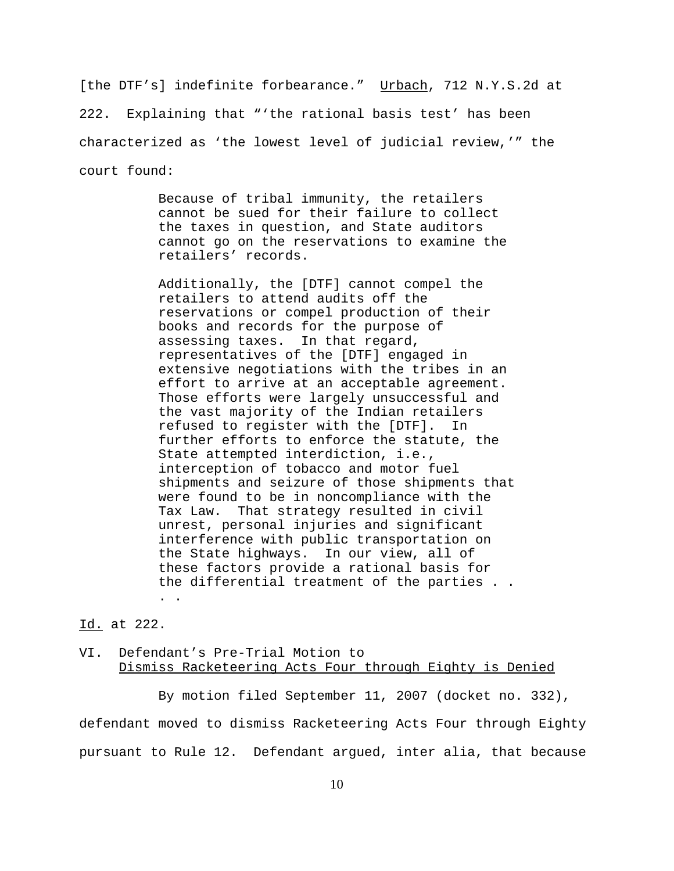[the DTF's] indefinite forbearance." Urbach, 712 N.Y.S.2d at 222. Explaining that "'the rational basis test' has been characterized as 'the lowest level of judicial review,'" the court found:

> Because of tribal immunity, the retailers cannot be sued for their failure to collect the taxes in question, and State auditors cannot go on the reservations to examine the retailers' records.

Additionally, the [DTF] cannot compel the retailers to attend audits off the reservations or compel production of their books and records for the purpose of assessing taxes. In that regard, representatives of the [DTF] engaged in extensive negotiations with the tribes in an effort to arrive at an acceptable agreement. Those efforts were largely unsuccessful and the vast majority of the Indian retailers refused to register with the [DTF]. In further efforts to enforce the statute, the State attempted interdiction, i.e., interception of tobacco and motor fuel shipments and seizure of those shipments that were found to be in noncompliance with the Tax Law. That strategy resulted in civil unrest, personal injuries and significant interference with public transportation on the State highways. In our view, all of these factors provide a rational basis for the differential treatment of the parties . . . .

### Id. at 222.

### VI. Defendant's Pre-Trial Motion to Dismiss Racketeering Acts Four through Eighty is Denied

By motion filed September 11, 2007 (docket no. 332), defendant moved to dismiss Racketeering Acts Four through Eighty pursuant to Rule 12. Defendant argued, inter alia, that because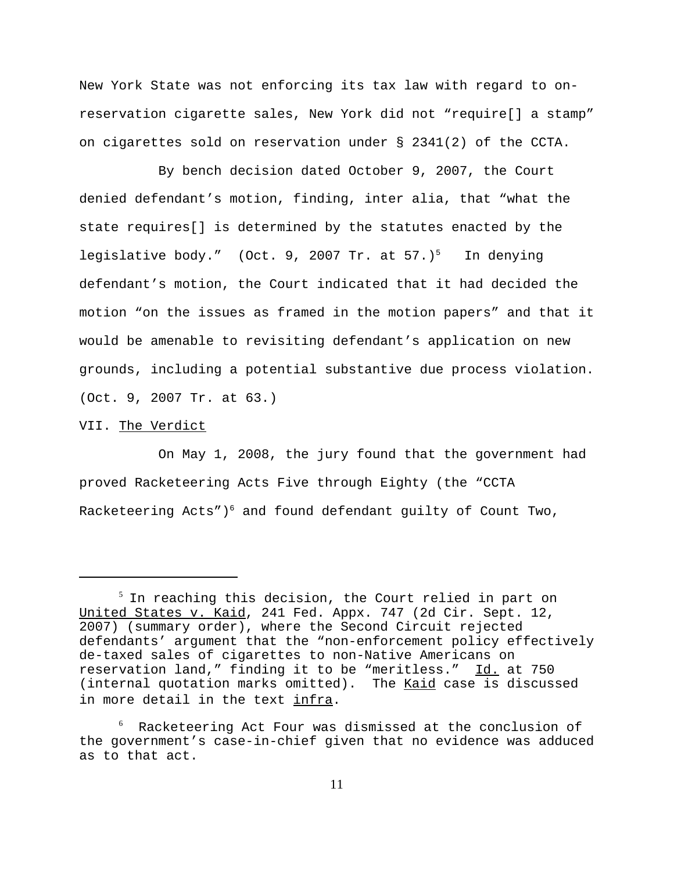New York State was not enforcing its tax law with regard to onreservation cigarette sales, New York did not "require[] a stamp" on cigarettes sold on reservation under § 2341(2) of the CCTA.

By bench decision dated October 9, 2007, the Court denied defendant's motion, finding, inter alia, that "what the state requires[] is determined by the statutes enacted by the legislative body." (Oct. 9, 2007 Tr. at 57.)<sup>5</sup> In denying defendant's motion, the Court indicated that it had decided the motion "on the issues as framed in the motion papers" and that it would be amenable to revisiting defendant's application on new grounds, including a potential substantive due process violation. (Oct. 9, 2007 Tr. at 63.)

### VII. The Verdict

On May 1, 2008, the jury found that the government had proved Racketeering Acts Five through Eighty (the "CCTA Racketeering Acts") $^6$  and found defendant guilty of Count Two,

 $^5$  In reaching this decision, the Court relied in part on United States v. Kaid, 241 Fed. Appx. 747 (2d Cir. Sept. 12, 2007) (summary order), where the Second Circuit rejected defendants' argument that the "non-enforcement policy effectively de-taxed sales of cigarettes to non-Native Americans on reservation land," finding it to be "meritless." Id. at 750 (internal quotation marks omitted). The Kaid case is discussed in more detail in the text infra.

 $^6$  Racketeering Act Four was dismissed at the conclusion of the government's case-in-chief given that no evidence was adduced as to that act.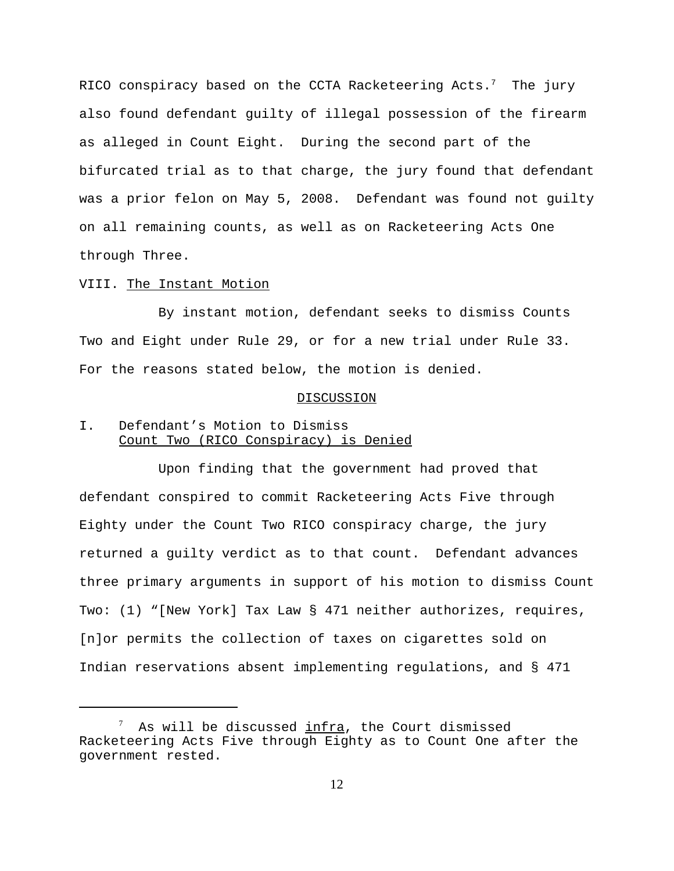RICO conspiracy based on the CCTA Racketeering Acts.<sup>7</sup> The jury also found defendant guilty of illegal possession of the firearm as alleged in Count Eight. During the second part of the bifurcated trial as to that charge, the jury found that defendant was a prior felon on May 5, 2008. Defendant was found not guilty on all remaining counts, as well as on Racketeering Acts One through Three.

#### VIII. The Instant Motion

By instant motion, defendant seeks to dismiss Counts Two and Eight under Rule 29, or for a new trial under Rule 33. For the reasons stated below, the motion is denied.

### **DISCUSSION**

## I. Defendant's Motion to Dismiss Count Two (RICO Conspiracy) is Denied

Upon finding that the government had proved that defendant conspired to commit Racketeering Acts Five through Eighty under the Count Two RICO conspiracy charge, the jury returned a guilty verdict as to that count. Defendant advances three primary arguments in support of his motion to dismiss Count Two: (1) "[New York] Tax Law § 471 neither authorizes, requires, [n]or permits the collection of taxes on cigarettes sold on Indian reservations absent implementing regulations, and § 471

<sup>7</sup> As will be discussed infra, the Court dismissed Racketeering Acts Five through Eighty as to Count One after the government rested.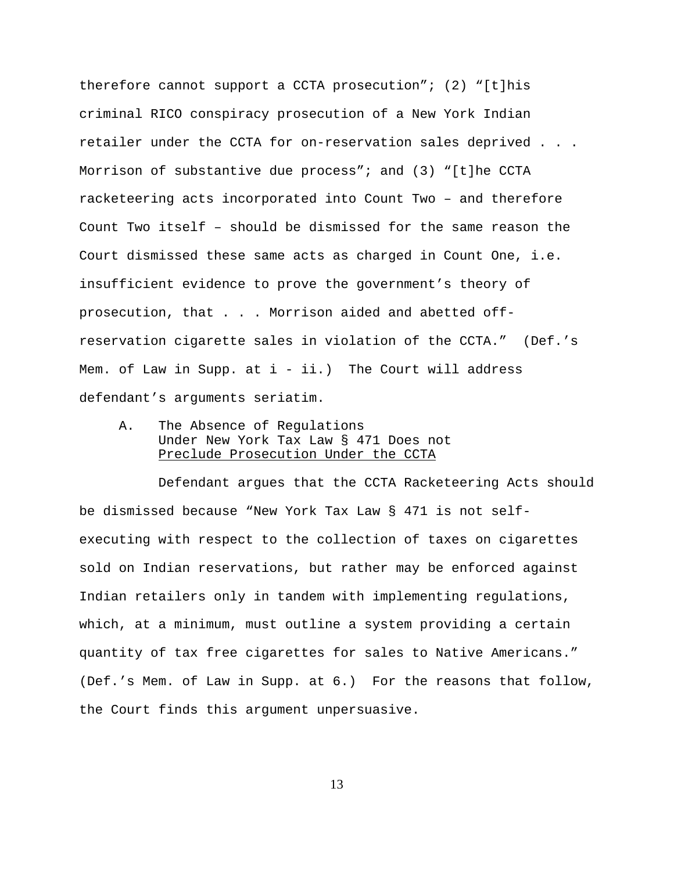therefore cannot support a CCTA prosecution"; (2) "[t]his criminal RICO conspiracy prosecution of a New York Indian retailer under the CCTA for on-reservation sales deprived . . . Morrison of substantive due process"; and (3) "[t]he CCTA racketeering acts incorporated into Count Two – and therefore Count Two itself – should be dismissed for the same reason the Court dismissed these same acts as charged in Count One, i.e. insufficient evidence to prove the government's theory of prosecution, that . . . Morrison aided and abetted offreservation cigarette sales in violation of the CCTA." (Def.'s Mem. of Law in Supp. at  $i - ii$ . The Court will address defendant's arguments seriatim.

A. The Absence of Regulations Under New York Tax Law § 471 Does not Preclude Prosecution Under the CCTA

Defendant argues that the CCTA Racketeering Acts should be dismissed because "New York Tax Law § 471 is not selfexecuting with respect to the collection of taxes on cigarettes sold on Indian reservations, but rather may be enforced against Indian retailers only in tandem with implementing regulations, which, at a minimum, must outline a system providing a certain quantity of tax free cigarettes for sales to Native Americans." (Def.'s Mem. of Law in Supp. at 6.) For the reasons that follow, the Court finds this argument unpersuasive.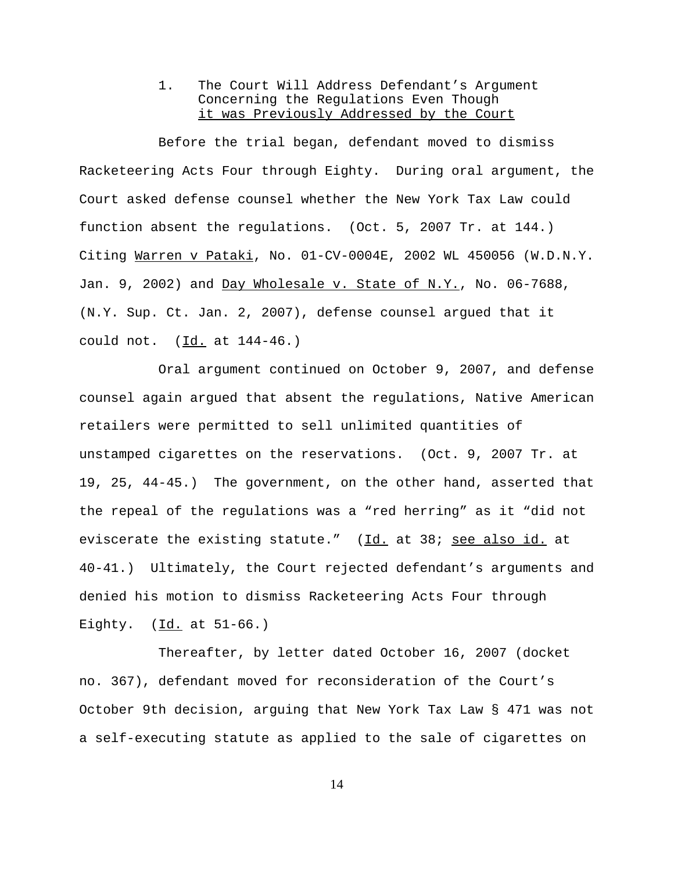## 1. The Court Will Address Defendant's Argument Concerning the Regulations Even Though it was Previously Addressed by the Court

Before the trial began, defendant moved to dismiss Racketeering Acts Four through Eighty. During oral argument, the Court asked defense counsel whether the New York Tax Law could function absent the regulations. (Oct. 5, 2007 Tr. at 144.) Citing Warren v Pataki, No. 01-CV-0004E, 2002 WL 450056 (W.D.N.Y. Jan. 9, 2002) and  $Day Wholesale v. State of N.Y., No. 06-7688,$ (N.Y. Sup. Ct. Jan. 2, 2007), defense counsel argued that it could not. (Id. at 144-46.)

Oral argument continued on October 9, 2007, and defense counsel again argued that absent the regulations, Native American retailers were permitted to sell unlimited quantities of unstamped cigarettes on the reservations. (Oct. 9, 2007 Tr. at 19, 25, 44-45.) The government, on the other hand, asserted that the repeal of the regulations was a "red herring" as it "did not eviscerate the existing statute." (Id. at 38; see also id. at 40-41.) Ultimately, the Court rejected defendant's arguments and denied his motion to dismiss Racketeering Acts Four through Eighty. (Id. at 51-66.)

Thereafter, by letter dated October 16, 2007 (docket no. 367), defendant moved for reconsideration of the Court's October 9th decision, arguing that New York Tax Law § 471 was not a self-executing statute as applied to the sale of cigarettes on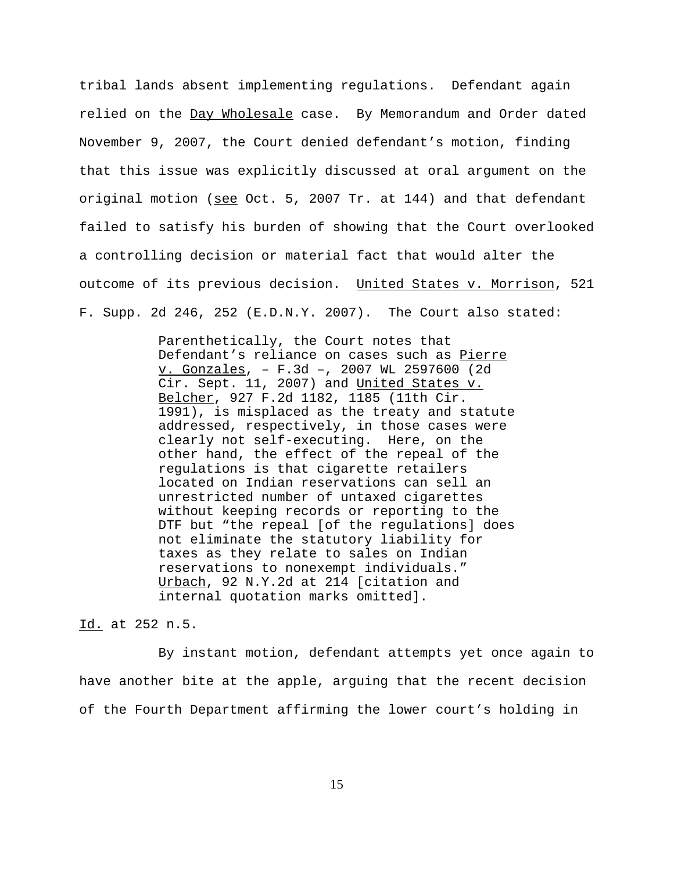tribal lands absent implementing regulations. Defendant again relied on the Day Wholesale case. By Memorandum and Order dated November 9, 2007, the Court denied defendant's motion, finding that this issue was explicitly discussed at oral argument on the original motion (see Oct. 5, 2007 Tr. at 144) and that defendant failed to satisfy his burden of showing that the Court overlooked a controlling decision or material fact that would alter the outcome of its previous decision. United States v. Morrison, 521 F. Supp. 2d 246, 252 (E.D.N.Y. 2007). The Court also stated:

> Parenthetically, the Court notes that Defendant's reliance on cases such as Pierre v. Gonzales, – F.3d –, 2007 WL 2597600 (2d Cir. Sept. 11, 2007) and United States v. Belcher, 927 F.2d 1182, 1185 (11th Cir. 1991), is misplaced as the treaty and statute addressed, respectively, in those cases were clearly not self-executing. Here, on the other hand, the effect of the repeal of the regulations is that cigarette retailers located on Indian reservations can sell an unrestricted number of untaxed cigarettes without keeping records or reporting to the DTF but "the repeal [of the regulations] does not eliminate the statutory liability for taxes as they relate to sales on Indian reservations to nonexempt individuals." Urbach, 92 N.Y.2d at 214 [citation and internal quotation marks omitted].

### Id. at 252 n.5.

By instant motion, defendant attempts yet once again to have another bite at the apple, arguing that the recent decision of the Fourth Department affirming the lower court's holding in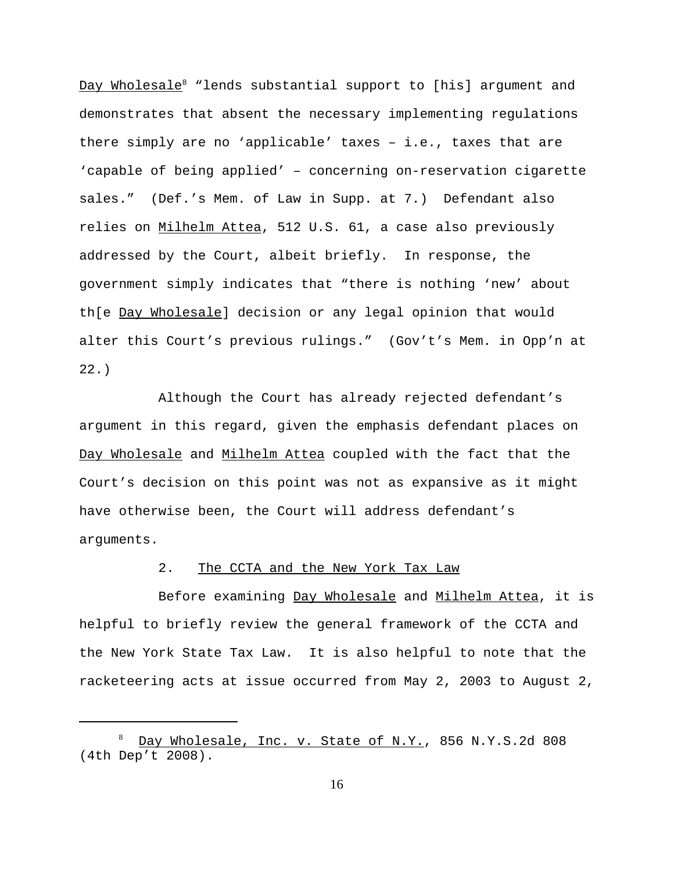<u>Day Wholesale</u> $^8$  "lends substantial support to [his] argument and demonstrates that absent the necessary implementing regulations there simply are no 'applicable' taxes – i.e., taxes that are 'capable of being applied' – concerning on-reservation cigarette sales." (Def.'s Mem. of Law in Supp. at 7.) Defendant also relies on Milhelm Attea, 512 U.S. 61, a case also previously addressed by the Court, albeit briefly. In response, the government simply indicates that "there is nothing 'new' about th[e Day Wholesale] decision or any legal opinion that would alter this Court's previous rulings." (Gov't's Mem. in Opp'n at 22.)

Although the Court has already rejected defendant's argument in this regard, given the emphasis defendant places on Day Wholesale and Milhelm Attea coupled with the fact that the Court's decision on this point was not as expansive as it might have otherwise been, the Court will address defendant's arguments.

## 2. The CCTA and the New York Tax Law

Before examining Day Wholesale and Milhelm Attea, it is helpful to briefly review the general framework of the CCTA and the New York State Tax Law. It is also helpful to note that the racketeering acts at issue occurred from May 2, 2003 to August 2,

<sup>8</sup> Day Wholesale, Inc. v. State of N.Y., 856 N.Y.S.2d 808 (4th Dep't 2008).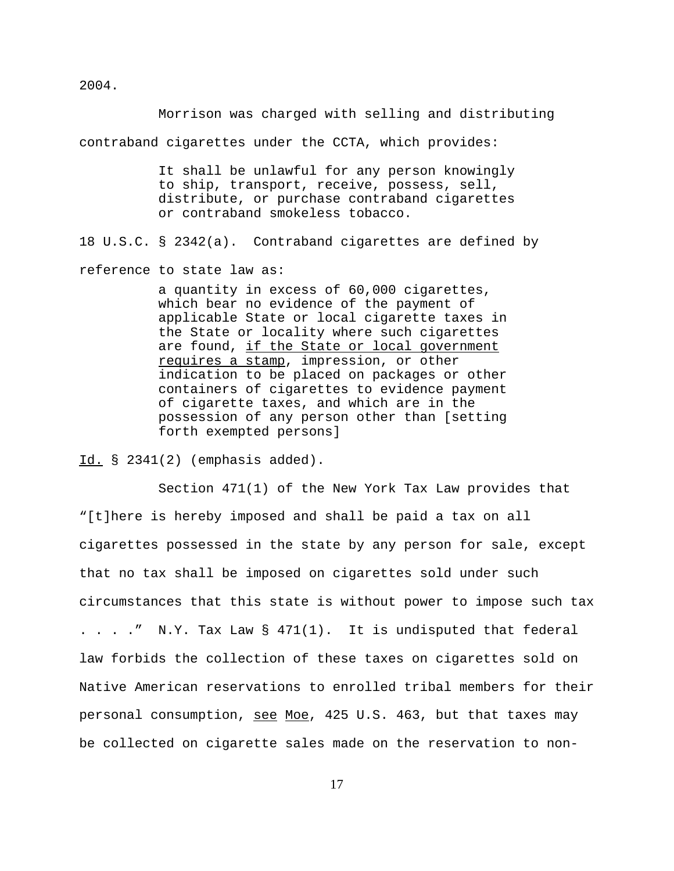Morrison was charged with selling and distributing contraband cigarettes under the CCTA, which provides:

> It shall be unlawful for any person knowingly to ship, transport, receive, possess, sell, distribute, or purchase contraband cigarettes or contraband smokeless tobacco.

18 U.S.C. § 2342(a). Contraband cigarettes are defined by

reference to state law as:

a quantity in excess of 60,000 cigarettes, which bear no evidence of the payment of applicable State or local cigarette taxes in the State or locality where such cigarettes are found, if the State or local government requires a stamp, impression, or other indication to be placed on packages or other containers of cigarettes to evidence payment of cigarette taxes, and which are in the possession of any person other than [setting forth exempted persons]

Id. § 2341(2) (emphasis added).

Section 471(1) of the New York Tax Law provides that "[t]here is hereby imposed and shall be paid a tax on all cigarettes possessed in the state by any person for sale, except that no tax shall be imposed on cigarettes sold under such circumstances that this state is without power to impose such tax . . . .  $\blacksquare$  N.Y. Tax Law  $\S$  471(1). It is undisputed that federal law forbids the collection of these taxes on cigarettes sold on Native American reservations to enrolled tribal members for their personal consumption, see Moe, 425 U.S. 463, but that taxes may be collected on cigarette sales made on the reservation to non-

2004.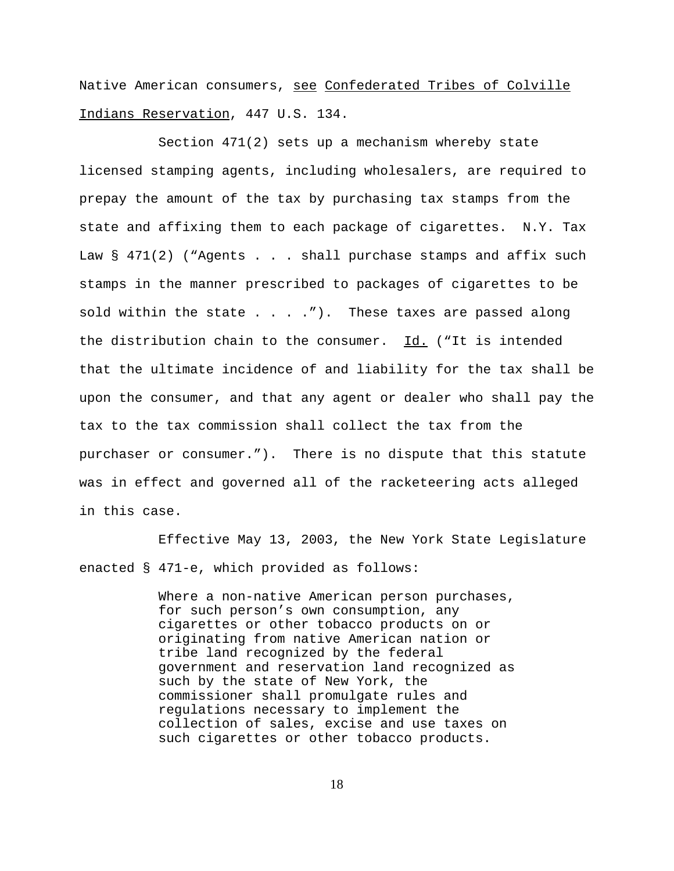Native American consumers, see Confederated Tribes of Colville Indians Reservation, 447 U.S. 134.

Section 471(2) sets up a mechanism whereby state licensed stamping agents, including wholesalers, are required to prepay the amount of the tax by purchasing tax stamps from the state and affixing them to each package of cigarettes. N.Y. Tax Law  $\S$  471(2) ("Agents . . . shall purchase stamps and affix such stamps in the manner prescribed to packages of cigarettes to be sold within the state  $\ldots$  . . . . . . These taxes are passed along the distribution chain to the consumer. Id. ("It is intended that the ultimate incidence of and liability for the tax shall be upon the consumer, and that any agent or dealer who shall pay the tax to the tax commission shall collect the tax from the purchaser or consumer."). There is no dispute that this statute was in effect and governed all of the racketeering acts alleged in this case.

Effective May 13, 2003, the New York State Legislature enacted § 471-e, which provided as follows:

> Where a non-native American person purchases, for such person's own consumption, any cigarettes or other tobacco products on or originating from native American nation or tribe land recognized by the federal government and reservation land recognized as such by the state of New York, the commissioner shall promulgate rules and regulations necessary to implement the collection of sales, excise and use taxes on such cigarettes or other tobacco products.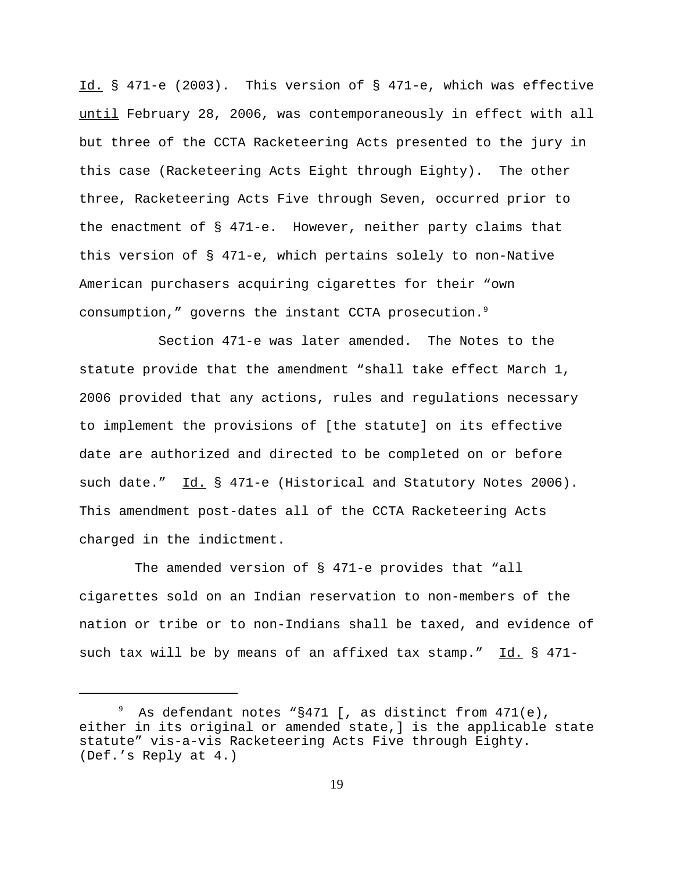Id. § 471-e (2003). This version of § 471-e, which was effective until February 28, 2006, was contemporaneously in effect with all but three of the CCTA Racketeering Acts presented to the jury in this case (Racketeering Acts Eight through Eighty). The other three, Racketeering Acts Five through Seven, occurred prior to the enactment of § 471-e. However, neither party claims that this version of § 471-e, which pertains solely to non-Native American purchasers acquiring cigarettes for their "own consumption," governs the instant CCTA prosecution.<sup>9</sup>

Section 471-e was later amended. The Notes to the statute provide that the amendment "shall take effect March 1, 2006 provided that any actions, rules and regulations necessary to implement the provisions of [the statute] on its effective date are authorized and directed to be completed on or before such date." Id. § 471-e (Historical and Statutory Notes 2006). This amendment post-dates all of the CCTA Racketeering Acts charged in the indictment.

The amended version of § 471-e provides that "all cigarettes sold on an Indian reservation to non-members of the nation or tribe or to non-Indians shall be taxed, and evidence of such tax will be by means of an affixed tax stamp." Id. § 471-

 $^9$  As defendant notes "§471 [, as distinct from 471(e), either in its original or amended state,] is the applicable state statute" vis-a-vis Racketeering Acts Five through Eighty. (Def.'s Reply at 4.)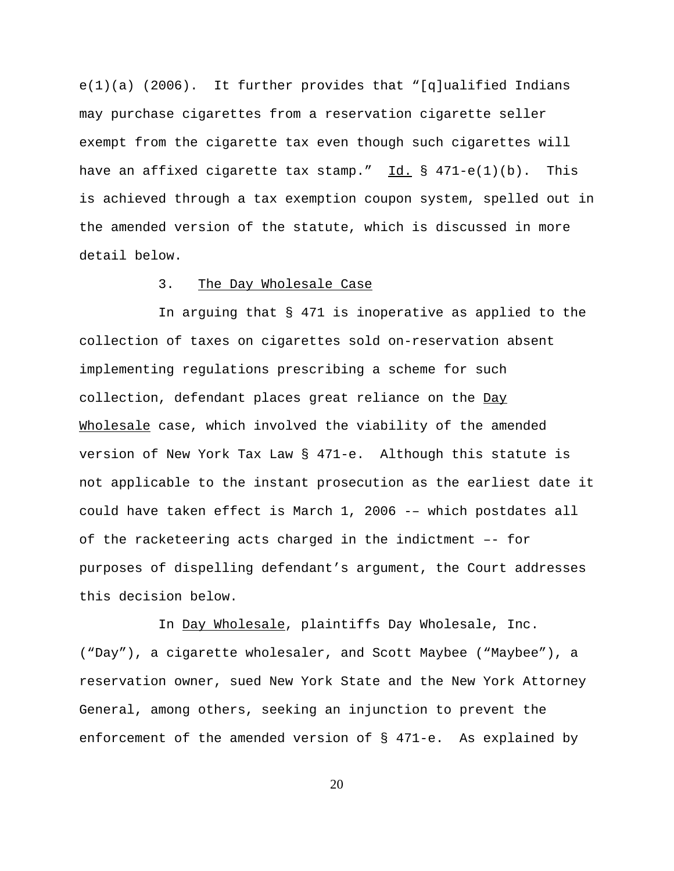$e(1)(a)$  (2006). It further provides that "[q]ualified Indians may purchase cigarettes from a reservation cigarette seller exempt from the cigarette tax even though such cigarettes will have an affixed cigarette tax stamp." Id.  $\S$  471-e(1)(b). This is achieved through a tax exemption coupon system, spelled out in the amended version of the statute, which is discussed in more detail below.

#### 3. The Day Wholesale Case

In arguing that § 471 is inoperative as applied to the collection of taxes on cigarettes sold on-reservation absent implementing regulations prescribing a scheme for such collection, defendant places great reliance on the Day Wholesale case, which involved the viability of the amended version of New York Tax Law § 471-e. Although this statute is not applicable to the instant prosecution as the earliest date it could have taken effect is March 1, 2006 -– which postdates all of the racketeering acts charged in the indictment –- for purposes of dispelling defendant's argument, the Court addresses this decision below.

In Day Wholesale, plaintiffs Day Wholesale, Inc. ("Day"), a cigarette wholesaler, and Scott Maybee ("Maybee"), a reservation owner, sued New York State and the New York Attorney General, among others, seeking an injunction to prevent the enforcement of the amended version of § 471-e. As explained by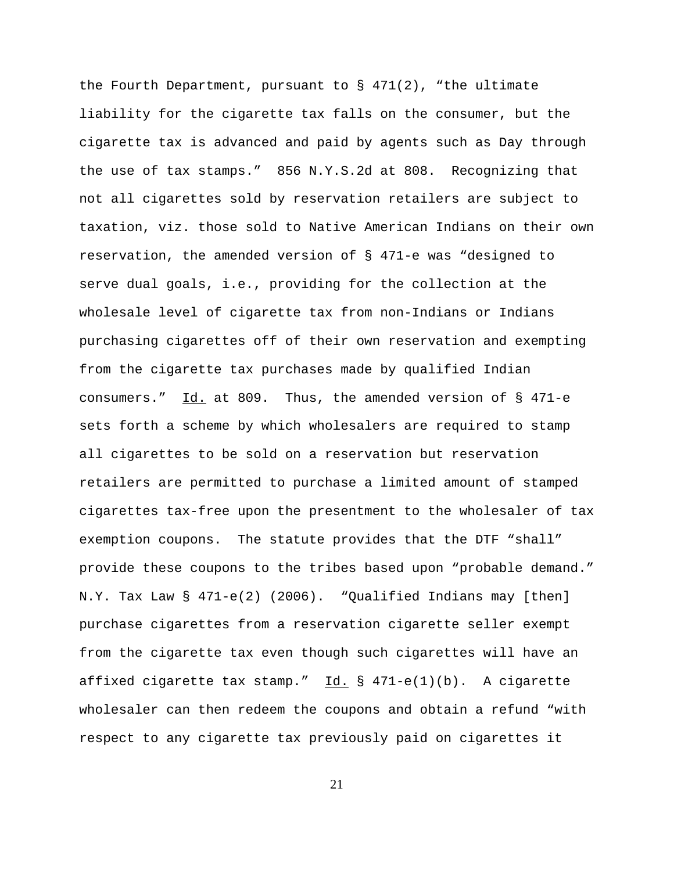the Fourth Department, pursuant to  $\S$  471(2), "the ultimate liability for the cigarette tax falls on the consumer, but the cigarette tax is advanced and paid by agents such as Day through the use of tax stamps." 856 N.Y.S.2d at 808. Recognizing that not all cigarettes sold by reservation retailers are subject to taxation, viz. those sold to Native American Indians on their own reservation, the amended version of § 471-e was "designed to serve dual goals, i.e., providing for the collection at the wholesale level of cigarette tax from non-Indians or Indians purchasing cigarettes off of their own reservation and exempting from the cigarette tax purchases made by qualified Indian consumers."  $\underline{Id.}$  at 809. Thus, the amended version of § 471-e sets forth a scheme by which wholesalers are required to stamp all cigarettes to be sold on a reservation but reservation retailers are permitted to purchase a limited amount of stamped cigarettes tax-free upon the presentment to the wholesaler of tax exemption coupons. The statute provides that the DTF "shall" provide these coupons to the tribes based upon "probable demand." N.Y. Tax Law § 471-e(2) (2006). "Qualified Indians may [then] purchase cigarettes from a reservation cigarette seller exempt from the cigarette tax even though such cigarettes will have an affixed cigarette tax stamp."  $Id. \$  \$ 471-e(1)(b). A cigarette wholesaler can then redeem the coupons and obtain a refund "with respect to any cigarette tax previously paid on cigarettes it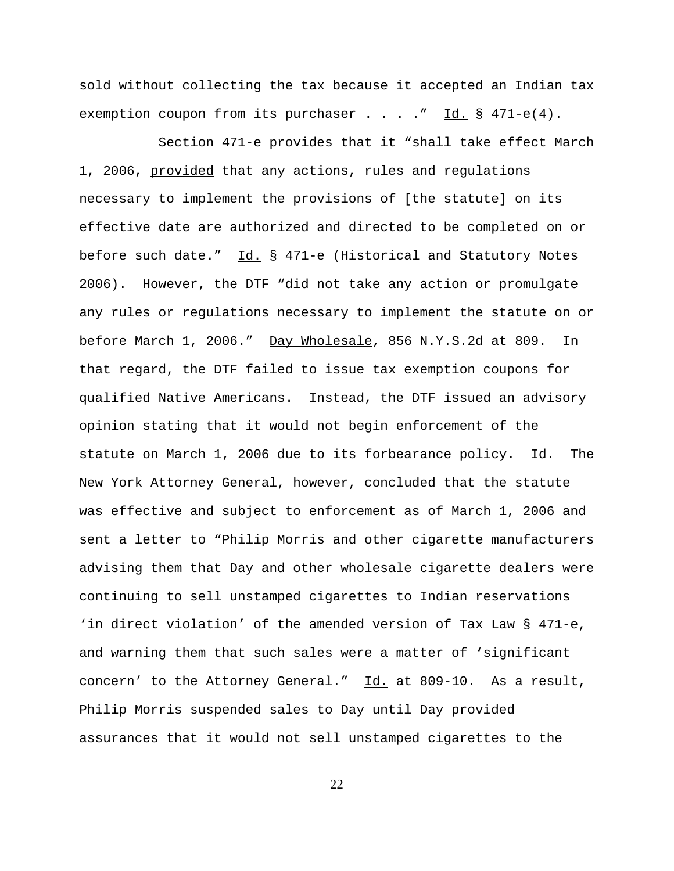sold without collecting the tax because it accepted an Indian tax exemption coupon from its purchaser . . . . "  $\underline{Id.}$  § 471-e(4).

Section 471-e provides that it "shall take effect March 1, 2006, provided that any actions, rules and regulations necessary to implement the provisions of [the statute] on its effective date are authorized and directed to be completed on or before such date." Id. § 471-e (Historical and Statutory Notes 2006). However, the DTF "did not take any action or promulgate any rules or regulations necessary to implement the statute on or before March 1, 2006." Day Wholesale, 856 N.Y.S.2d at 809. In that regard, the DTF failed to issue tax exemption coupons for qualified Native Americans. Instead, the DTF issued an advisory opinion stating that it would not begin enforcement of the statute on March 1, 2006 due to its forbearance policy. Id. The New York Attorney General, however, concluded that the statute was effective and subject to enforcement as of March 1, 2006 and sent a letter to "Philip Morris and other cigarette manufacturers advising them that Day and other wholesale cigarette dealers were continuing to sell unstamped cigarettes to Indian reservations 'in direct violation' of the amended version of Tax Law § 471-e, and warning them that such sales were a matter of 'significant concern' to the Attorney General." Id. at 809-10. As a result, Philip Morris suspended sales to Day until Day provided assurances that it would not sell unstamped cigarettes to the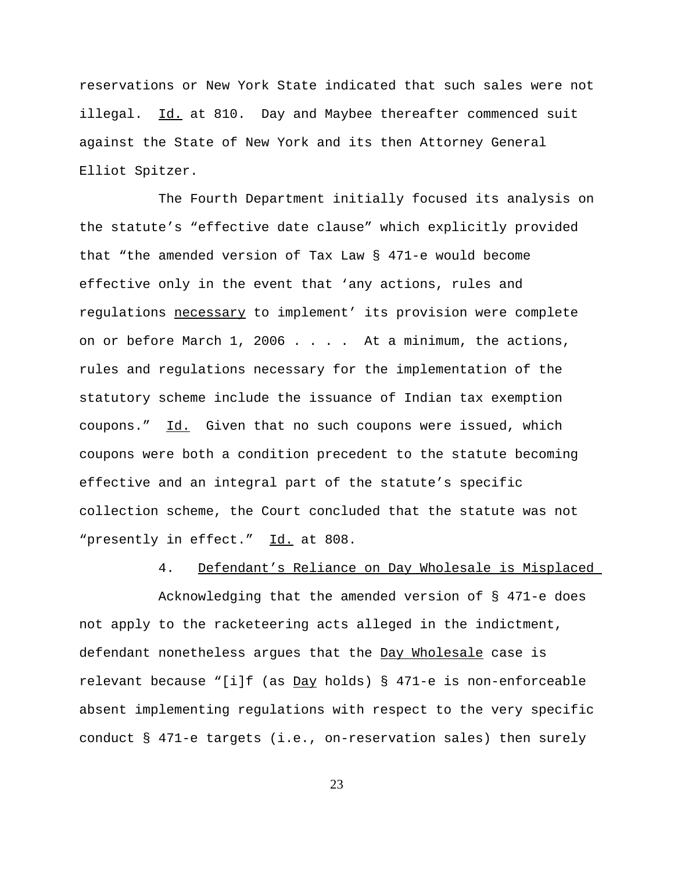reservations or New York State indicated that such sales were not illegal. Id. at 810. Day and Maybee thereafter commenced suit against the State of New York and its then Attorney General Elliot Spitzer.

The Fourth Department initially focused its analysis on the statute's "effective date clause" which explicitly provided that "the amended version of Tax Law § 471-e would become effective only in the event that 'any actions, rules and regulations necessary to implement' its provision were complete on or before March 1, 2006 . . . . At a minimum, the actions, rules and regulations necessary for the implementation of the statutory scheme include the issuance of Indian tax exemption coupons." Id. Given that no such coupons were issued, which coupons were both a condition precedent to the statute becoming effective and an integral part of the statute's specific collection scheme, the Court concluded that the statute was not "presently in effect." Id. at 808.

## 4. Defendant's Reliance on Day Wholesale is Misplaced

Acknowledging that the amended version of § 471-e does not apply to the racketeering acts alleged in the indictment, defendant nonetheless argues that the Day Wholesale case is relevant because "[i]f (as  $Day$  holds) § 471-e is non-enforceable absent implementing regulations with respect to the very specific conduct § 471-e targets (i.e., on-reservation sales) then surely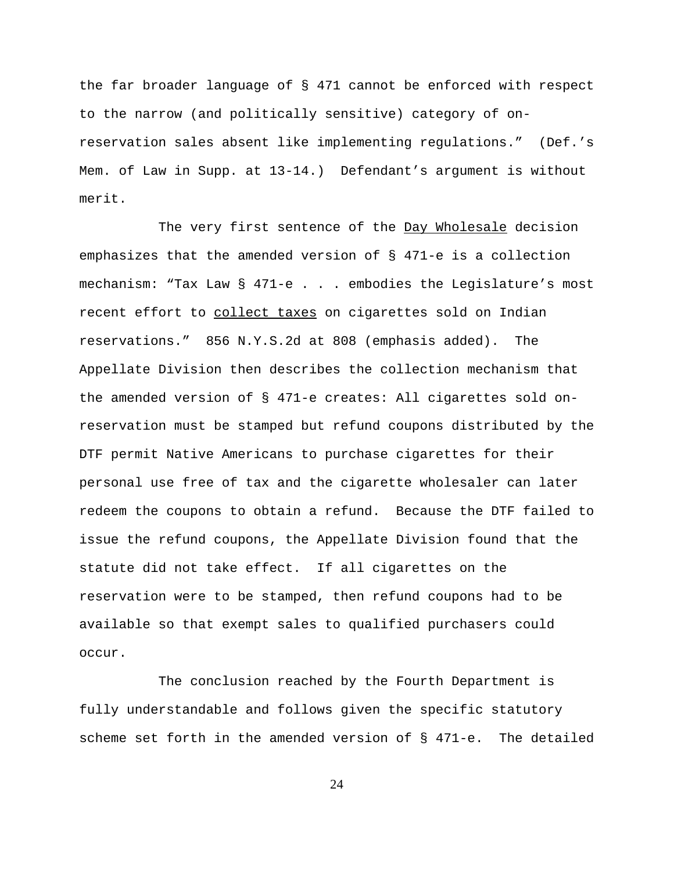the far broader language of § 471 cannot be enforced with respect to the narrow (and politically sensitive) category of onreservation sales absent like implementing regulations." (Def.'s Mem. of Law in Supp. at 13-14.) Defendant's argument is without merit.

The very first sentence of the Day Wholesale decision emphasizes that the amended version of § 471-e is a collection mechanism: "Tax Law § 471-e . . . embodies the Legislature's most recent effort to collect taxes on cigarettes sold on Indian reservations." 856 N.Y.S.2d at 808 (emphasis added). The Appellate Division then describes the collection mechanism that the amended version of § 471-e creates: All cigarettes sold onreservation must be stamped but refund coupons distributed by the DTF permit Native Americans to purchase cigarettes for their personal use free of tax and the cigarette wholesaler can later redeem the coupons to obtain a refund. Because the DTF failed to issue the refund coupons, the Appellate Division found that the statute did not take effect. If all cigarettes on the reservation were to be stamped, then refund coupons had to be available so that exempt sales to qualified purchasers could occur.

The conclusion reached by the Fourth Department is fully understandable and follows given the specific statutory scheme set forth in the amended version of § 471-e. The detailed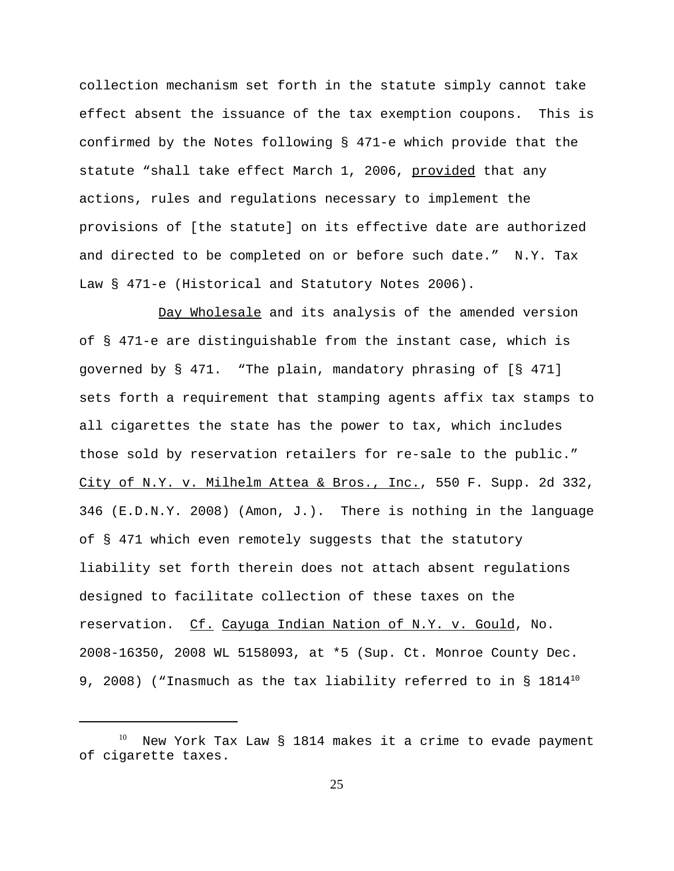collection mechanism set forth in the statute simply cannot take effect absent the issuance of the tax exemption coupons. This is confirmed by the Notes following § 471-e which provide that the statute "shall take effect March 1, 2006, provided that any actions, rules and regulations necessary to implement the provisions of [the statute] on its effective date are authorized and directed to be completed on or before such date." N.Y. Tax Law § 471-e (Historical and Statutory Notes 2006).

Day Wholesale and its analysis of the amended version of § 471-e are distinguishable from the instant case, which is governed by § 471. "The plain, mandatory phrasing of [§ 471] sets forth a requirement that stamping agents affix tax stamps to all cigarettes the state has the power to tax, which includes those sold by reservation retailers for re-sale to the public." City of N.Y. v. Milhelm Attea & Bros., Inc., 550 F. Supp. 2d 332, 346 (E.D.N.Y. 2008) (Amon, J.). There is nothing in the language of § 471 which even remotely suggests that the statutory liability set forth therein does not attach absent regulations designed to facilitate collection of these taxes on the reservation. Cf. Cayuga Indian Nation of N.Y. v. Gould, No. 2008-16350, 2008 WL 5158093, at \*5 (Sup. Ct. Monroe County Dec. 9, 2008) ("Inasmuch as the tax liability referred to in  $\S$  1814<sup>10</sup>

New York Tax Law § 1814 makes it a crime to evade payment of cigarette taxes.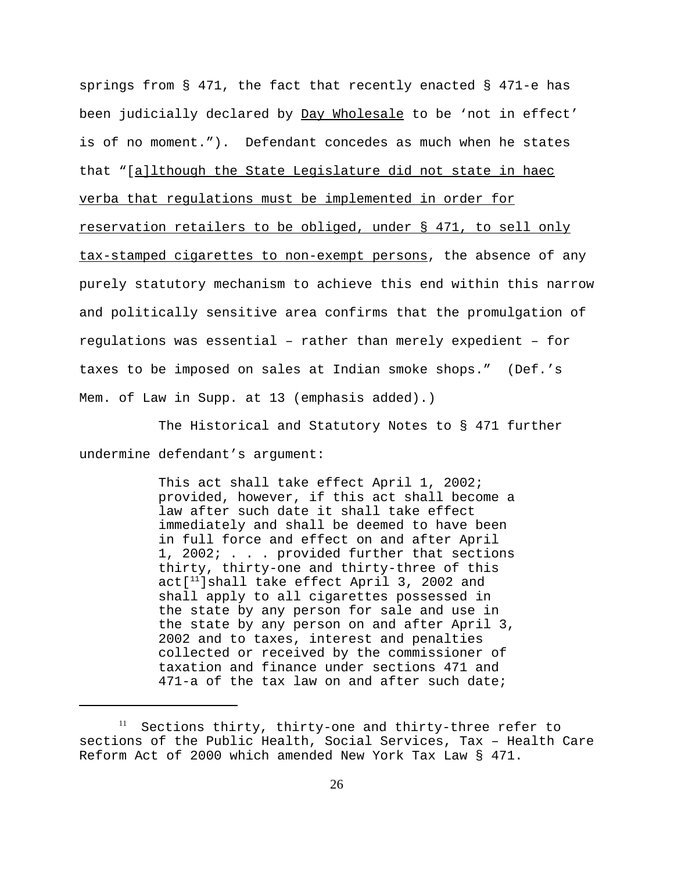springs from  $\S$  471, the fact that recently enacted  $\S$  471-e has been judicially declared by Day Wholesale to be 'not in effect' is of no moment."). Defendant concedes as much when he states that "[a]lthough the State Legislature did not state in haec verba that regulations must be implemented in order for reservation retailers to be obliged, under § 471, to sell only tax-stamped cigarettes to non-exempt persons, the absence of any purely statutory mechanism to achieve this end within this narrow and politically sensitive area confirms that the promulgation of regulations was essential – rather than merely expedient – for taxes to be imposed on sales at Indian smoke shops." (Def.'s Mem. of Law in Supp. at 13 (emphasis added).)

The Historical and Statutory Notes to § 471 further undermine defendant's argument:

> This act shall take effect April 1, 2002; provided, however, if this act shall become a law after such date it shall take effect immediately and shall be deemed to have been in full force and effect on and after April 1, 2002; . . . provided further that sections thirty, thirty-one and thirty-three of this  $act[^{11}]$ shall take effect April 3, 2002 and shall apply to all cigarettes possessed in the state by any person for sale and use in the state by any person on and after April 3, 2002 and to taxes, interest and penalties collected or received by the commissioner of taxation and finance under sections 471 and 471-a of the tax law on and after such date;

 $11$  Sections thirty, thirty-one and thirty-three refer to sections of the Public Health, Social Services, Tax – Health Care Reform Act of 2000 which amended New York Tax Law § 471.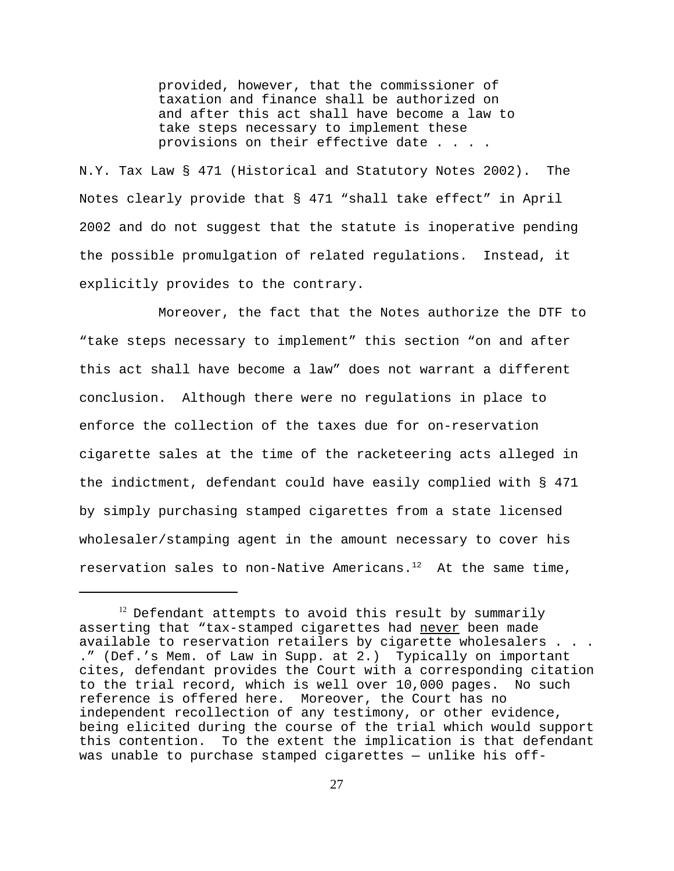provided, however, that the commissioner of taxation and finance shall be authorized on and after this act shall have become a law to take steps necessary to implement these provisions on their effective date . . . .

N.Y. Tax Law § 471 (Historical and Statutory Notes 2002). The Notes clearly provide that § 471 "shall take effect" in April 2002 and do not suggest that the statute is inoperative pending the possible promulgation of related regulations. Instead, it explicitly provides to the contrary.

Moreover, the fact that the Notes authorize the DTF to "take steps necessary to implement" this section "on and after this act shall have become a law" does not warrant a different conclusion. Although there were no regulations in place to enforce the collection of the taxes due for on-reservation cigarette sales at the time of the racketeering acts alleged in the indictment, defendant could have easily complied with § 471 by simply purchasing stamped cigarettes from a state licensed wholesaler/stamping agent in the amount necessary to cover his reservation sales to non-Native Americans.<sup>12</sup> At the same time,

 $12$  Defendant attempts to avoid this result by summarily asserting that "tax-stamped cigarettes had never been made available to reservation retailers by cigarette wholesalers . . . ." (Def.'s Mem. of Law in Supp. at 2.) Typically on important cites, defendant provides the Court with a corresponding citation to the trial record, which is well over 10,000 pages. No such reference is offered here. Moreover, the Court has no independent recollection of any testimony, or other evidence, being elicited during the course of the trial which would support this contention. To the extent the implication is that defendant was unable to purchase stamped cigarettes — unlike his off-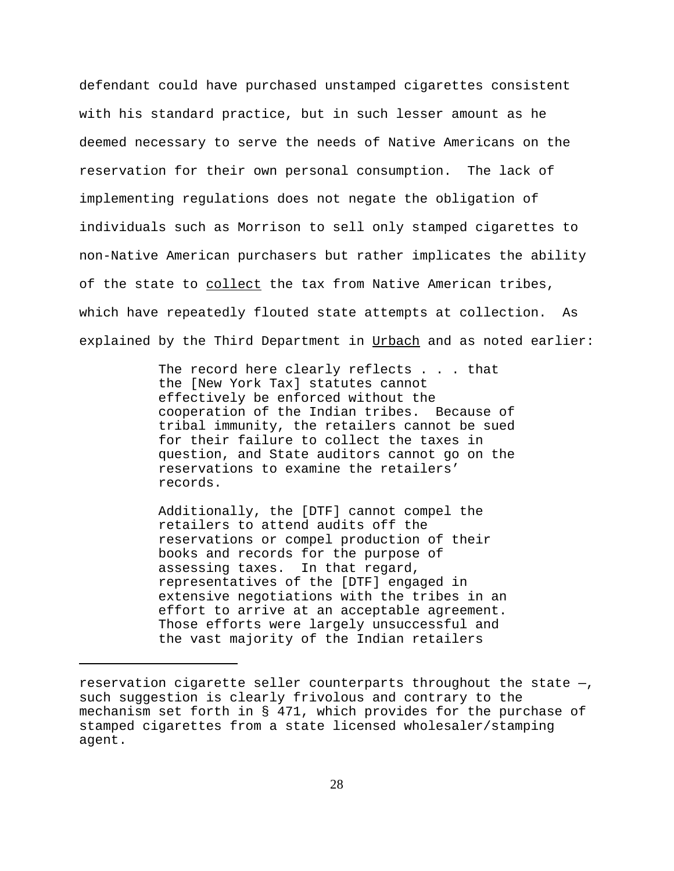defendant could have purchased unstamped cigarettes consistent with his standard practice, but in such lesser amount as he deemed necessary to serve the needs of Native Americans on the reservation for their own personal consumption. The lack of implementing regulations does not negate the obligation of individuals such as Morrison to sell only stamped cigarettes to non-Native American purchasers but rather implicates the ability of the state to collect the tax from Native American tribes, which have repeatedly flouted state attempts at collection. As explained by the Third Department in Urbach and as noted earlier:

> The record here clearly reflects . . . that the [New York Tax] statutes cannot effectively be enforced without the cooperation of the Indian tribes. Because of tribal immunity, the retailers cannot be sued for their failure to collect the taxes in question, and State auditors cannot go on the reservations to examine the retailers' records.

Additionally, the [DTF] cannot compel the retailers to attend audits off the reservations or compel production of their books and records for the purpose of assessing taxes. In that regard, representatives of the [DTF] engaged in extensive negotiations with the tribes in an effort to arrive at an acceptable agreement. Those efforts were largely unsuccessful and the vast majority of the Indian retailers

reservation cigarette seller counterparts throughout the state —, such suggestion is clearly frivolous and contrary to the mechanism set forth in § 471, which provides for the purchase of stamped cigarettes from a state licensed wholesaler/stamping agent.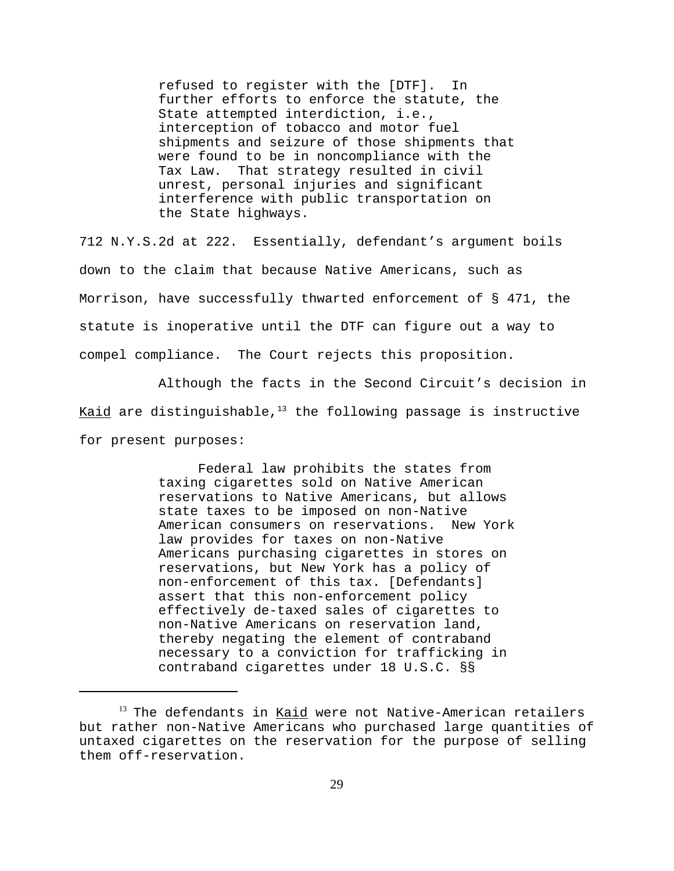refused to register with the [DTF]. In further efforts to enforce the statute, the State attempted interdiction, i.e., interception of tobacco and motor fuel shipments and seizure of those shipments that were found to be in noncompliance with the Tax Law. That strategy resulted in civil unrest, personal injuries and significant interference with public transportation on the State highways.

712 N.Y.S.2d at 222. Essentially, defendant's argument boils down to the claim that because Native Americans, such as Morrison, have successfully thwarted enforcement of § 471, the statute is inoperative until the DTF can figure out a way to compel compliance. The Court rejects this proposition.

Although the facts in the Second Circuit's decision in Kaid are distinguishable, $13$  the following passage is instructive for present purposes:

> Federal law prohibits the states from taxing cigarettes sold on Native American reservations to Native Americans, but allows state taxes to be imposed on non-Native American consumers on reservations. New York law provides for taxes on non-Native Americans purchasing cigarettes in stores on reservations, but New York has a policy of non-enforcement of this tax. [Defendants] assert that this non-enforcement policy effectively de-taxed sales of cigarettes to non-Native Americans on reservation land, thereby negating the element of contraband necessary to a conviction for trafficking in contraband cigarettes under 18 U.S.C. §§

 $13$  The defendants in Kaid were not Native-American retailers but rather non-Native Americans who purchased large quantities of untaxed cigarettes on the reservation for the purpose of selling them off-reservation.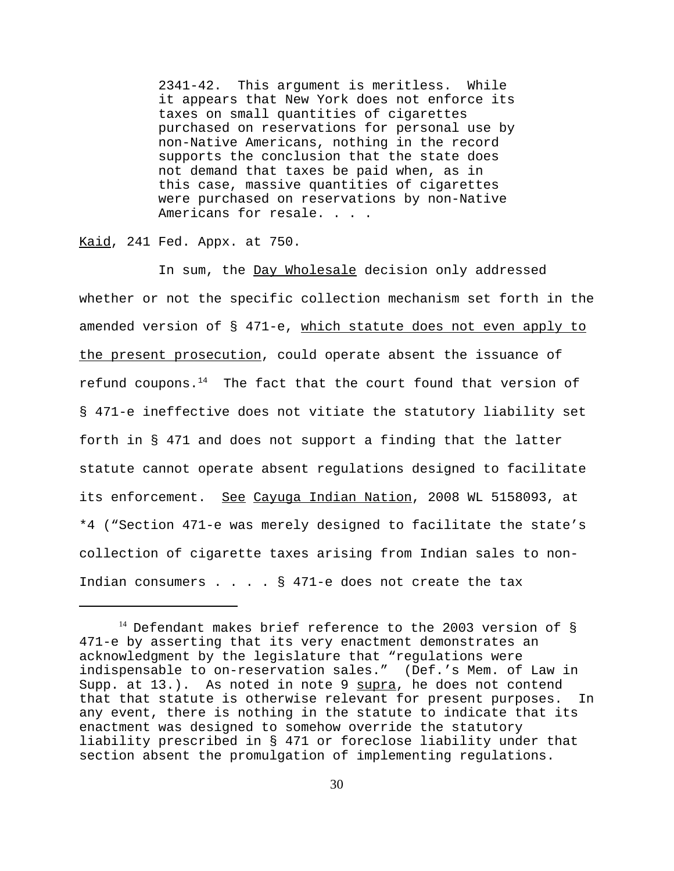2341-42. This argument is meritless. While it appears that New York does not enforce its taxes on small quantities of cigarettes purchased on reservations for personal use by non-Native Americans, nothing in the record supports the conclusion that the state does not demand that taxes be paid when, as in this case, massive quantities of cigarettes were purchased on reservations by non-Native Americans for resale. . . .

Kaid, 241 Fed. Appx. at 750.

In sum, the Day Wholesale decision only addressed whether or not the specific collection mechanism set forth in the amended version of § 471-e, which statute does not even apply to the present prosecution, could operate absent the issuance of refund coupons. $14$  The fact that the court found that version of § 471-e ineffective does not vitiate the statutory liability set forth in § 471 and does not support a finding that the latter statute cannot operate absent regulations designed to facilitate its enforcement. See Cayuga Indian Nation, 2008 WL 5158093, at \*4 ("Section 471-e was merely designed to facilitate the state's collection of cigarette taxes arising from Indian sales to non-Indian consumers . . . . § 471-e does not create the tax

 $14$  Defendant makes brief reference to the 2003 version of § 471-e by asserting that its very enactment demonstrates an acknowledgment by the legislature that "regulations were indispensable to on-reservation sales." (Def.'s Mem. of Law in Supp. at 13.). As noted in note 9 supra, he does not contend that that statute is otherwise relevant for present purposes. In any event, there is nothing in the statute to indicate that its enactment was designed to somehow override the statutory liability prescribed in § 471 or foreclose liability under that section absent the promulgation of implementing regulations.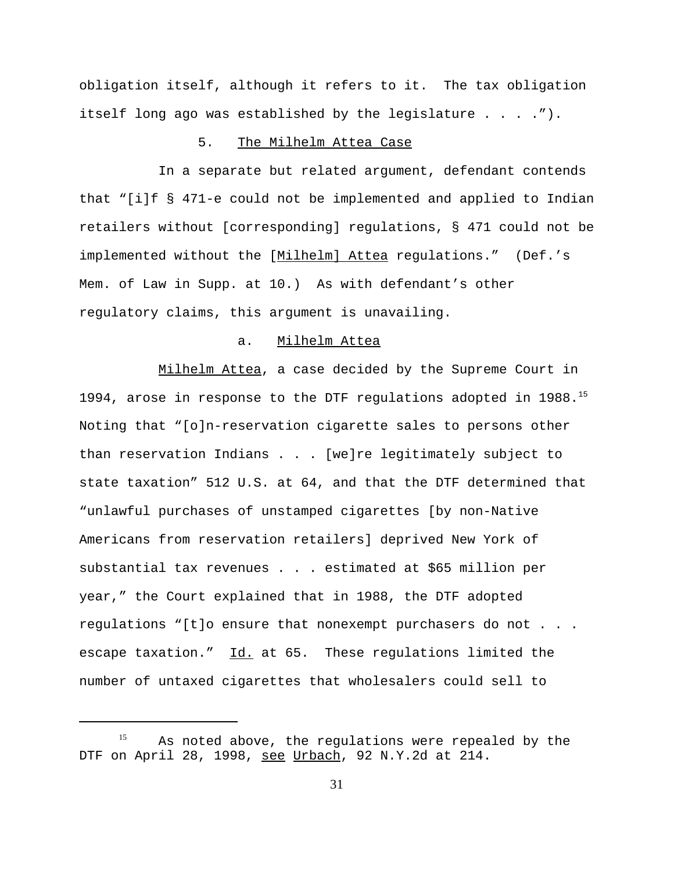obligation itself, although it refers to it. The tax obligation itself long ago was established by the legislature  $\dots$ ....").

### 5. The Milhelm Attea Case

In a separate but related argument, defendant contends that "[i]f § 471-e could not be implemented and applied to Indian retailers without [corresponding] regulations, § 471 could not be implemented without the [Milhelm] Attea regulations." (Def.'s Mem. of Law in Supp. at 10.) As with defendant's other regulatory claims, this argument is unavailing.

### a. Milhelm Attea

Milhelm Attea, a case decided by the Supreme Court in 1994, arose in response to the DTF regulations adopted in 1988.15 Noting that "[o]n-reservation cigarette sales to persons other than reservation Indians . . . [we]re legitimately subject to state taxation" 512 U.S. at 64, and that the DTF determined that "unlawful purchases of unstamped cigarettes [by non-Native Americans from reservation retailers] deprived New York of substantial tax revenues . . . estimated at \$65 million per year," the Court explained that in 1988, the DTF adopted regulations "[t]o ensure that nonexempt purchasers do not . . . escape taxation." Id. at 65. These regulations limited the number of untaxed cigarettes that wholesalers could sell to

As noted above, the regulations were repealed by the DTF on April 28, 1998, see Urbach, 92 N.Y.2d at 214.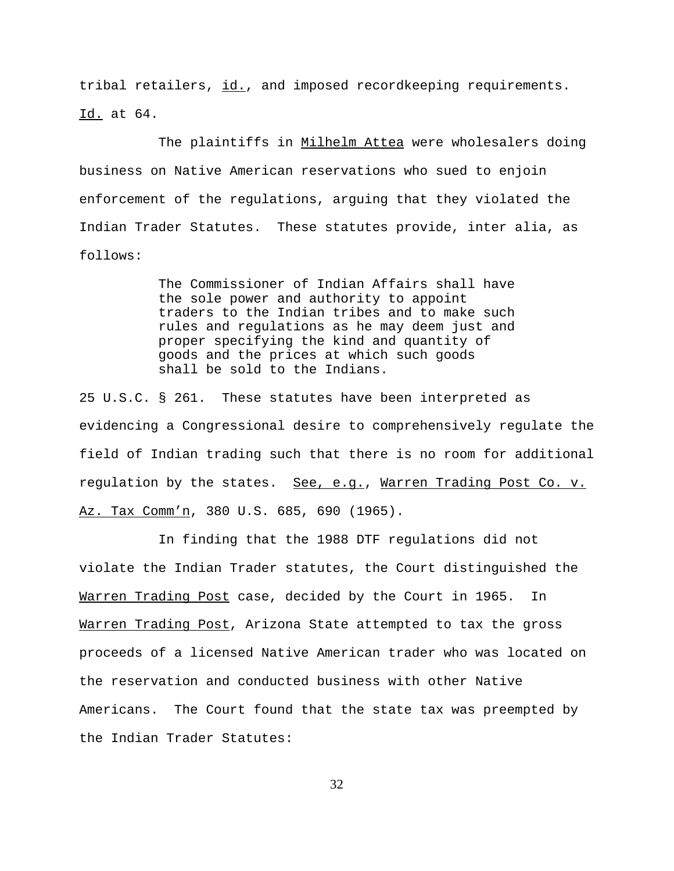tribal retailers, id., and imposed recordkeeping requirements. Id. at 64.

The plaintiffs in Milhelm Attea were wholesalers doing business on Native American reservations who sued to enjoin enforcement of the regulations, arguing that they violated the Indian Trader Statutes. These statutes provide, inter alia, as follows:

> The Commissioner of Indian Affairs shall have the sole power and authority to appoint traders to the Indian tribes and to make such rules and regulations as he may deem just and proper specifying the kind and quantity of goods and the prices at which such goods shall be sold to the Indians.

25 U.S.C. § 261. These statutes have been interpreted as evidencing a Congressional desire to comprehensively regulate the field of Indian trading such that there is no room for additional regulation by the states. See, e.g., Warren Trading Post Co. v. Az. Tax Comm'n, 380 U.S. 685, 690 (1965).

In finding that the 1988 DTF regulations did not violate the Indian Trader statutes, the Court distinguished the Warren Trading Post case, decided by the Court in 1965. In Warren Trading Post, Arizona State attempted to tax the gross proceeds of a licensed Native American trader who was located on the reservation and conducted business with other Native Americans. The Court found that the state tax was preempted by the Indian Trader Statutes: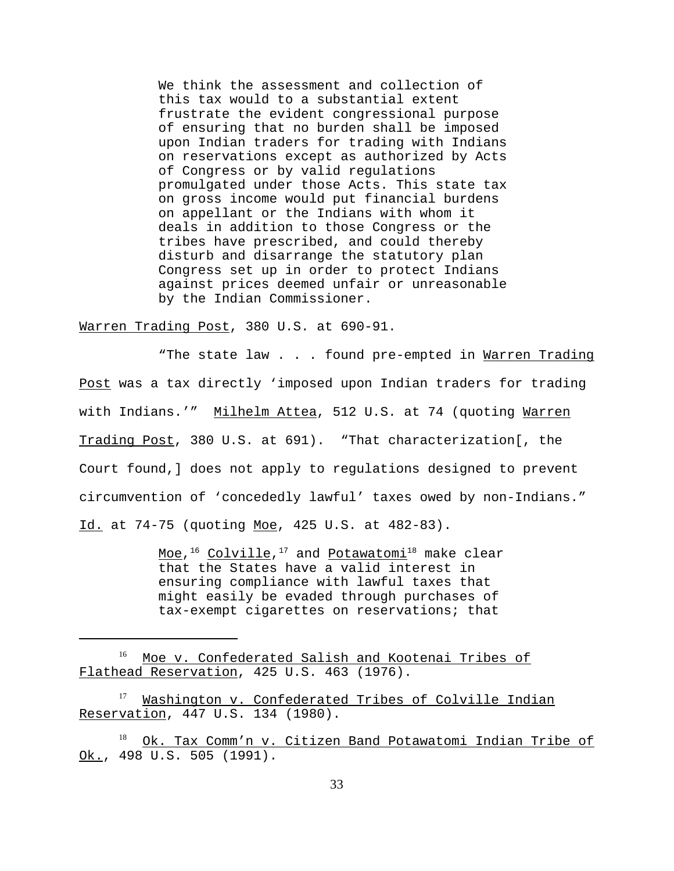We think the assessment and collection of this tax would to a substantial extent frustrate the evident congressional purpose of ensuring that no burden shall be imposed upon Indian traders for trading with Indians on reservations except as authorized by Acts of Congress or by valid regulations promulgated under those Acts. This state tax on gross income would put financial burdens on appellant or the Indians with whom it deals in addition to those Congress or the tribes have prescribed, and could thereby disturb and disarrange the statutory plan Congress set up in order to protect Indians against prices deemed unfair or unreasonable by the Indian Commissioner.

Warren Trading Post, 380 U.S. at 690-91.

"The state law . . . found pre-empted in Warren Trading Post was a tax directly 'imposed upon Indian traders for trading with Indians.'" Milhelm Attea, 512 U.S. at 74 (quoting Warren Trading Post, 380 U.S. at 691). "That characterization[, the Court found,] does not apply to regulations designed to prevent circumvention of 'concededly lawful' taxes owed by non-Indians." Id. at 74-75 (quoting Moe, 425 U.S. at 482-83).

> Moe, $1^6$  Colville, $1^7$  and Potawatomi<sup>18</sup> make clear that the States have a valid interest in ensuring compliance with lawful taxes that might easily be evaded through purchases of tax-exempt cigarettes on reservations; that

<sup>16</sup> Moe v. Confederated Salish and Kootenai Tribes of Flathead Reservation, 425 U.S. 463 (1976).

Washington v. Confederated Tribes of Colville Indian Reservation, 447 U.S. 134 (1980).

Ok. Tax Comm'n v. Citizen Band Potawatomi Indian Tribe of Ok., 498 U.S. 505 (1991).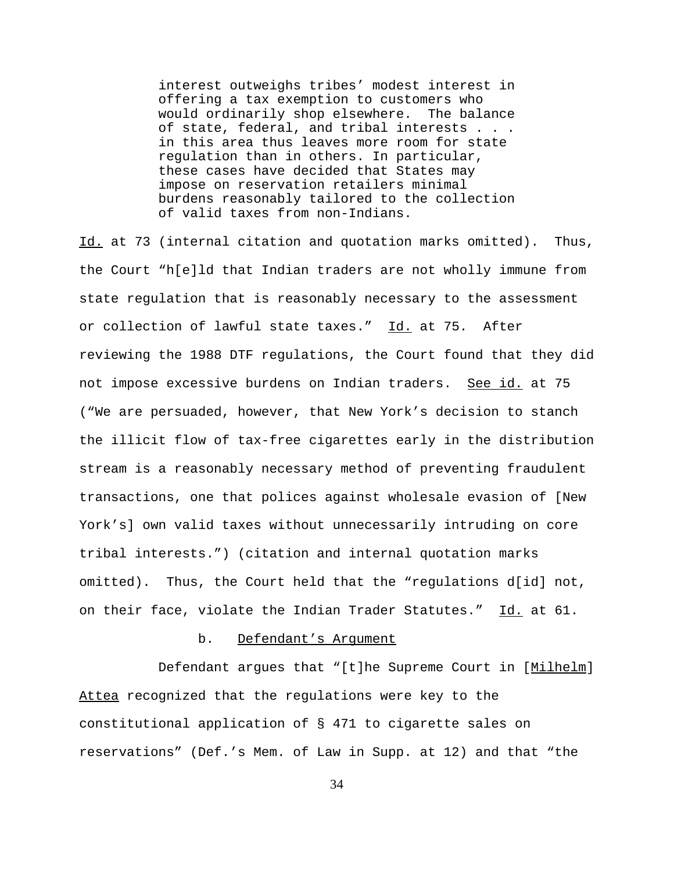interest outweighs tribes' modest interest in offering a tax exemption to customers who would ordinarily shop elsewhere. The balance of state, federal, and tribal interests . . . in this area thus leaves more room for state regulation than in others. In particular, these cases have decided that States may impose on reservation retailers minimal burdens reasonably tailored to the collection of valid taxes from non-Indians.

Id. at 73 (internal citation and quotation marks omitted). Thus, the Court "h[e]ld that Indian traders are not wholly immune from state regulation that is reasonably necessary to the assessment or collection of lawful state taxes." Id. at 75. After reviewing the 1988 DTF regulations, the Court found that they did not impose excessive burdens on Indian traders. See id. at 75 ("We are persuaded, however, that New York's decision to stanch the illicit flow of tax-free cigarettes early in the distribution stream is a reasonably necessary method of preventing fraudulent transactions, one that polices against wholesale evasion of [New York's] own valid taxes without unnecessarily intruding on core tribal interests.") (citation and internal quotation marks omitted). Thus, the Court held that the "regulations d[id] not, on their face, violate the Indian Trader Statutes." Id. at 61.

### b. Defendant's Argument

Defendant argues that "[t]he Supreme Court in [Milhelm] Attea recognized that the regulations were key to the constitutional application of § 471 to cigarette sales on reservations" (Def.'s Mem. of Law in Supp. at 12) and that "the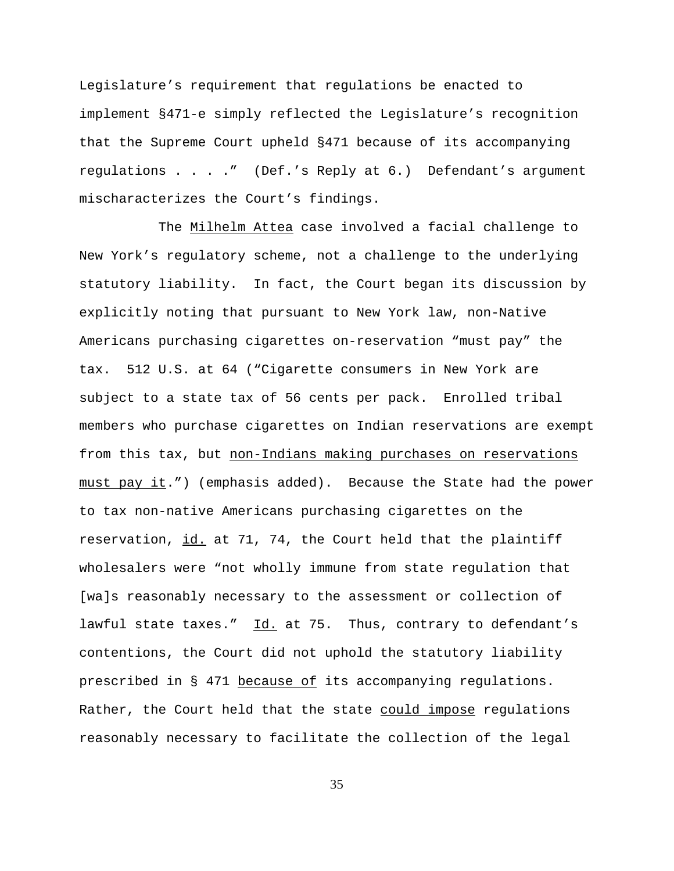Legislature's requirement that regulations be enacted to implement §471-e simply reflected the Legislature's recognition that the Supreme Court upheld §471 because of its accompanying regulations . . . ." (Def.'s Reply at 6.) Defendant's argument mischaracterizes the Court's findings.

The Milhelm Attea case involved a facial challenge to New York's regulatory scheme, not a challenge to the underlying statutory liability. In fact, the Court began its discussion by explicitly noting that pursuant to New York law, non-Native Americans purchasing cigarettes on-reservation "must pay" the tax. 512 U.S. at 64 ("Cigarette consumers in New York are subject to a state tax of 56 cents per pack. Enrolled tribal members who purchase cigarettes on Indian reservations are exempt from this tax, but non-Indians making purchases on reservations must pay it.") (emphasis added). Because the State had the power to tax non-native Americans purchasing cigarettes on the reservation, id. at 71, 74, the Court held that the plaintiff wholesalers were "not wholly immune from state regulation that [wa]s reasonably necessary to the assessment or collection of lawful state taxes." Id. at 75. Thus, contrary to defendant's contentions, the Court did not uphold the statutory liability prescribed in § 471 because of its accompanying regulations. Rather, the Court held that the state could impose regulations reasonably necessary to facilitate the collection of the legal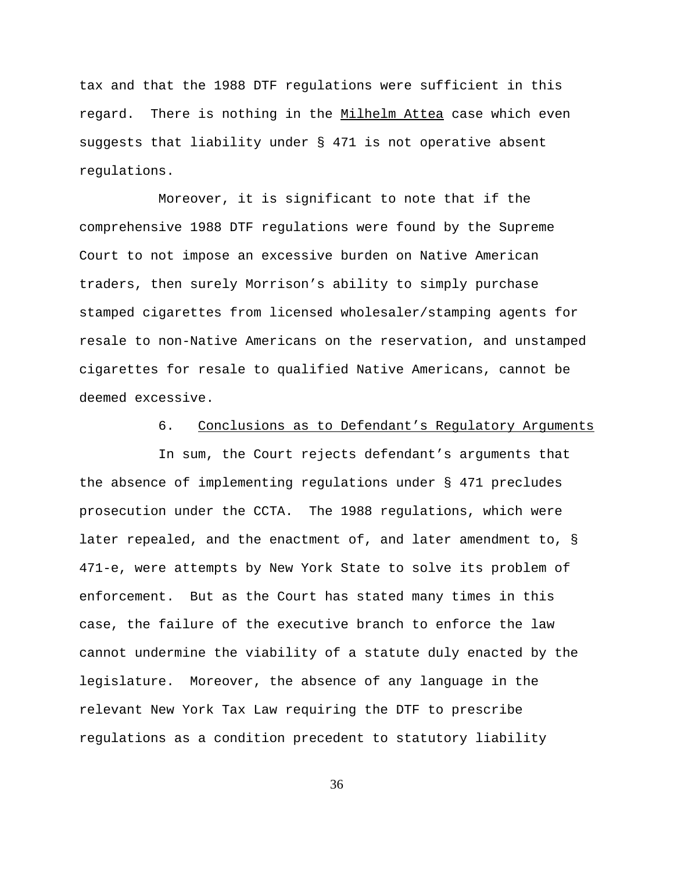tax and that the 1988 DTF regulations were sufficient in this regard. There is nothing in the Milhelm Attea case which even suggests that liability under § 471 is not operative absent regulations.

Moreover, it is significant to note that if the comprehensive 1988 DTF regulations were found by the Supreme Court to not impose an excessive burden on Native American traders, then surely Morrison's ability to simply purchase stamped cigarettes from licensed wholesaler/stamping agents for resale to non-Native Americans on the reservation, and unstamped cigarettes for resale to qualified Native Americans, cannot be deemed excessive.

# 6. Conclusions as to Defendant's Regulatory Arguments

In sum, the Court rejects defendant's arguments that the absence of implementing regulations under § 471 precludes prosecution under the CCTA. The 1988 regulations, which were later repealed, and the enactment of, and later amendment to, § 471-e, were attempts by New York State to solve its problem of enforcement. But as the Court has stated many times in this case, the failure of the executive branch to enforce the law cannot undermine the viability of a statute duly enacted by the legislature. Moreover, the absence of any language in the relevant New York Tax Law requiring the DTF to prescribe regulations as a condition precedent to statutory liability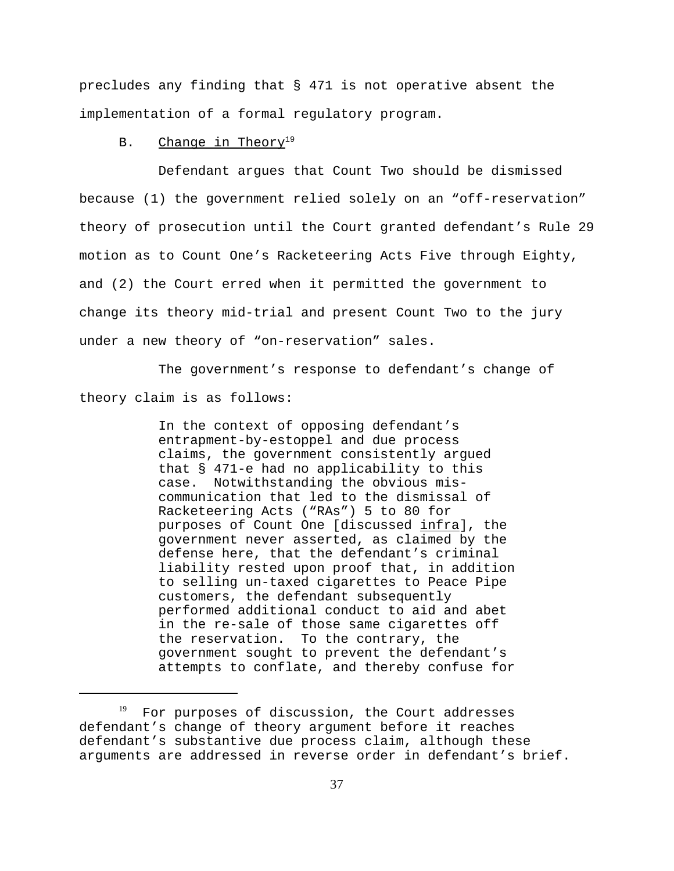precludes any finding that § 471 is not operative absent the implementation of a formal regulatory program.

## B. Change in Theory<sup>19</sup>

Defendant argues that Count Two should be dismissed because (1) the government relied solely on an "off-reservation" theory of prosecution until the Court granted defendant's Rule 29 motion as to Count One's Racketeering Acts Five through Eighty, and (2) the Court erred when it permitted the government to change its theory mid-trial and present Count Two to the jury under a new theory of "on-reservation" sales.

The government's response to defendant's change of theory claim is as follows:

> In the context of opposing defendant's entrapment-by-estoppel and due process claims, the government consistently argued that § 471-e had no applicability to this case. Notwithstanding the obvious miscommunication that led to the dismissal of Racketeering Acts ("RAs") 5 to 80 for purposes of Count One [discussed infra], the government never asserted, as claimed by the defense here, that the defendant's criminal liability rested upon proof that, in addition to selling un-taxed cigarettes to Peace Pipe customers, the defendant subsequently performed additional conduct to aid and abet in the re-sale of those same cigarettes off the reservation. To the contrary, the government sought to prevent the defendant's attempts to conflate, and thereby confuse for

 $19$  For purposes of discussion, the Court addresses defendant's change of theory argument before it reaches defendant's substantive due process claim, although these arguments are addressed in reverse order in defendant's brief.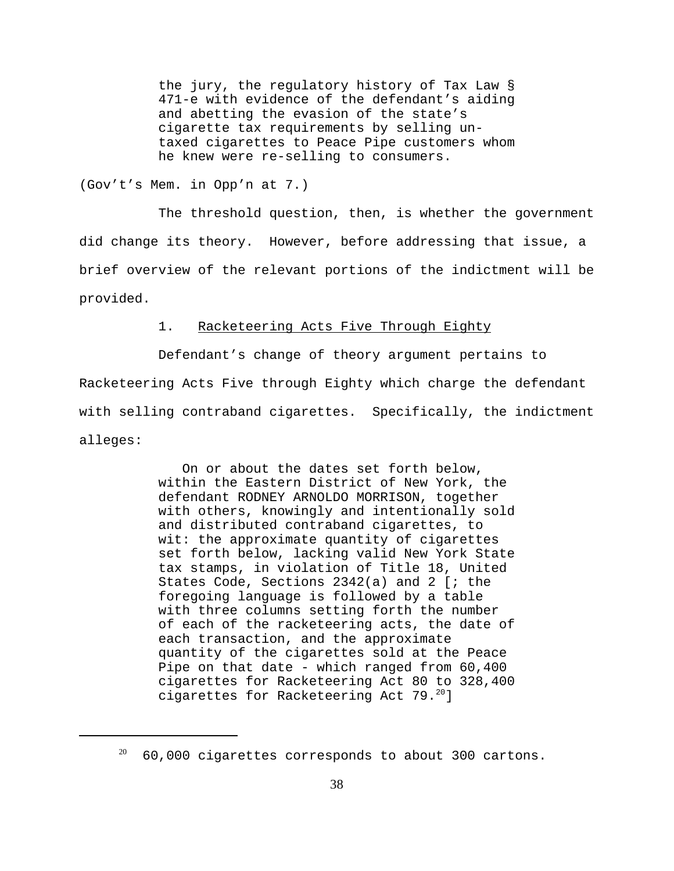the jury, the regulatory history of Tax Law § 471-e with evidence of the defendant's aiding and abetting the evasion of the state's cigarette tax requirements by selling untaxed cigarettes to Peace Pipe customers whom he knew were re-selling to consumers.

(Gov't's Mem. in Opp'n at 7.)

The threshold question, then, is whether the government did change its theory. However, before addressing that issue, a brief overview of the relevant portions of the indictment will be provided.

## 1. Racketeering Acts Five Through Eighty

Defendant's change of theory argument pertains to Racketeering Acts Five through Eighty which charge the defendant with selling contraband cigarettes. Specifically, the indictment alleges:

> On or about the dates set forth below, within the Eastern District of New York, the defendant RODNEY ARNOLDO MORRISON, together with others, knowingly and intentionally sold and distributed contraband cigarettes, to wit: the approximate quantity of cigarettes set forth below, lacking valid New York State tax stamps, in violation of Title 18, United States Code, Sections 2342(a) and 2 [; the foregoing language is followed by a table with three columns setting forth the number of each of the racketeering acts, the date of each transaction, and the approximate quantity of the cigarettes sold at the Peace Pipe on that date - which ranged from 60,400 cigarettes for Racketeering Act 80 to 328,400 cigarettes for Racketeering Act 79.<sup>20</sup>]

 $20$  60,000 cigarettes corresponds to about 300 cartons.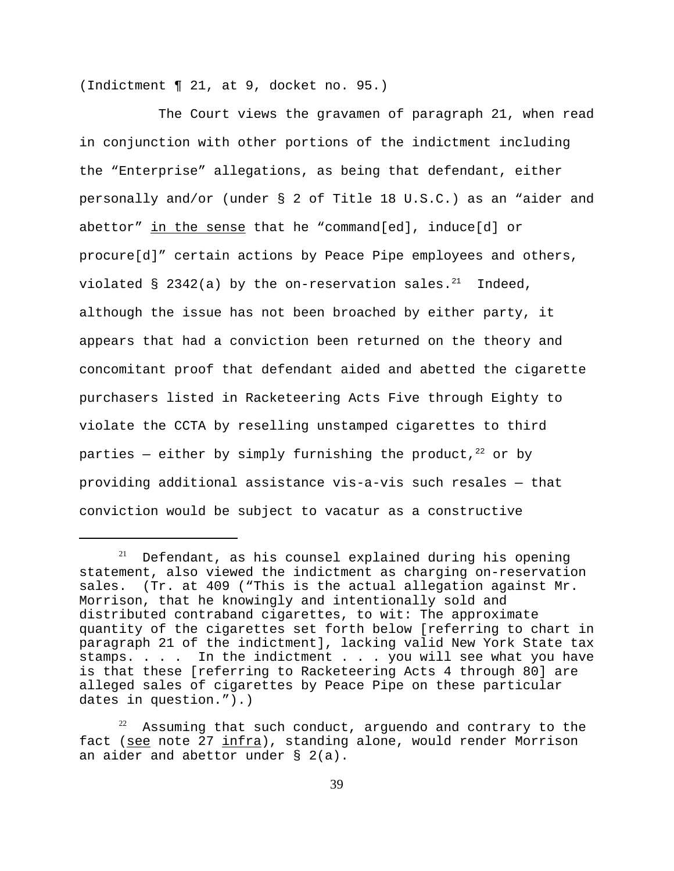(Indictment ¶ 21, at 9, docket no. 95.)

The Court views the gravamen of paragraph 21, when read in conjunction with other portions of the indictment including the "Enterprise" allegations, as being that defendant, either personally and/or (under § 2 of Title 18 U.S.C.) as an "aider and abettor" in the sense that he "command[ed], induce[d] or procure[d]" certain actions by Peace Pipe employees and others, violated  $\S$  2342(a) by the on-reservation sales.<sup>21</sup> Indeed, although the issue has not been broached by either party, it appears that had a conviction been returned on the theory and concomitant proof that defendant aided and abetted the cigarette purchasers listed in Racketeering Acts Five through Eighty to violate the CCTA by reselling unstamped cigarettes to third parties – either by simply furnishing the product,  $22$  or by providing additional assistance vis-a-vis such resales — that conviction would be subject to vacatur as a constructive

 $21$  Defendant, as his counsel explained during his opening statement, also viewed the indictment as charging on-reservation sales. (Tr. at 409 ("This is the actual allegation against Mr. Morrison, that he knowingly and intentionally sold and distributed contraband cigarettes, to wit: The approximate quantity of the cigarettes set forth below [referring to chart in paragraph 21 of the indictment], lacking valid New York State tax stamps. . . . In the indictment . . . you will see what you have is that these [referring to Racketeering Acts 4 through 80] are alleged sales of cigarettes by Peace Pipe on these particular dates in question.").)

Assuming that such conduct, arguendo and contrary to the fact (see note 27 infra), standing alone, would render Morrison an aider and abettor under § 2(a).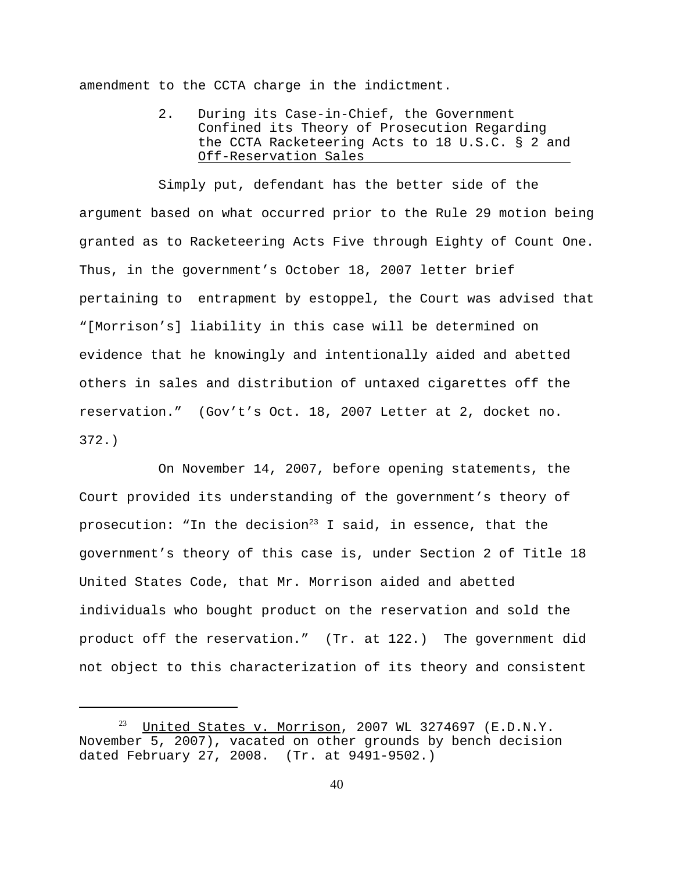amendment to the CCTA charge in the indictment.

2. During its Case-in-Chief, the Government Confined its Theory of Prosecution Regarding the CCTA Racketeering Acts to 18 U.S.C. § 2 and Off-Reservation Sales

Simply put, defendant has the better side of the argument based on what occurred prior to the Rule 29 motion being granted as to Racketeering Acts Five through Eighty of Count One. Thus, in the government's October 18, 2007 letter brief pertaining to entrapment by estoppel, the Court was advised that "[Morrison's] liability in this case will be determined on evidence that he knowingly and intentionally aided and abetted others in sales and distribution of untaxed cigarettes off the reservation." (Gov't's Oct. 18, 2007 Letter at 2, docket no. 372.)

On November 14, 2007, before opening statements, the Court provided its understanding of the government's theory of prosecution: "In the decision<sup>23</sup> I said, in essence, that the government's theory of this case is, under Section 2 of Title 18 United States Code, that Mr. Morrison aided and abetted individuals who bought product on the reservation and sold the product off the reservation." (Tr. at 122.) The government did not object to this characterization of its theory and consistent

 $^{23}$  United States v. Morrison, 2007 WL 3274697 (E.D.N.Y. November 5, 2007), vacated on other grounds by bench decision dated February 27, 2008. (Tr. at 9491-9502.)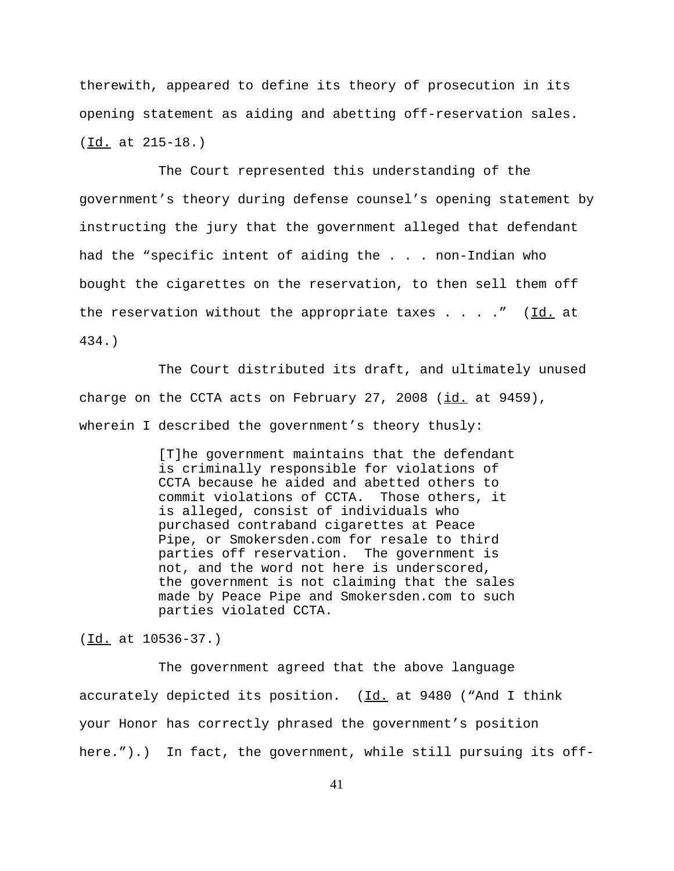therewith, appeared to define its theory of prosecution in its opening statement as aiding and abetting off-reservation sales. (<u>Id.</u> at 215-18.)

The Court represented this understanding of the government's theory during defense counsel's opening statement by instructing the jury that the government alleged that defendant had the "specific intent of aiding the . . . non-Indian who bought the cigarettes on the reservation, to then sell them off the reservation without the appropriate taxes  $\ldots$  . . . " (Id. at 434.)

The Court distributed its draft, and ultimately unused charge on the CCTA acts on February 27, 2008  $(id.$  at 9459), wherein I described the government's theory thusly:

> [T]he government maintains that the defendant is criminally responsible for violations of CCTA because he aided and abetted others to commit violations of CCTA. Those others, it is alleged, consist of individuals who purchased contraband cigarettes at Peace Pipe, or Smokersden.com for resale to third parties off reservation. The government is not, and the word not here is underscored, the government is not claiming that the sales made by Peace Pipe and Smokersden.com to such parties violated CCTA.

(<u>Id.</u> at 10536-37.)

The government agreed that the above language accurately depicted its position.  $(Id. at 9480$  ("And I think your Honor has correctly phrased the government's position here.").) In fact, the government, while still pursuing its off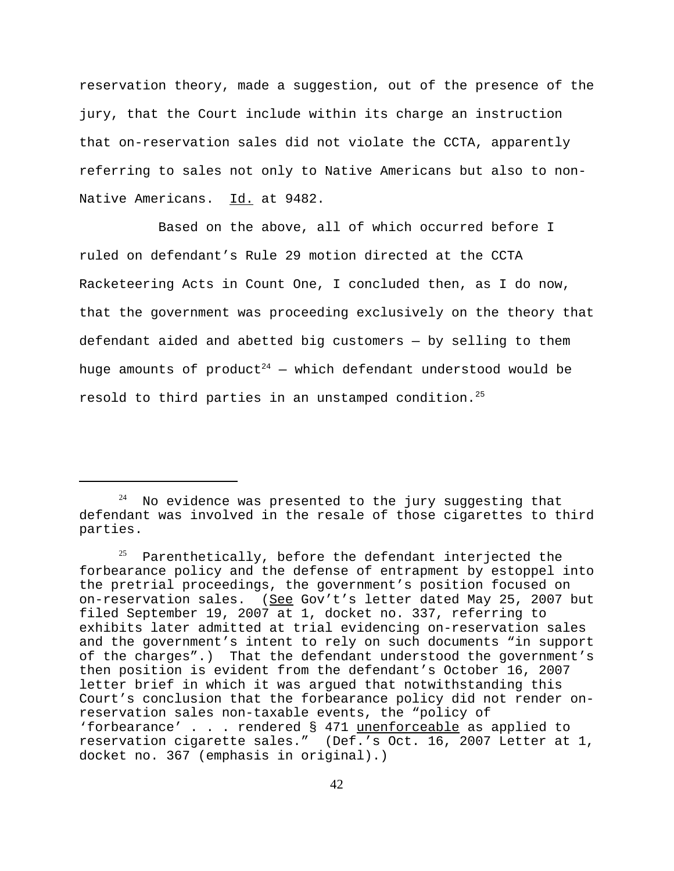reservation theory, made a suggestion, out of the presence of the jury, that the Court include within its charge an instruction that on-reservation sales did not violate the CCTA, apparently referring to sales not only to Native Americans but also to non-Native Americans. Id. at 9482.

Based on the above, all of which occurred before I ruled on defendant's Rule 29 motion directed at the CCTA Racketeering Acts in Count One, I concluded then, as I do now, that the government was proceeding exclusively on the theory that defendant aided and abetted big customers — by selling to them huge amounts of product<sup>24</sup> – which defendant understood would be resold to third parties in an unstamped condition.<sup>25</sup>

 $24$  No evidence was presented to the jury suggesting that defendant was involved in the resale of those cigarettes to third parties.

 $25$  Parenthetically, before the defendant interjected the forbearance policy and the defense of entrapment by estoppel into the pretrial proceedings, the government's position focused on on-reservation sales. (See Gov't's letter dated May 25, 2007 but filed September 19, 2007 at 1, docket no. 337, referring to exhibits later admitted at trial evidencing on-reservation sales and the government's intent to rely on such documents "in support of the charges".) That the defendant understood the government's then position is evident from the defendant's October 16, 2007 letter brief in which it was argued that notwithstanding this Court's conclusion that the forbearance policy did not render onreservation sales non-taxable events, the "policy of 'forbearance' . . . rendered § 471 unenforceable as applied to reservation cigarette sales." (Def.'s Oct. 16, 2007 Letter at 1, docket no. 367 (emphasis in original).)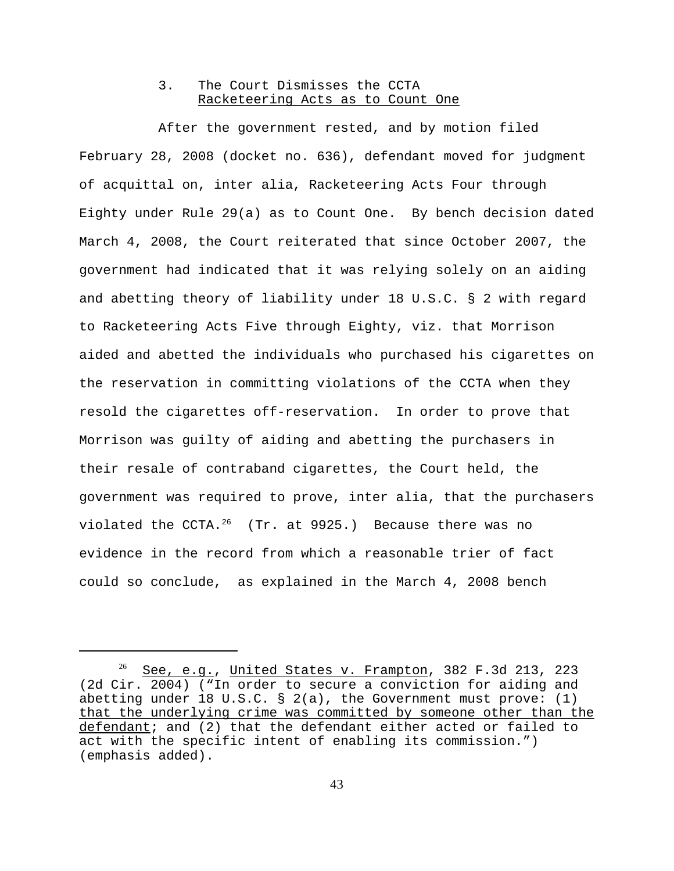## 3. The Court Dismisses the CCTA Racketeering Acts as to Count One

After the government rested, and by motion filed February 28, 2008 (docket no. 636), defendant moved for judgment of acquittal on, inter alia, Racketeering Acts Four through Eighty under Rule 29(a) as to Count One. By bench decision dated March 4, 2008, the Court reiterated that since October 2007, the government had indicated that it was relying solely on an aiding and abetting theory of liability under 18 U.S.C. § 2 with regard to Racketeering Acts Five through Eighty, viz. that Morrison aided and abetted the individuals who purchased his cigarettes on the reservation in committing violations of the CCTA when they resold the cigarettes off-reservation. In order to prove that Morrison was guilty of aiding and abetting the purchasers in their resale of contraband cigarettes, the Court held, the government was required to prove, inter alia, that the purchasers violated the CCTA. $^{26}$  (Tr. at 9925.) Because there was no evidence in the record from which a reasonable trier of fact could so conclude, as explained in the March 4, 2008 bench

 $26$  See, e.g., United States v. Frampton, 382 F.3d 213, 223 (2d Cir. 2004) ("In order to secure a conviction for aiding and abetting under 18 U.S.C. § 2(a), the Government must prove: (1) that the underlying crime was committed by someone other than the defendant; and (2) that the defendant either acted or failed to act with the specific intent of enabling its commission.") (emphasis added).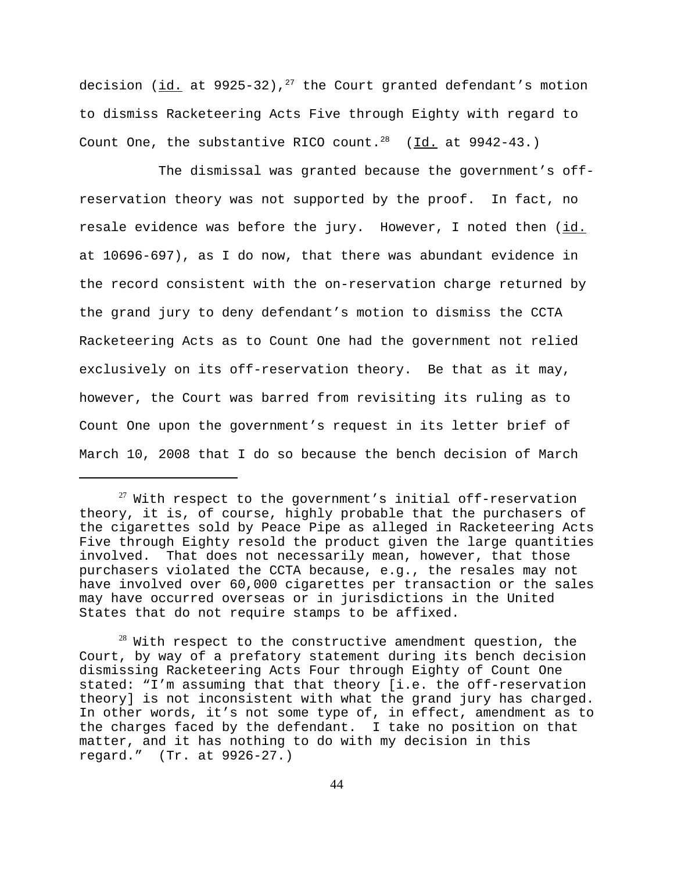decision ( $id.$  at 9925-32),<sup>27</sup> the Court granted defendant's motion to dismiss Racketeering Acts Five through Eighty with regard to Count One, the substantive RICO count.<sup>28</sup> (Id. at 9942-43.)

The dismissal was granted because the government's offreservation theory was not supported by the proof. In fact, no resale evidence was before the jury. However, I noted then (id. at 10696-697), as I do now, that there was abundant evidence in the record consistent with the on-reservation charge returned by the grand jury to deny defendant's motion to dismiss the CCTA Racketeering Acts as to Count One had the government not relied exclusively on its off-reservation theory. Be that as it may, however, the Court was barred from revisiting its ruling as to Count One upon the government's request in its letter brief of March 10, 2008 that I do so because the bench decision of March

 $27$  With respect to the government's initial off-reservation theory, it is, of course, highly probable that the purchasers of the cigarettes sold by Peace Pipe as alleged in Racketeering Acts Five through Eighty resold the product given the large quantities involved. That does not necessarily mean, however, that those purchasers violated the CCTA because, e.g., the resales may not have involved over 60,000 cigarettes per transaction or the sales may have occurred overseas or in jurisdictions in the United States that do not require stamps to be affixed.

 $^{28}$  With respect to the constructive amendment question, the Court, by way of a prefatory statement during its bench decision dismissing Racketeering Acts Four through Eighty of Count One stated: "I'm assuming that that theory [i.e. the off-reservation theory] is not inconsistent with what the grand jury has charged. In other words, it's not some type of, in effect, amendment as to the charges faced by the defendant. I take no position on that matter, and it has nothing to do with my decision in this regard." (Tr. at 9926-27.)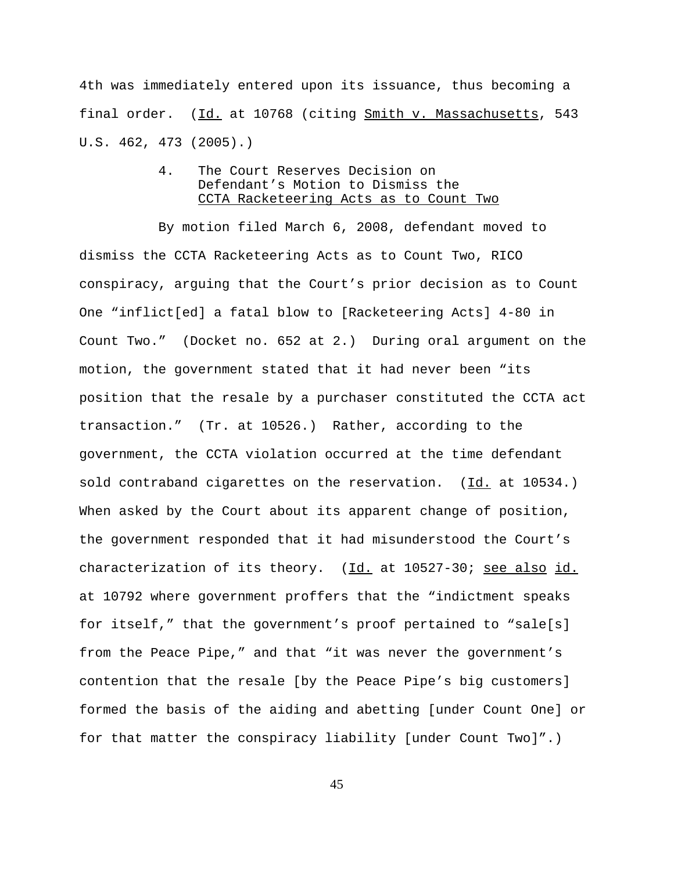4th was immediately entered upon its issuance, thus becoming a final order. (Id. at 10768 (citing Smith v. Massachusetts, 543 U.S. 462, 473 (2005).)

# 4. The Court Reserves Decision on Defendant's Motion to Dismiss the CCTA Racketeering Acts as to Count Two

By motion filed March 6, 2008, defendant moved to dismiss the CCTA Racketeering Acts as to Count Two, RICO conspiracy, arguing that the Court's prior decision as to Count One "inflict[ed] a fatal blow to [Racketeering Acts] 4-80 in Count Two." (Docket no. 652 at 2.) During oral argument on the motion, the government stated that it had never been "its position that the resale by a purchaser constituted the CCTA act transaction." (Tr. at 10526.) Rather, according to the government, the CCTA violation occurred at the time defendant sold contraband cigarettes on the reservation. (Id. at 10534.) When asked by the Court about its apparent change of position, the government responded that it had misunderstood the Court's characterization of its theory. (Id. at 10527-30; see also id. at 10792 where government proffers that the "indictment speaks for itself," that the government's proof pertained to "sale[s] from the Peace Pipe," and that "it was never the government's contention that the resale [by the Peace Pipe's big customers] formed the basis of the aiding and abetting [under Count One] or for that matter the conspiracy liability [under Count Two]".)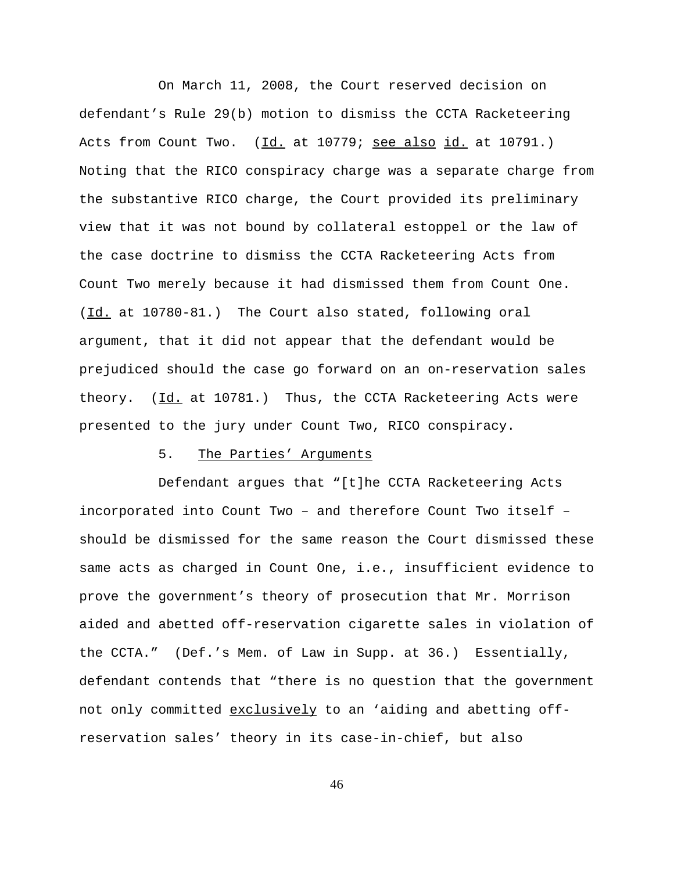On March 11, 2008, the Court reserved decision on defendant's Rule 29(b) motion to dismiss the CCTA Racketeering Acts from Count Two. (Id. at 10779; see also id. at 10791.) Noting that the RICO conspiracy charge was a separate charge from the substantive RICO charge, the Court provided its preliminary view that it was not bound by collateral estoppel or the law of the case doctrine to dismiss the CCTA Racketeering Acts from Count Two merely because it had dismissed them from Count One. (Id. at 10780-81.) The Court also stated, following oral argument, that it did not appear that the defendant would be prejudiced should the case go forward on an on-reservation sales theory. (Id. at 10781.) Thus, the CCTA Racketeering Acts were presented to the jury under Count Two, RICO conspiracy.

#### 5. The Parties' Arguments

Defendant argues that "[t]he CCTA Racketeering Acts incorporated into Count Two – and therefore Count Two itself – should be dismissed for the same reason the Court dismissed these same acts as charged in Count One, i.e., insufficient evidence to prove the government's theory of prosecution that Mr. Morrison aided and abetted off-reservation cigarette sales in violation of the CCTA." (Def.'s Mem. of Law in Supp. at 36.) Essentially, defendant contends that "there is no question that the government not only committed exclusively to an 'aiding and abetting offreservation sales' theory in its case-in-chief, but also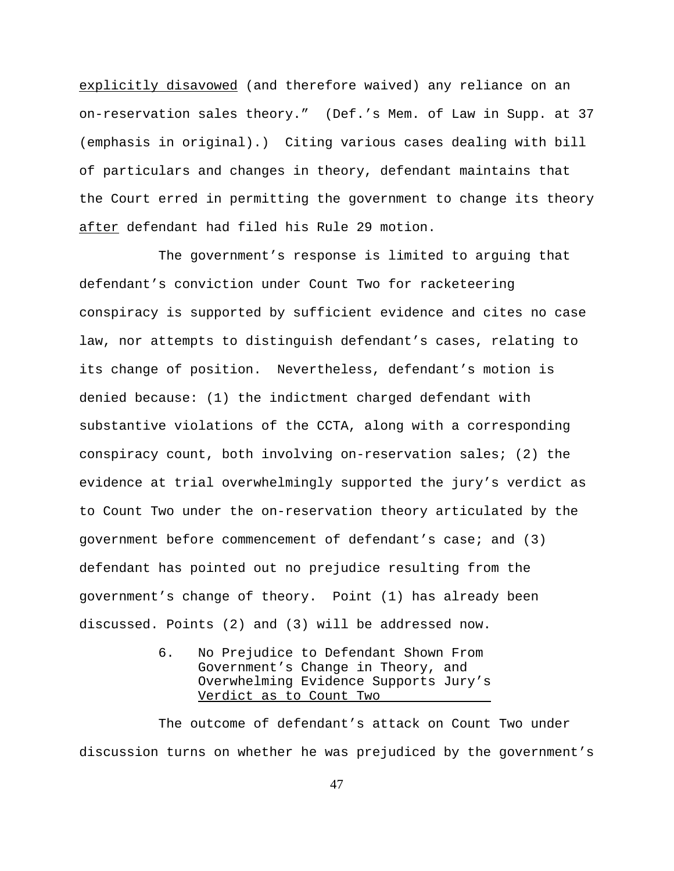explicitly disavowed (and therefore waived) any reliance on an on-reservation sales theory." (Def.'s Mem. of Law in Supp. at 37 (emphasis in original).) Citing various cases dealing with bill of particulars and changes in theory, defendant maintains that the Court erred in permitting the government to change its theory after defendant had filed his Rule 29 motion.

The government's response is limited to arguing that defendant's conviction under Count Two for racketeering conspiracy is supported by sufficient evidence and cites no case law, nor attempts to distinguish defendant's cases, relating to its change of position. Nevertheless, defendant's motion is denied because: (1) the indictment charged defendant with substantive violations of the CCTA, along with a corresponding conspiracy count, both involving on-reservation sales; (2) the evidence at trial overwhelmingly supported the jury's verdict as to Count Two under the on-reservation theory articulated by the government before commencement of defendant's case; and (3) defendant has pointed out no prejudice resulting from the government's change of theory. Point (1) has already been discussed. Points (2) and (3) will be addressed now.

> 6. No Prejudice to Defendant Shown From Government's Change in Theory, and Overwhelming Evidence Supports Jury's Verdict as to Count Two

The outcome of defendant's attack on Count Two under discussion turns on whether he was prejudiced by the government's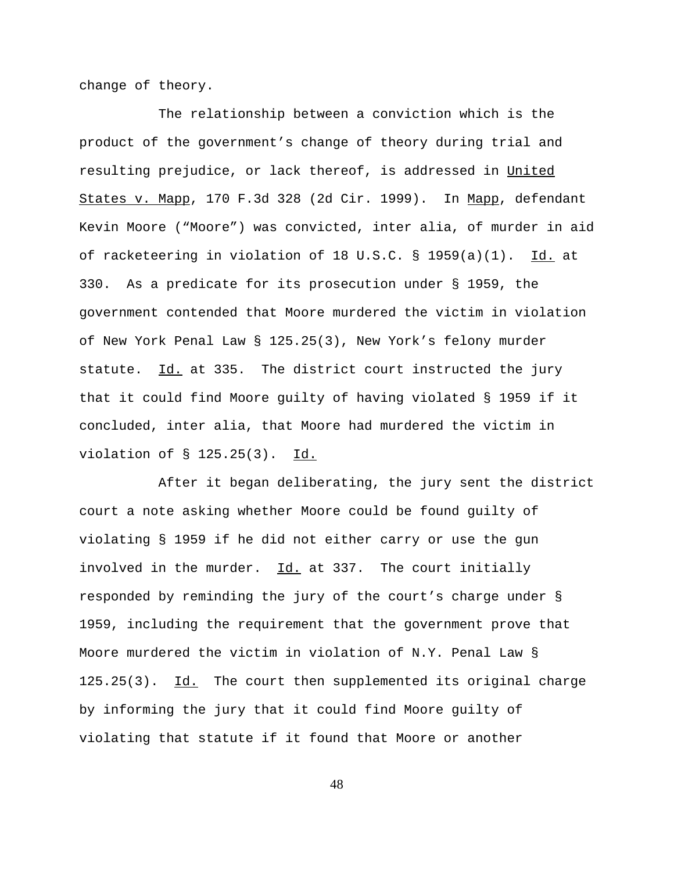change of theory.

The relationship between a conviction which is the product of the government's change of theory during trial and resulting prejudice, or lack thereof, is addressed in United States v. Mapp, 170 F.3d 328 (2d Cir. 1999). In Mapp, defendant Kevin Moore ("Moore") was convicted, inter alia, of murder in aid of racketeering in violation of 18 U.S.C. § 1959(a)(1). Id. at 330. As a predicate for its prosecution under § 1959, the government contended that Moore murdered the victim in violation of New York Penal Law § 125.25(3), New York's felony murder statute. Id. at 335. The district court instructed the jury that it could find Moore guilty of having violated § 1959 if it concluded, inter alia, that Moore had murdered the victim in violation of § 125.25(3). Id.

After it began deliberating, the jury sent the district court a note asking whether Moore could be found guilty of violating § 1959 if he did not either carry or use the gun involved in the murder. Id. at 337. The court initially responded by reminding the jury of the court's charge under § 1959, including the requirement that the government prove that Moore murdered the victim in violation of N.Y. Penal Law § 125.25(3). Id. The court then supplemented its original charge by informing the jury that it could find Moore guilty of violating that statute if it found that Moore or another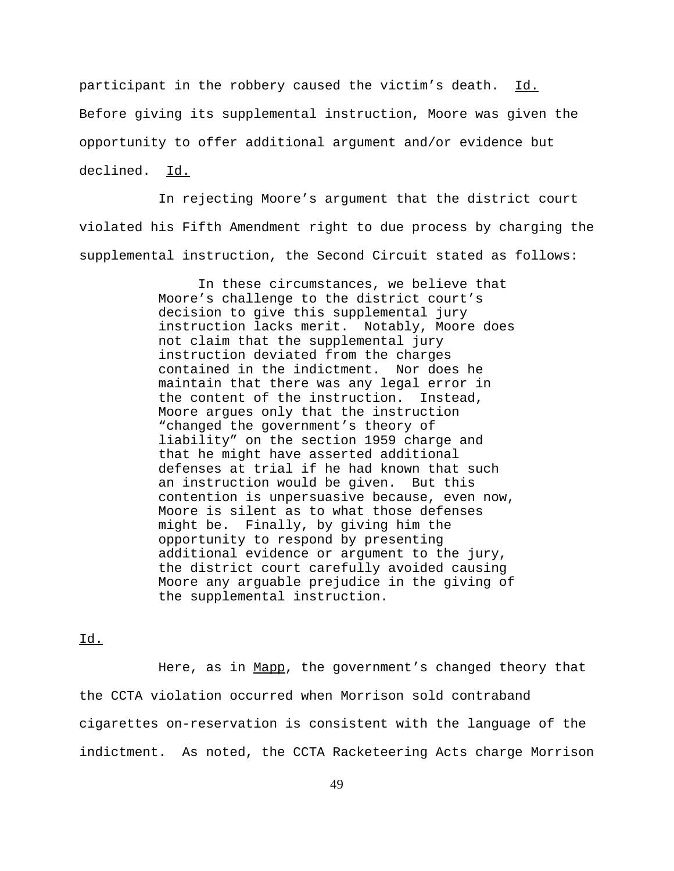participant in the robbery caused the victim's death. Id. Before giving its supplemental instruction, Moore was given the opportunity to offer additional argument and/or evidence but declined. Id.

In rejecting Moore's argument that the district court violated his Fifth Amendment right to due process by charging the supplemental instruction, the Second Circuit stated as follows:

> In these circumstances, we believe that Moore's challenge to the district court's decision to give this supplemental jury instruction lacks merit. Notably, Moore does not claim that the supplemental jury instruction deviated from the charges contained in the indictment. Nor does he maintain that there was any legal error in the content of the instruction. Instead, Moore argues only that the instruction "changed the government's theory of liability" on the section 1959 charge and that he might have asserted additional defenses at trial if he had known that such an instruction would be given. But this contention is unpersuasive because, even now, Moore is silent as to what those defenses might be. Finally, by giving him the opportunity to respond by presenting additional evidence or argument to the jury, the district court carefully avoided causing Moore any arguable prejudice in the giving of the supplemental instruction.

Id.

Here, as in Mapp, the government's changed theory that the CCTA violation occurred when Morrison sold contraband cigarettes on-reservation is consistent with the language of the indictment. As noted, the CCTA Racketeering Acts charge Morrison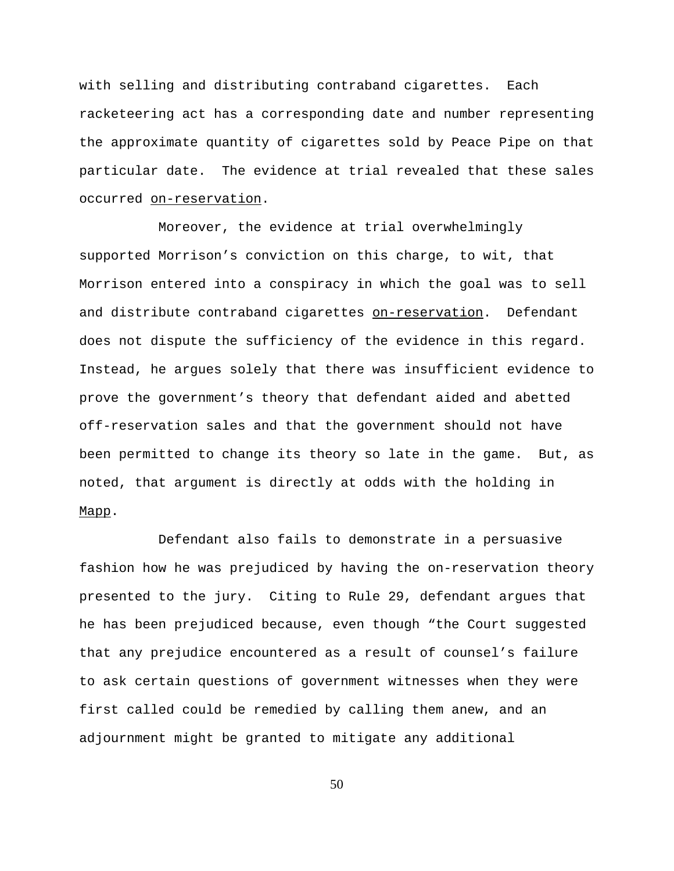with selling and distributing contraband cigarettes. Each racketeering act has a corresponding date and number representing the approximate quantity of cigarettes sold by Peace Pipe on that particular date. The evidence at trial revealed that these sales occurred on-reservation.

Moreover, the evidence at trial overwhelmingly supported Morrison's conviction on this charge, to wit, that Morrison entered into a conspiracy in which the goal was to sell and distribute contraband cigarettes on-reservation. Defendant does not dispute the sufficiency of the evidence in this regard. Instead, he argues solely that there was insufficient evidence to prove the government's theory that defendant aided and abetted off-reservation sales and that the government should not have been permitted to change its theory so late in the game. But, as noted, that argument is directly at odds with the holding in Mapp.

Defendant also fails to demonstrate in a persuasive fashion how he was prejudiced by having the on-reservation theory presented to the jury. Citing to Rule 29, defendant argues that he has been prejudiced because, even though "the Court suggested that any prejudice encountered as a result of counsel's failure to ask certain questions of government witnesses when they were first called could be remedied by calling them anew, and an adjournment might be granted to mitigate any additional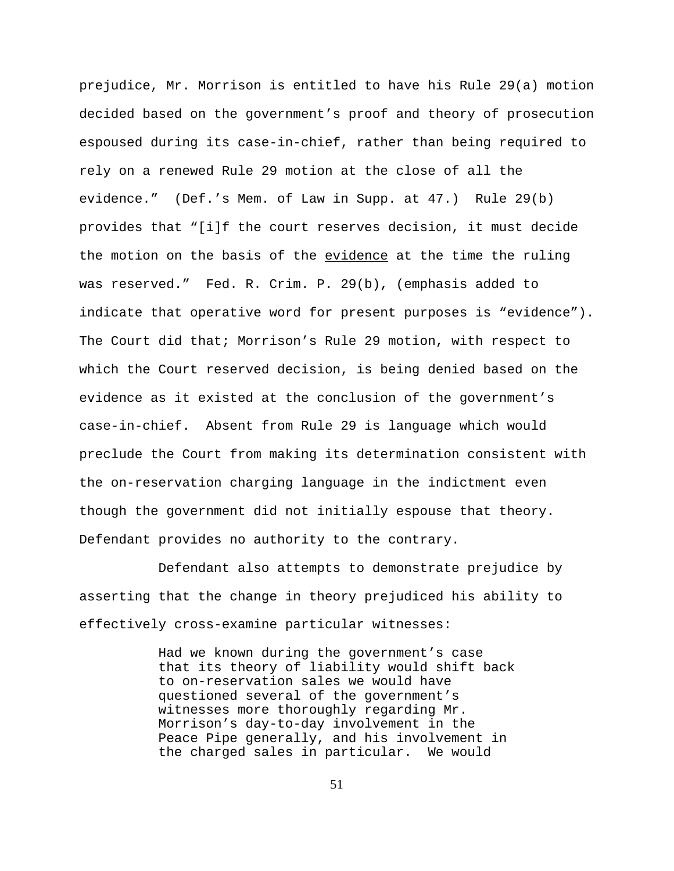prejudice, Mr. Morrison is entitled to have his Rule 29(a) motion decided based on the government's proof and theory of prosecution espoused during its case-in-chief, rather than being required to rely on a renewed Rule 29 motion at the close of all the evidence." (Def.'s Mem. of Law in Supp. at 47.) Rule 29(b) provides that "[i]f the court reserves decision, it must decide the motion on the basis of the evidence at the time the ruling was reserved." Fed. R. Crim. P. 29(b), (emphasis added to indicate that operative word for present purposes is "evidence"). The Court did that; Morrison's Rule 29 motion, with respect to which the Court reserved decision, is being denied based on the evidence as it existed at the conclusion of the government's case-in-chief. Absent from Rule 29 is language which would preclude the Court from making its determination consistent with the on-reservation charging language in the indictment even though the government did not initially espouse that theory. Defendant provides no authority to the contrary.

Defendant also attempts to demonstrate prejudice by asserting that the change in theory prejudiced his ability to effectively cross-examine particular witnesses:

> Had we known during the government's case that its theory of liability would shift back to on-reservation sales we would have questioned several of the government's witnesses more thoroughly regarding Mr. Morrison's day-to-day involvement in the Peace Pipe generally, and his involvement in the charged sales in particular. We would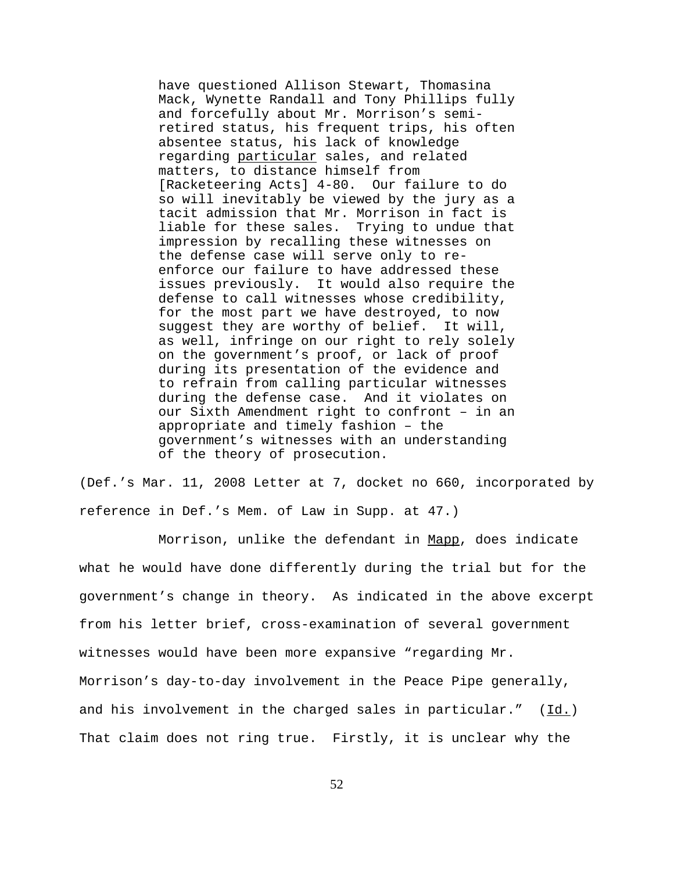have questioned Allison Stewart, Thomasina Mack, Wynette Randall and Tony Phillips fully and forcefully about Mr. Morrison's semiretired status, his frequent trips, his often absentee status, his lack of knowledge regarding particular sales, and related matters, to distance himself from [Racketeering Acts] 4-80. Our failure to do so will inevitably be viewed by the jury as a tacit admission that Mr. Morrison in fact is liable for these sales. Trying to undue that impression by recalling these witnesses on the defense case will serve only to reenforce our failure to have addressed these issues previously. It would also require the defense to call witnesses whose credibility, for the most part we have destroyed, to now suggest they are worthy of belief. It will, as well, infringe on our right to rely solely on the government's proof, or lack of proof during its presentation of the evidence and to refrain from calling particular witnesses during the defense case. And it violates on our Sixth Amendment right to confront – in an appropriate and timely fashion – the government's witnesses with an understanding of the theory of prosecution.

(Def.'s Mar. 11, 2008 Letter at 7, docket no 660, incorporated by reference in Def.'s Mem. of Law in Supp. at 47.)

Morrison, unlike the defendant in Mapp, does indicate what he would have done differently during the trial but for the government's change in theory. As indicated in the above excerpt from his letter brief, cross-examination of several government witnesses would have been more expansive "regarding Mr. Morrison's day-to-day involvement in the Peace Pipe generally, and his involvement in the charged sales in particular."  $(Id.)$ That claim does not ring true. Firstly, it is unclear why the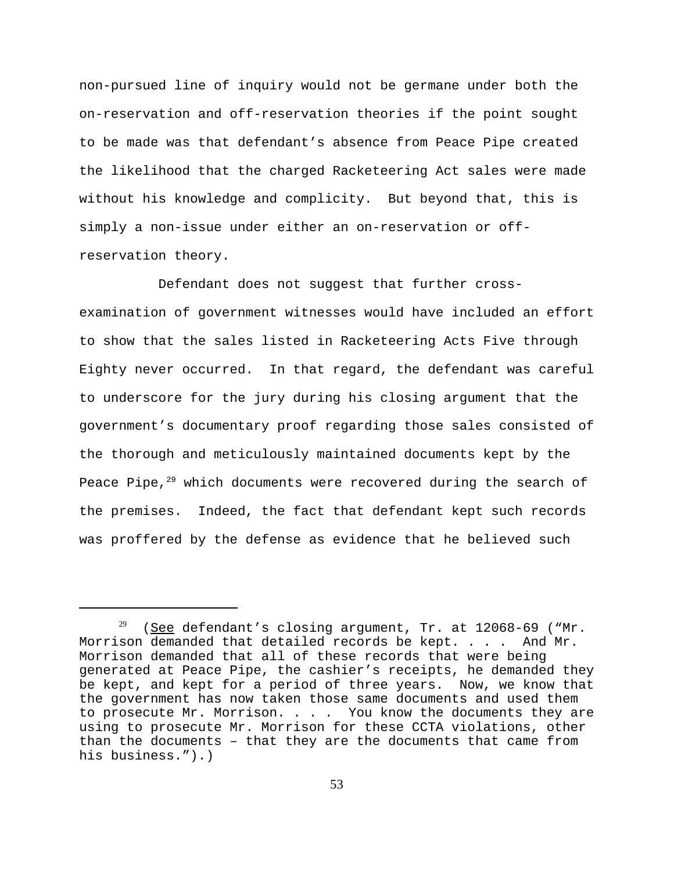non-pursued line of inquiry would not be germane under both the on-reservation and off-reservation theories if the point sought to be made was that defendant's absence from Peace Pipe created the likelihood that the charged Racketeering Act sales were made without his knowledge and complicity. But beyond that, this is simply a non-issue under either an on-reservation or offreservation theory.

Defendant does not suggest that further crossexamination of government witnesses would have included an effort to show that the sales listed in Racketeering Acts Five through Eighty never occurred. In that regard, the defendant was careful to underscore for the jury during his closing argument that the government's documentary proof regarding those sales consisted of the thorough and meticulously maintained documents kept by the Peace Pipe, $29$  which documents were recovered during the search of the premises. Indeed, the fact that defendant kept such records was proffered by the defense as evidence that he believed such

 $29$  (See defendant's closing argument, Tr. at 12068-69 ("Mr. Morrison demanded that detailed records be kept. . . . And Mr. Morrison demanded that all of these records that were being generated at Peace Pipe, the cashier's receipts, he demanded they be kept, and kept for a period of three years. Now, we know that the government has now taken those same documents and used them to prosecute Mr. Morrison. . . . You know the documents they are using to prosecute Mr. Morrison for these CCTA violations, other than the documents – that they are the documents that came from his business.").)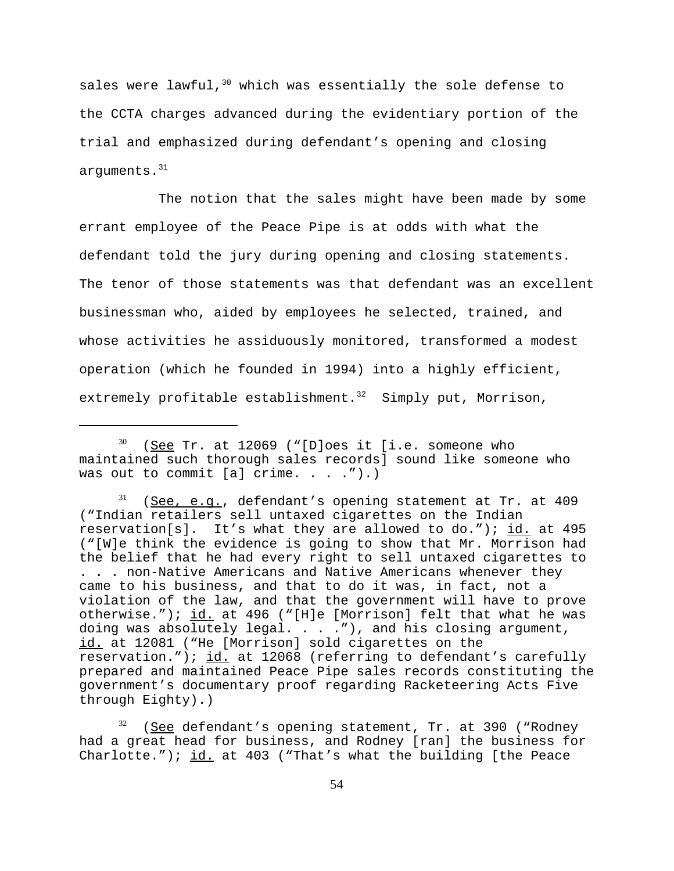sales were lawful,  $30$  which was essentially the sole defense to the CCTA charges advanced during the evidentiary portion of the trial and emphasized during defendant's opening and closing arguments.<sup>31</sup>

The notion that the sales might have been made by some errant employee of the Peace Pipe is at odds with what the defendant told the jury during opening and closing statements. The tenor of those statements was that defendant was an excellent businessman who, aided by employees he selected, trained, and whose activities he assiduously monitored, transformed a modest operation (which he founded in 1994) into a highly efficient, extremely profitable establishment. $32$  Simply put, Morrison,

 $30$  (See Tr. at 12069 ("[D]oes it [i.e. someone who maintained such thorough sales records] sound like someone who was out to commit  $[a]$  crime. . . . ").)

 $31$  (See, e.g., defendant's opening statement at Tr. at 409 ("Indian retailers sell untaxed cigarettes on the Indian reservation[s]. It's what they are allowed to do."); id. at 495 ("[W]e think the evidence is going to show that Mr. Morrison had the belief that he had every right to sell untaxed cigarettes to . . . non-Native Americans and Native Americans whenever they came to his business, and that to do it was, in fact, not a violation of the law, and that the government will have to prove otherwise.");  $id.$  at 496 ("[H]e [Morrison] felt that what he was doing was absolutely legal. . . ."), and his closing argument, id. at 12081 ("He [Morrison] sold cigarettes on the reservation.");  $id.$  at 12068 (referring to defendant's carefully prepared and maintained Peace Pipe sales records constituting the government's documentary proof regarding Racketeering Acts Five through Eighty).)

 $32$  (See defendant's opening statement, Tr. at 390 ("Rodney had a great head for business, and Rodney [ran] the business for Charlotte.");  $id.$  at 403 ("That's what the building [the Peace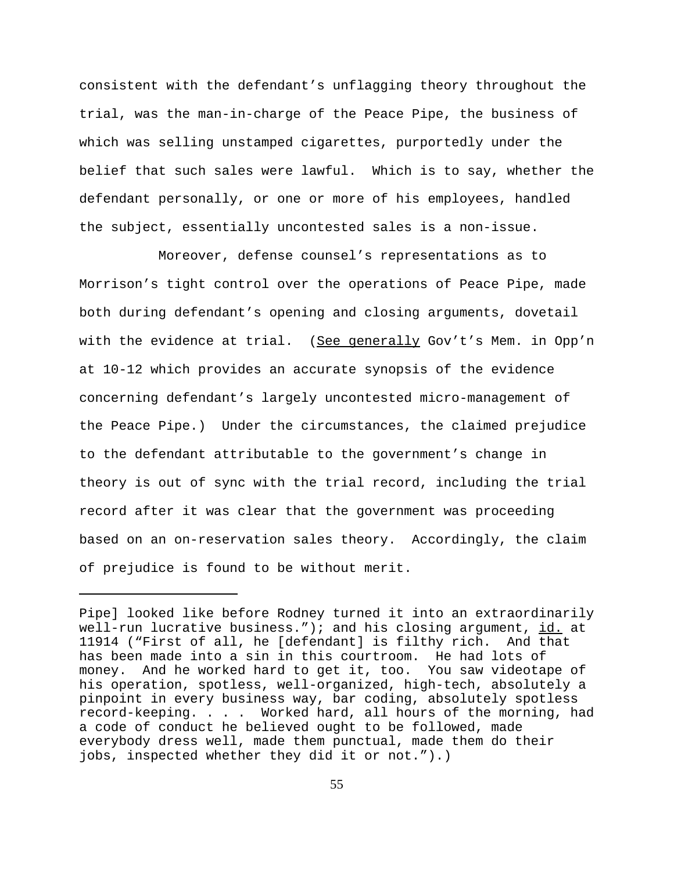consistent with the defendant's unflagging theory throughout the trial, was the man-in-charge of the Peace Pipe, the business of which was selling unstamped cigarettes, purportedly under the belief that such sales were lawful. Which is to say, whether the defendant personally, or one or more of his employees, handled the subject, essentially uncontested sales is a non-issue.

 Moreover, defense counsel's representations as to Morrison's tight control over the operations of Peace Pipe, made both during defendant's opening and closing arguments, dovetail with the evidence at trial. (See generally Gov't's Mem. in Opp'n at 10-12 which provides an accurate synopsis of the evidence concerning defendant's largely uncontested micro-management of the Peace Pipe.) Under the circumstances, the claimed prejudice to the defendant attributable to the government's change in theory is out of sync with the trial record, including the trial record after it was clear that the government was proceeding based on an on-reservation sales theory. Accordingly, the claim of prejudice is found to be without merit.

Pipe] looked like before Rodney turned it into an extraordinarily well-run lucrative business."); and his closing argument,  $id.$  at 11914 ("First of all, he [defendant] is filthy rich. And that has been made into a sin in this courtroom. He had lots of money. And he worked hard to get it, too. You saw videotape of his operation, spotless, well-organized, high-tech, absolutely a pinpoint in every business way, bar coding, absolutely spotless record-keeping. . . . Worked hard, all hours of the morning, had a code of conduct he believed ought to be followed, made everybody dress well, made them punctual, made them do their jobs, inspected whether they did it or not.").)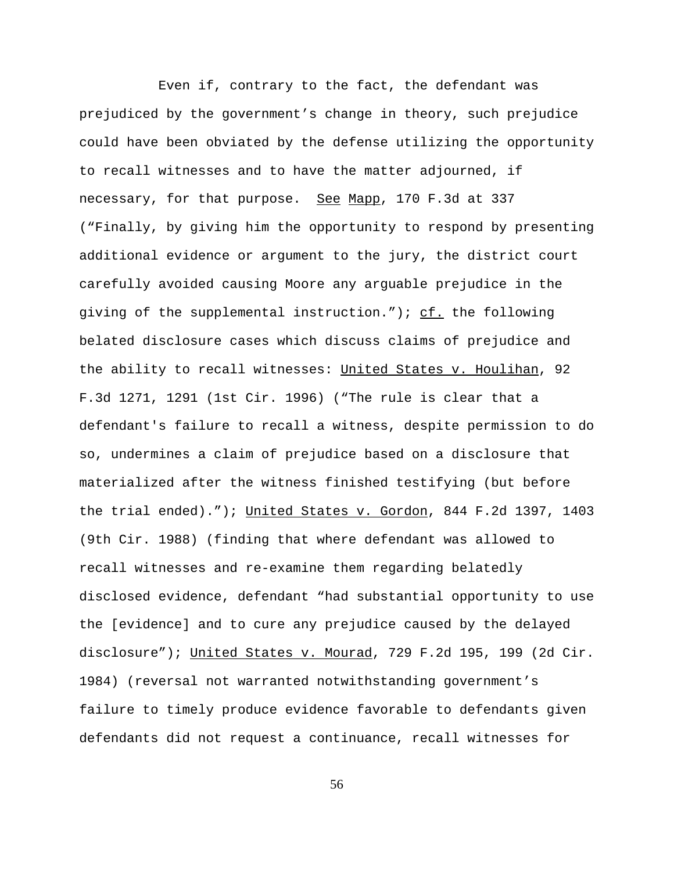Even if, contrary to the fact, the defendant was prejudiced by the government's change in theory, such prejudice could have been obviated by the defense utilizing the opportunity to recall witnesses and to have the matter adjourned, if necessary, for that purpose. See Mapp, 170 F.3d at 337 ("Finally, by giving him the opportunity to respond by presenting additional evidence or argument to the jury, the district court carefully avoided causing Moore any arguable prejudice in the giving of the supplemental instruction.");  $cf.$  the following belated disclosure cases which discuss claims of prejudice and the ability to recall witnesses: United States v. Houlihan, 92 F.3d 1271, 1291 (1st Cir. 1996) ("The rule is clear that a defendant's failure to recall a witness, despite permission to do so, undermines a claim of prejudice based on a disclosure that materialized after the witness finished testifying (but before the trial ended)."); United States v. Gordon, 844 F.2d 1397, 1403 (9th Cir. 1988) (finding that where defendant was allowed to recall witnesses and re-examine them regarding belatedly disclosed evidence, defendant "had substantial opportunity to use the [evidence] and to cure any prejudice caused by the delayed disclosure"); United States v. Mourad, 729 F.2d 195, 199 (2d Cir. 1984) (reversal not warranted notwithstanding government's failure to timely produce evidence favorable to defendants given defendants did not request a continuance, recall witnesses for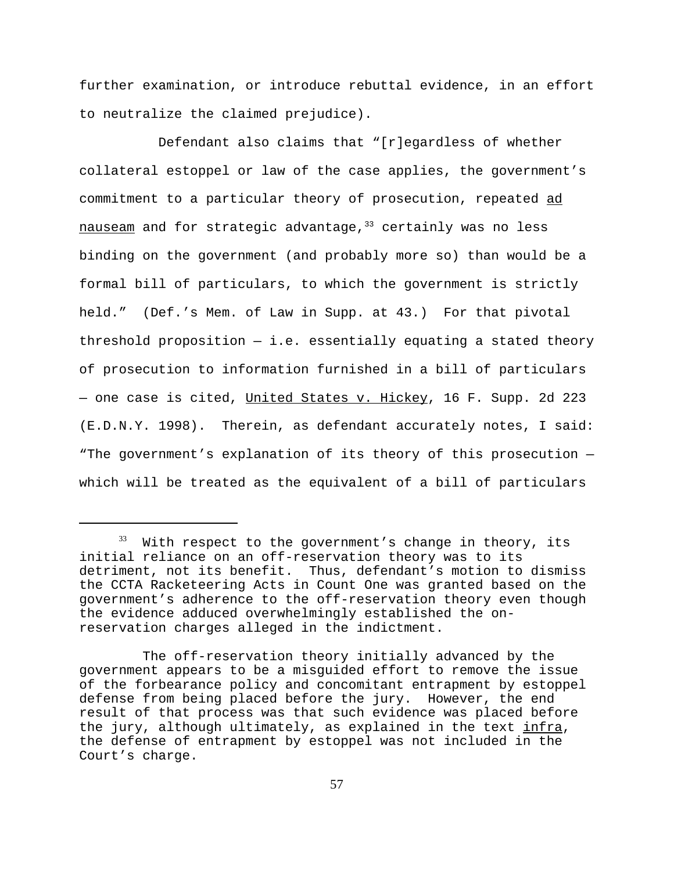further examination, or introduce rebuttal evidence, in an effort to neutralize the claimed prejudice).

Defendant also claims that "[r]egardless of whether collateral estoppel or law of the case applies, the government's commitment to a particular theory of prosecution, repeated ad  $n$ auseam and for strategic advantage,  $33$  certainly was no less binding on the government (and probably more so) than would be a formal bill of particulars, to which the government is strictly held." (Def.'s Mem. of Law in Supp. at 43.) For that pivotal threshold proposition  $-$  i.e. essentially equating a stated theory of prosecution to information furnished in a bill of particulars - one case is cited, United States v. Hickey, 16 F. Supp. 2d 223 (E.D.N.Y. 1998). Therein, as defendant accurately notes, I said: "The government's explanation of its theory of this prosecution which will be treated as the equivalent of a bill of particulars

 $33$  With respect to the government's change in theory, its initial reliance on an off-reservation theory was to its detriment, not its benefit. Thus, defendant's motion to dismiss the CCTA Racketeering Acts in Count One was granted based on the government's adherence to the off-reservation theory even though the evidence adduced overwhelmingly established the onreservation charges alleged in the indictment.

The off-reservation theory initially advanced by the government appears to be a misguided effort to remove the issue of the forbearance policy and concomitant entrapment by estoppel defense from being placed before the jury. However, the end result of that process was that such evidence was placed before the jury, although ultimately, as explained in the text infra, the defense of entrapment by estoppel was not included in the Court's charge.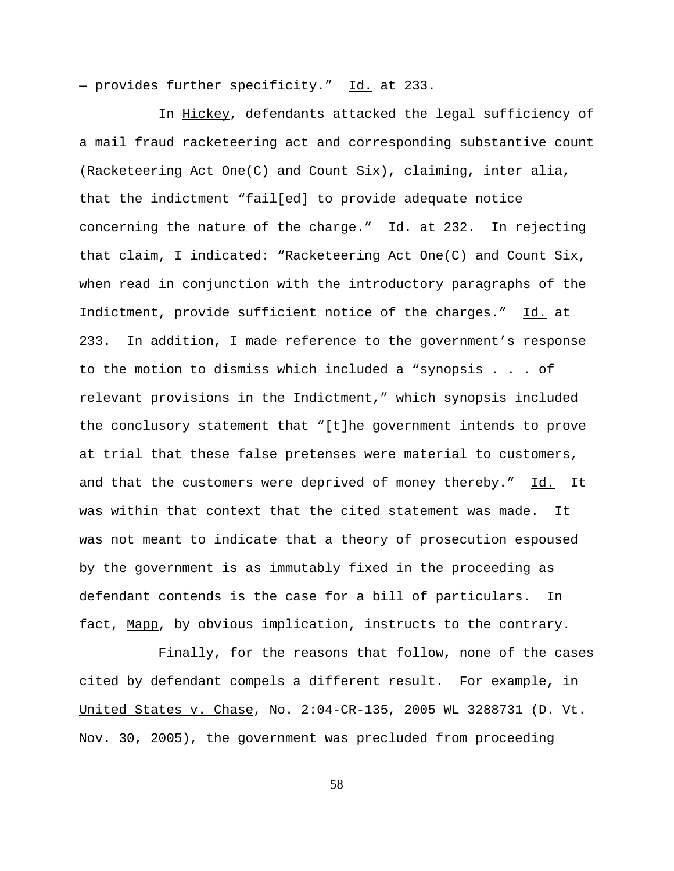- provides further specificity." Id. at 233.

In Hickey, defendants attacked the legal sufficiency of a mail fraud racketeering act and corresponding substantive count (Racketeering Act One(C) and Count Six), claiming, inter alia, that the indictment "fail[ed] to provide adequate notice concerning the nature of the charge."  $\underline{Id.}$  at 232. In rejecting that claim, I indicated: "Racketeering Act One(C) and Count Six, when read in conjunction with the introductory paragraphs of the Indictment, provide sufficient notice of the charges." Id. at 233. In addition, I made reference to the government's response to the motion to dismiss which included a "synopsis . . . of relevant provisions in the Indictment," which synopsis included the conclusory statement that "[t]he government intends to prove at trial that these false pretenses were material to customers, and that the customers were deprived of money thereby." Id. It was within that context that the cited statement was made. It was not meant to indicate that a theory of prosecution espoused by the government is as immutably fixed in the proceeding as defendant contends is the case for a bill of particulars. In fact, Mapp, by obvious implication, instructs to the contrary.

Finally, for the reasons that follow, none of the cases cited by defendant compels a different result. For example, in United States v. Chase, No. 2:04-CR-135, 2005 WL 3288731 (D. Vt. Nov. 30, 2005), the government was precluded from proceeding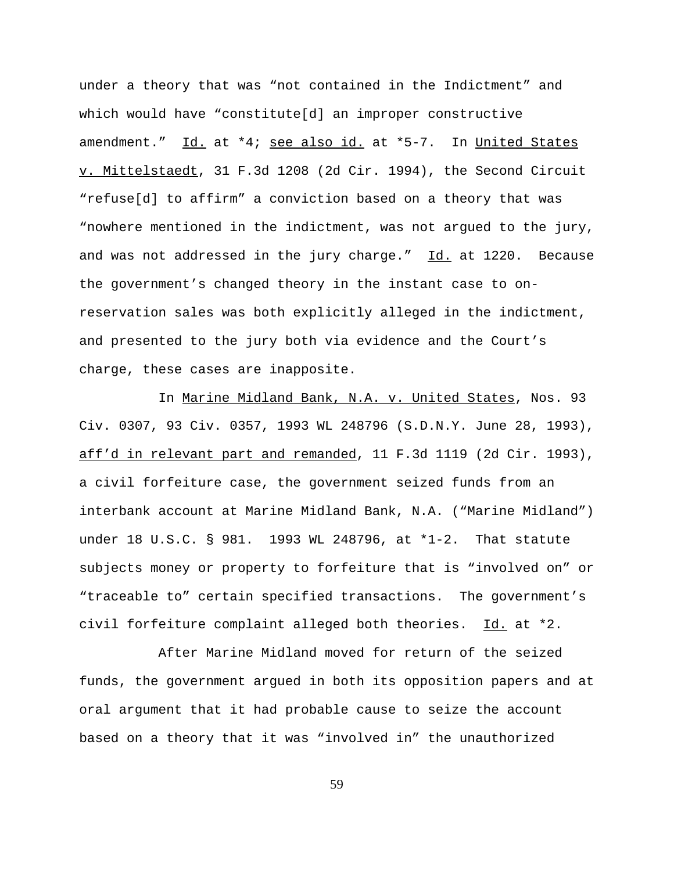under a theory that was "not contained in the Indictment" and which would have "constitute[d] an improper constructive amendment." Id. at \*4; see also id. at \*5-7. In United States v. Mittelstaedt, 31 F.3d 1208 (2d Cir. 1994), the Second Circuit "refuse[d] to affirm" a conviction based on a theory that was "nowhere mentioned in the indictment, was not argued to the jury, and was not addressed in the jury charge." Id. at 1220. Because the government's changed theory in the instant case to onreservation sales was both explicitly alleged in the indictment, and presented to the jury both via evidence and the Court's charge, these cases are inapposite.

In Marine Midland Bank, N.A. v. United States, Nos. 93 Civ. 0307, 93 Civ. 0357, 1993 WL 248796 (S.D.N.Y. June 28, 1993), aff'd in relevant part and remanded, 11 F.3d 1119 (2d Cir. 1993), a civil forfeiture case, the government seized funds from an interbank account at Marine Midland Bank, N.A. ("Marine Midland") under 18 U.S.C. § 981. 1993 WL 248796, at \*1-2. That statute subjects money or property to forfeiture that is "involved on" or "traceable to" certain specified transactions. The government's civil forfeiture complaint alleged both theories. Id. at \*2.

After Marine Midland moved for return of the seized funds, the government argued in both its opposition papers and at oral argument that it had probable cause to seize the account based on a theory that it was "involved in" the unauthorized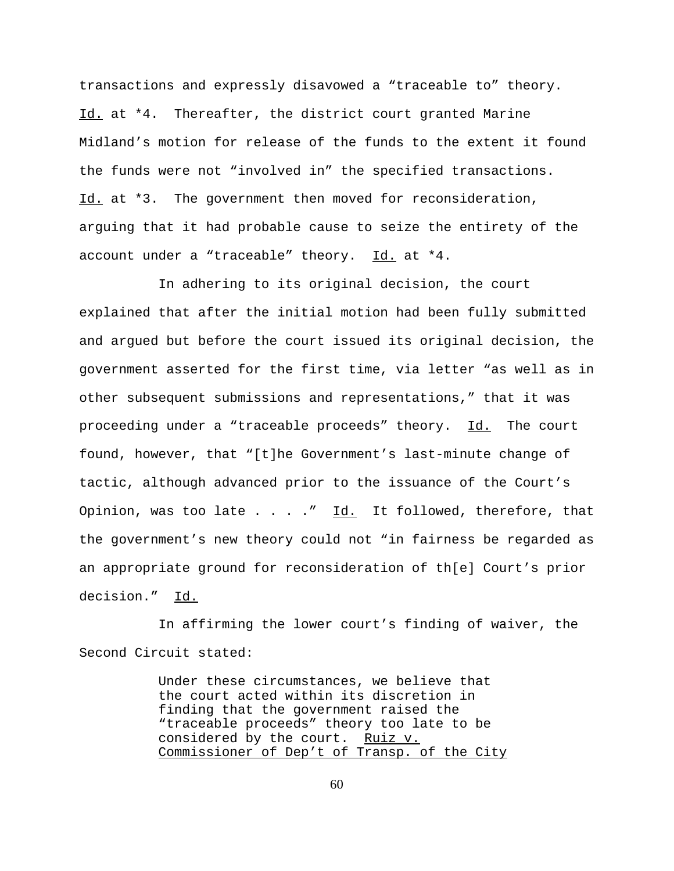transactions and expressly disavowed a "traceable to" theory. Id. at \*4. Thereafter, the district court granted Marine Midland's motion for release of the funds to the extent it found the funds were not "involved in" the specified transactions. Id. at \*3. The government then moved for reconsideration, arguing that it had probable cause to seize the entirety of the account under a "traceable" theory.  $Id.$  at  $*4.$ 

In adhering to its original decision, the court explained that after the initial motion had been fully submitted and argued but before the court issued its original decision, the government asserted for the first time, via letter "as well as in other subsequent submissions and representations," that it was proceeding under a "traceable proceeds" theory. Id. The court found, however, that "[t]he Government's last-minute change of tactic, although advanced prior to the issuance of the Court's Opinion, was too late  $\ldots$  . . . " Id. It followed, therefore, that the government's new theory could not "in fairness be regarded as an appropriate ground for reconsideration of th[e] Court's prior decision." Id.

In affirming the lower court's finding of waiver, the Second Circuit stated:

> Under these circumstances, we believe that the court acted within its discretion in finding that the government raised the "traceable proceeds" theory too late to be considered by the court. Ruiz v. Commissioner of Dep't of Transp. of the City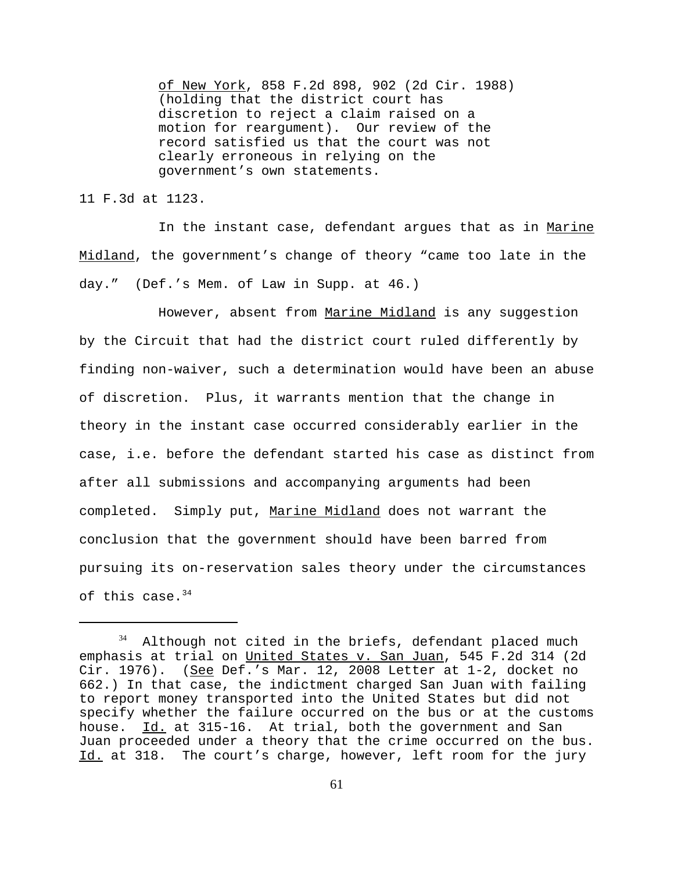of New York, 858 F.2d 898, 902 (2d Cir. 1988) (holding that the district court has discretion to reject a claim raised on a motion for reargument). Our review of the record satisfied us that the court was not clearly erroneous in relying on the government's own statements.

11 F.3d at 1123.

In the instant case, defendant argues that as in Marine Midland, the government's change of theory "came too late in the day." (Def.'s Mem. of Law in Supp. at 46.)

However, absent from Marine Midland is any suggestion by the Circuit that had the district court ruled differently by finding non-waiver, such a determination would have been an abuse of discretion. Plus, it warrants mention that the change in theory in the instant case occurred considerably earlier in the case, i.e. before the defendant started his case as distinct from after all submissions and accompanying arguments had been completed. Simply put, Marine Midland does not warrant the conclusion that the government should have been barred from pursuing its on-reservation sales theory under the circumstances of this case. $34$ 

Although not cited in the briefs, defendant placed much emphasis at trial on United States v. San Juan, 545 F.2d 314 (2d Cir. 1976). (See Def.'s Mar. 12, 2008 Letter at 1-2, docket no 662.) In that case, the indictment charged San Juan with failing to report money transported into the United States but did not specify whether the failure occurred on the bus or at the customs house. Id. at 315-16. At trial, both the government and San Juan proceeded under a theory that the crime occurred on the bus. Id. at 318. The court's charge, however, left room for the jury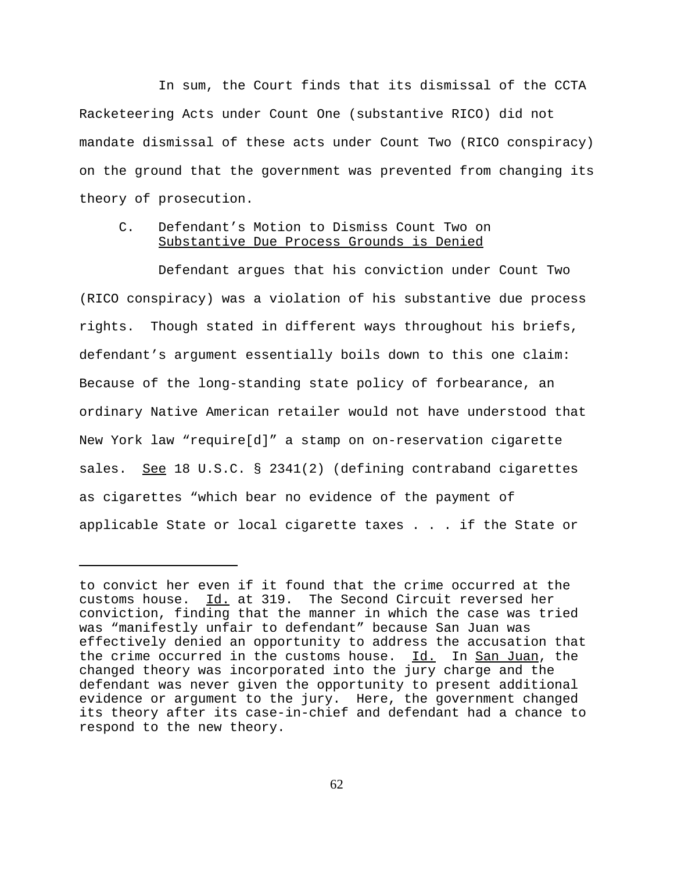In sum, the Court finds that its dismissal of the CCTA Racketeering Acts under Count One (substantive RICO) did not mandate dismissal of these acts under Count Two (RICO conspiracy) on the ground that the government was prevented from changing its theory of prosecution.

## C. Defendant's Motion to Dismiss Count Two on Substantive Due Process Grounds is Denied

Defendant argues that his conviction under Count Two (RICO conspiracy) was a violation of his substantive due process rights. Though stated in different ways throughout his briefs, defendant's argument essentially boils down to this one claim: Because of the long-standing state policy of forbearance, an ordinary Native American retailer would not have understood that New York law "require[d]" a stamp on on-reservation cigarette sales. See 18 U.S.C. § 2341(2) (defining contraband cigarettes as cigarettes "which bear no evidence of the payment of applicable State or local cigarette taxes . . . if the State or

to convict her even if it found that the crime occurred at the customs house. Id. at 319. The Second Circuit reversed her conviction, finding that the manner in which the case was tried was "manifestly unfair to defendant" because San Juan was effectively denied an opportunity to address the accusation that the crime occurred in the customs house. Id. In San Juan, the changed theory was incorporated into the jury charge and the defendant was never given the opportunity to present additional evidence or argument to the jury. Here, the government changed its theory after its case-in-chief and defendant had a chance to respond to the new theory.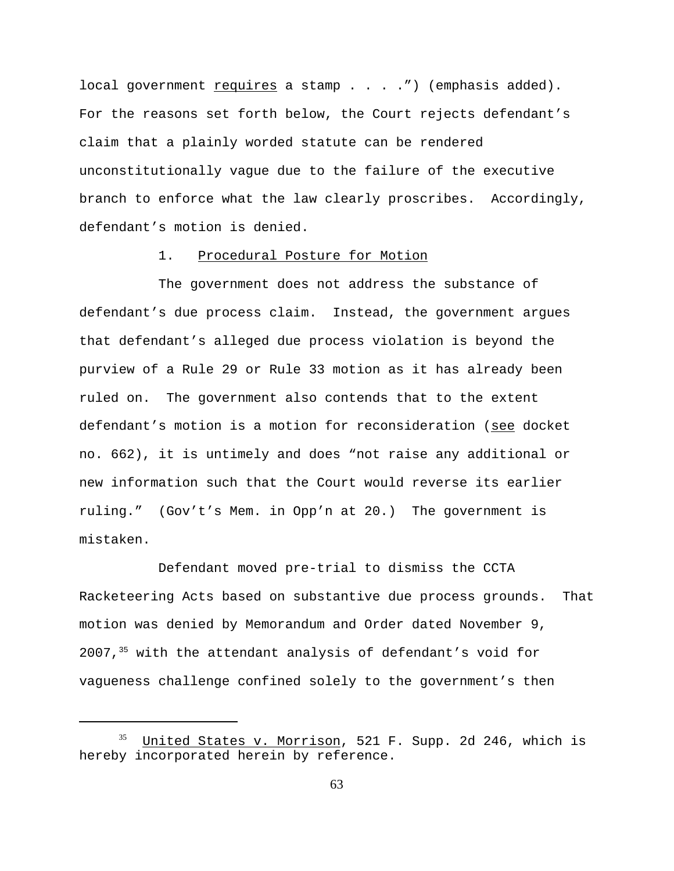local government  $requires a stamp . . . .") (emphasis added).$ </u> For the reasons set forth below, the Court rejects defendant's claim that a plainly worded statute can be rendered unconstitutionally vague due to the failure of the executive branch to enforce what the law clearly proscribes. Accordingly, defendant's motion is denied.

#### 1. Procedural Posture for Motion

The government does not address the substance of defendant's due process claim. Instead, the government argues that defendant's alleged due process violation is beyond the purview of a Rule 29 or Rule 33 motion as it has already been ruled on. The government also contends that to the extent defendant's motion is a motion for reconsideration (see docket no. 662), it is untimely and does "not raise any additional or new information such that the Court would reverse its earlier ruling." (Gov't's Mem. in Opp'n at 20.) The government is mistaken.

Defendant moved pre-trial to dismiss the CCTA Racketeering Acts based on substantive due process grounds. That motion was denied by Memorandum and Order dated November 9,  $2007,$ <sup>35</sup> with the attendant analysis of defendant's void for vagueness challenge confined solely to the government's then

United States v. Morrison, 521 F. Supp. 2d 246, which is hereby incorporated herein by reference.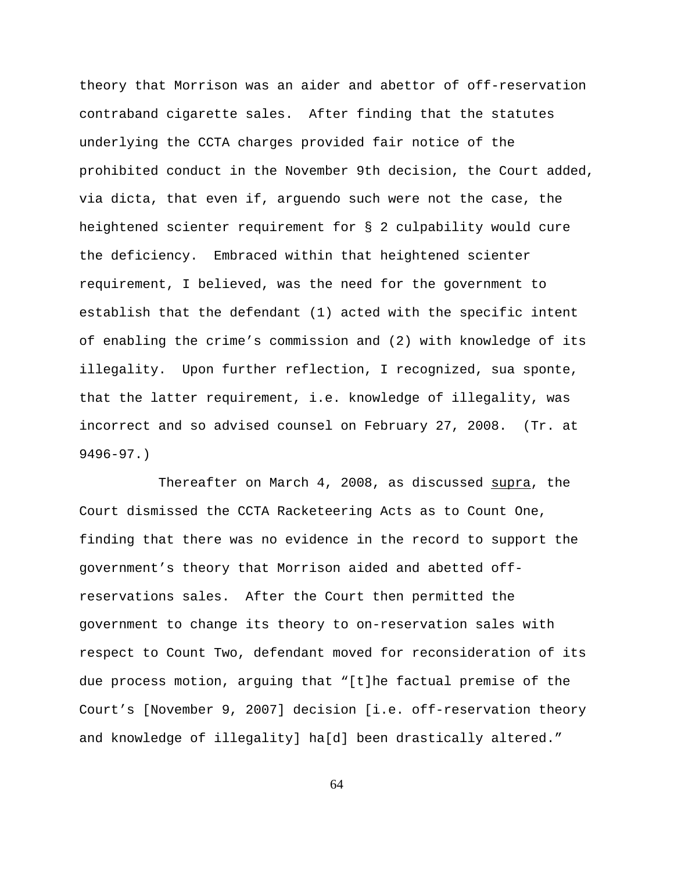theory that Morrison was an aider and abettor of off-reservation contraband cigarette sales. After finding that the statutes underlying the CCTA charges provided fair notice of the prohibited conduct in the November 9th decision, the Court added, via dicta, that even if, arguendo such were not the case, the heightened scienter requirement for § 2 culpability would cure the deficiency. Embraced within that heightened scienter requirement, I believed, was the need for the government to establish that the defendant (1) acted with the specific intent of enabling the crime's commission and (2) with knowledge of its illegality. Upon further reflection, I recognized, sua sponte, that the latter requirement, i.e. knowledge of illegality, was incorrect and so advised counsel on February 27, 2008. (Tr. at 9496-97.)

Thereafter on March 4, 2008, as discussed supra, the Court dismissed the CCTA Racketeering Acts as to Count One, finding that there was no evidence in the record to support the government's theory that Morrison aided and abetted offreservations sales. After the Court then permitted the government to change its theory to on-reservation sales with respect to Count Two, defendant moved for reconsideration of its due process motion, arguing that "[t]he factual premise of the Court's [November 9, 2007] decision [i.e. off-reservation theory and knowledge of illegality] ha[d] been drastically altered."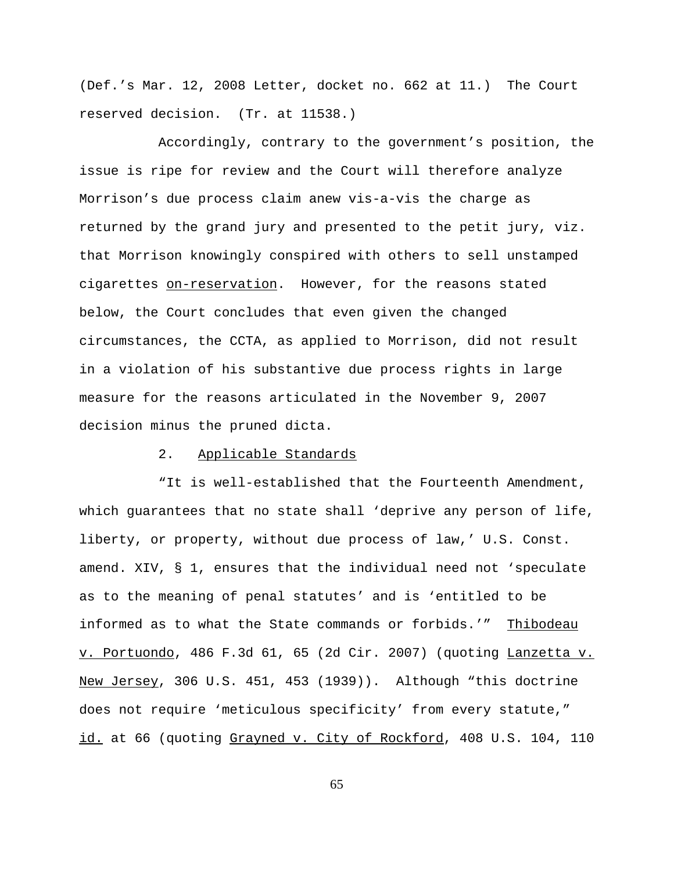(Def.'s Mar. 12, 2008 Letter, docket no. 662 at 11.) The Court reserved decision. (Tr. at 11538.)

Accordingly, contrary to the government's position, the issue is ripe for review and the Court will therefore analyze Morrison's due process claim anew vis-a-vis the charge as returned by the grand jury and presented to the petit jury, viz. that Morrison knowingly conspired with others to sell unstamped cigarettes on-reservation. However, for the reasons stated below, the Court concludes that even given the changed circumstances, the CCTA, as applied to Morrison, did not result in a violation of his substantive due process rights in large measure for the reasons articulated in the November 9, 2007 decision minus the pruned dicta.

### 2. Applicable Standards

"It is well-established that the Fourteenth Amendment, which guarantees that no state shall 'deprive any person of life, liberty, or property, without due process of law,' U.S. Const. amend. XIV, § 1, ensures that the individual need not 'speculate as to the meaning of penal statutes' and is 'entitled to be informed as to what the State commands or forbids.'" Thibodeau v. Portuondo, 486 F.3d 61, 65 (2d Cir. 2007) (quoting Lanzetta v. New Jersey, 306 U.S. 451, 453 (1939)). Although "this doctrine does not require 'meticulous specificity' from every statute," id. at 66 (quoting Grayned v. City of Rockford, 408 U.S. 104, 110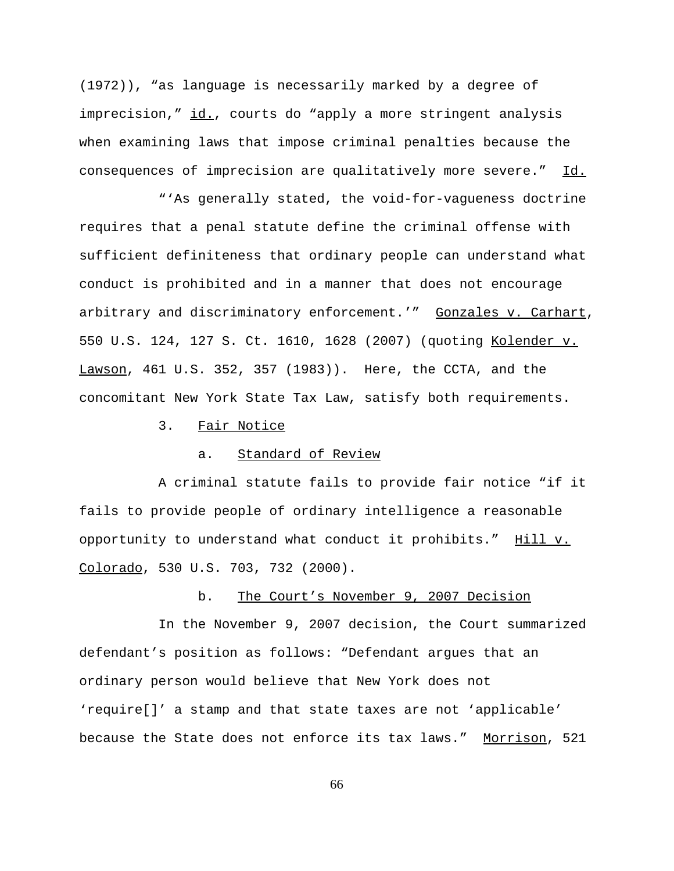(1972)), "as language is necessarily marked by a degree of imprecision," id., courts do "apply a more stringent analysis when examining laws that impose criminal penalties because the consequences of imprecision are qualitatively more severe." Id.

"'As generally stated, the void-for-vagueness doctrine requires that a penal statute define the criminal offense with sufficient definiteness that ordinary people can understand what conduct is prohibited and in a manner that does not encourage arbitrary and discriminatory enforcement.'" Gonzales v. Carhart, 550 U.S. 124, 127 S. Ct. 1610, 1628 (2007) (quoting Kolender v. Lawson, 461 U.S. 352, 357 (1983)). Here, the CCTA, and the concomitant New York State Tax Law, satisfy both requirements.

3. Fair Notice

## a. Standard of Review

A criminal statute fails to provide fair notice "if it fails to provide people of ordinary intelligence a reasonable opportunity to understand what conduct it prohibits." Hill v. Colorado, 530 U.S. 703, 732 (2000).

## b. The Court's November 9, 2007 Decision

In the November 9, 2007 decision, the Court summarized defendant's position as follows: "Defendant argues that an ordinary person would believe that New York does not 'require[]' a stamp and that state taxes are not 'applicable' because the State does not enforce its tax laws." Morrison, 521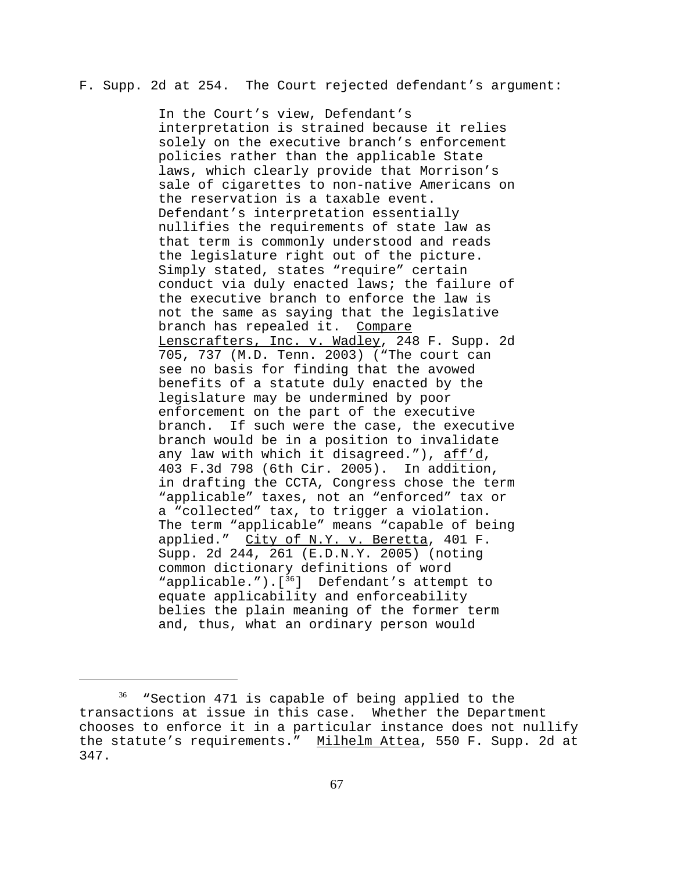### F. Supp. 2d at 254. The Court rejected defendant's argument:

In the Court's view, Defendant's interpretation is strained because it relies solely on the executive branch's enforcement policies rather than the applicable State laws, which clearly provide that Morrison's sale of cigarettes to non-native Americans on the reservation is a taxable event. Defendant's interpretation essentially nullifies the requirements of state law as that term is commonly understood and reads the legislature right out of the picture. Simply stated, states "require" certain conduct via duly enacted laws; the failure of the executive branch to enforce the law is not the same as saying that the legislative branch has repealed it. Compare Lenscrafters, Inc. v. Wadley, 248 F. Supp. 2d 705, 737 (M.D. Tenn. 2003) ("The court can see no basis for finding that the avowed benefits of a statute duly enacted by the legislature may be undermined by poor enforcement on the part of the executive branch. If such were the case, the executive branch would be in a position to invalidate any law with which it disagreed."), aff'd, 403 F.3d 798 (6th Cir. 2005). In addition, in drafting the CCTA, Congress chose the term "applicable" taxes, not an "enforced" tax or a "collected" tax, to trigger a violation. The term "applicable" means "capable of being applied." City of N.Y. v. Beretta, 401 F. Supp. 2d 244, 261 (E.D.N.Y. 2005) (noting common dictionary definitions of word "applicable.").[36] Defendant's attempt to equate applicability and enforceability belies the plain meaning of the former term and, thus, what an ordinary person would

<sup>&</sup>lt;sup>36</sup> "Section 471 is capable of being applied to the transactions at issue in this case. Whether the Department chooses to enforce it in a particular instance does not nullify the statute's requirements." Milhelm Attea, 550 F. Supp. 2d at 347.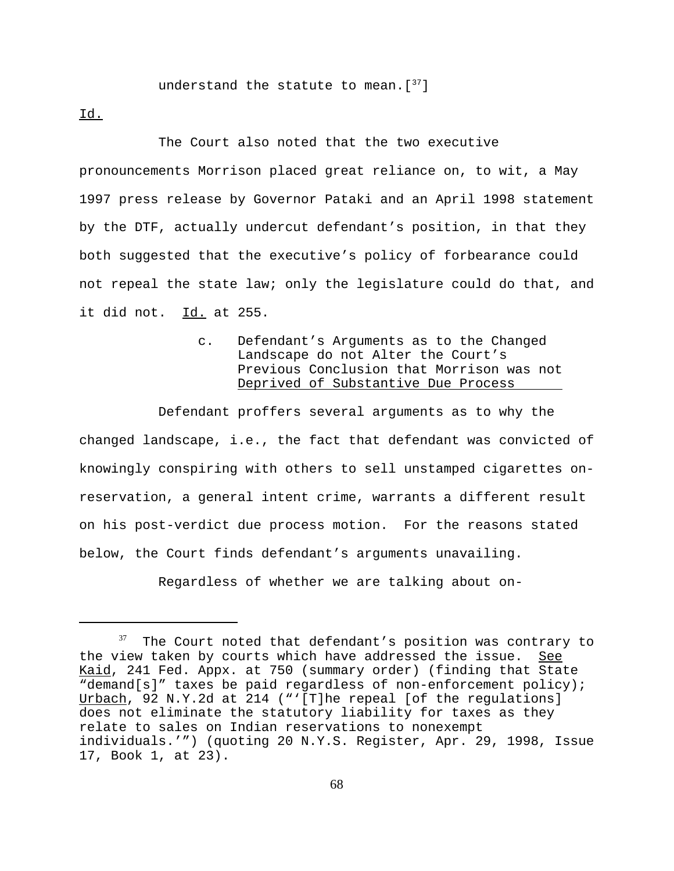# understand the statute to mean. [37]

Id.

The Court also noted that the two executive pronouncements Morrison placed great reliance on, to wit, a May 1997 press release by Governor Pataki and an April 1998 statement by the DTF, actually undercut defendant's position, in that they both suggested that the executive's policy of forbearance could not repeal the state law; only the legislature could do that, and it did not. Id. at 255.

> c. Defendant's Arguments as to the Changed Landscape do not Alter the Court's Previous Conclusion that Morrison was not Deprived of Substantive Due Process

Defendant proffers several arguments as to why the changed landscape, i.e., the fact that defendant was convicted of knowingly conspiring with others to sell unstamped cigarettes onreservation, a general intent crime, warrants a different result on his post-verdict due process motion. For the reasons stated below, the Court finds defendant's arguments unavailing.

Regardless of whether we are talking about on-

The Court noted that defendant's position was contrary to the view taken by courts which have addressed the issue. See Kaid, 241 Fed. Appx. at 750 (summary order) (finding that State "demand[s]" taxes be paid regardless of non-enforcement policy); Urbach, 92 N.Y.2d at 214 ("'[T]he repeal [of the requlations] does not eliminate the statutory liability for taxes as they relate to sales on Indian reservations to nonexempt individuals.'") (quoting 20 N.Y.S. Register, Apr. 29, 1998, Issue 17, Book 1, at 23).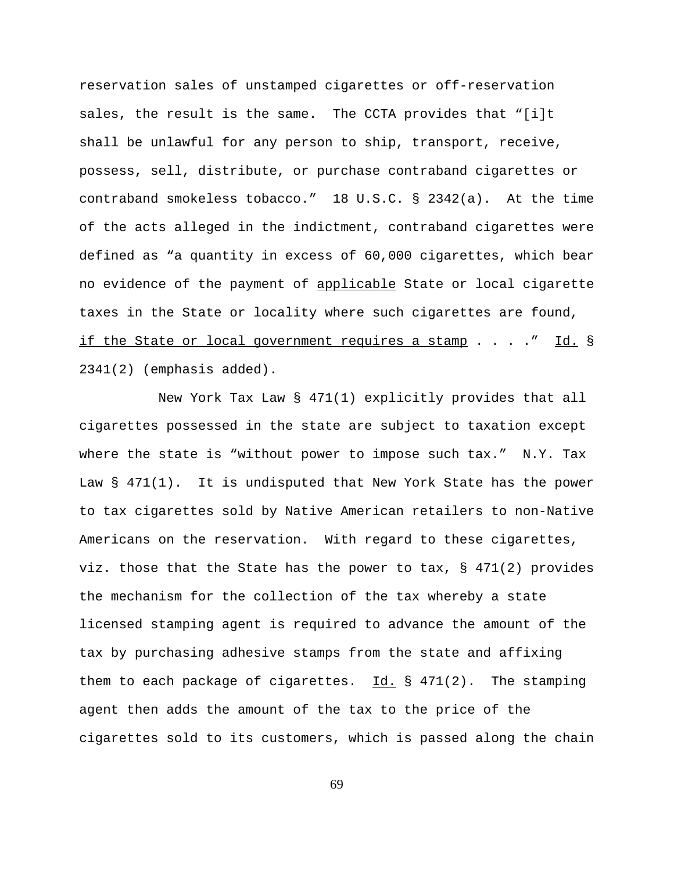reservation sales of unstamped cigarettes or off-reservation sales, the result is the same. The CCTA provides that "[i]t shall be unlawful for any person to ship, transport, receive, possess, sell, distribute, or purchase contraband cigarettes or contraband smokeless tobacco." 18 U.S.C. § 2342(a). At the time of the acts alleged in the indictment, contraband cigarettes were defined as "a quantity in excess of 60,000 cigarettes, which bear no evidence of the payment of applicable State or local cigarette taxes in the State or locality where such cigarettes are found, if the State or local government requires a stamp . . . ." Id. § 2341(2) (emphasis added).

New York Tax Law § 471(1) explicitly provides that all cigarettes possessed in the state are subject to taxation except where the state is "without power to impose such tax." N.Y. Tax Law § 471(1). It is undisputed that New York State has the power to tax cigarettes sold by Native American retailers to non-Native Americans on the reservation. With regard to these cigarettes, viz. those that the State has the power to tax, § 471(2) provides the mechanism for the collection of the tax whereby a state licensed stamping agent is required to advance the amount of the tax by purchasing adhesive stamps from the state and affixing them to each package of cigarettes.  $Id. \S$  471(2). The stamping agent then adds the amount of the tax to the price of the cigarettes sold to its customers, which is passed along the chain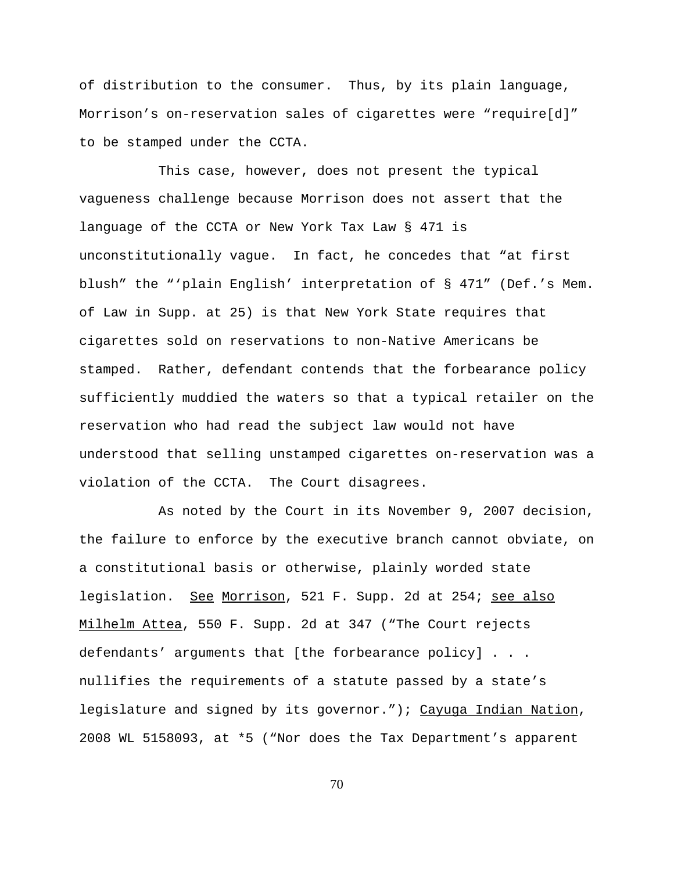of distribution to the consumer. Thus, by its plain language, Morrison's on-reservation sales of cigarettes were "require[d]" to be stamped under the CCTA.

This case, however, does not present the typical vagueness challenge because Morrison does not assert that the language of the CCTA or New York Tax Law § 471 is unconstitutionally vague. In fact, he concedes that "at first blush" the "'plain English' interpretation of § 471" (Def.'s Mem. of Law in Supp. at 25) is that New York State requires that cigarettes sold on reservations to non-Native Americans be stamped. Rather, defendant contends that the forbearance policy sufficiently muddied the waters so that a typical retailer on the reservation who had read the subject law would not have understood that selling unstamped cigarettes on-reservation was a violation of the CCTA. The Court disagrees.

As noted by the Court in its November 9, 2007 decision, the failure to enforce by the executive branch cannot obviate, on a constitutional basis or otherwise, plainly worded state legislation. See Morrison, 521 F. Supp. 2d at 254; see also Milhelm Attea, 550 F. Supp. 2d at 347 ("The Court rejects defendants' arguments that [the forbearance policy] . . . nullifies the requirements of a statute passed by a state's legislature and signed by its governor."); Cayuga Indian Nation, 2008 WL 5158093, at \*5 ("Nor does the Tax Department's apparent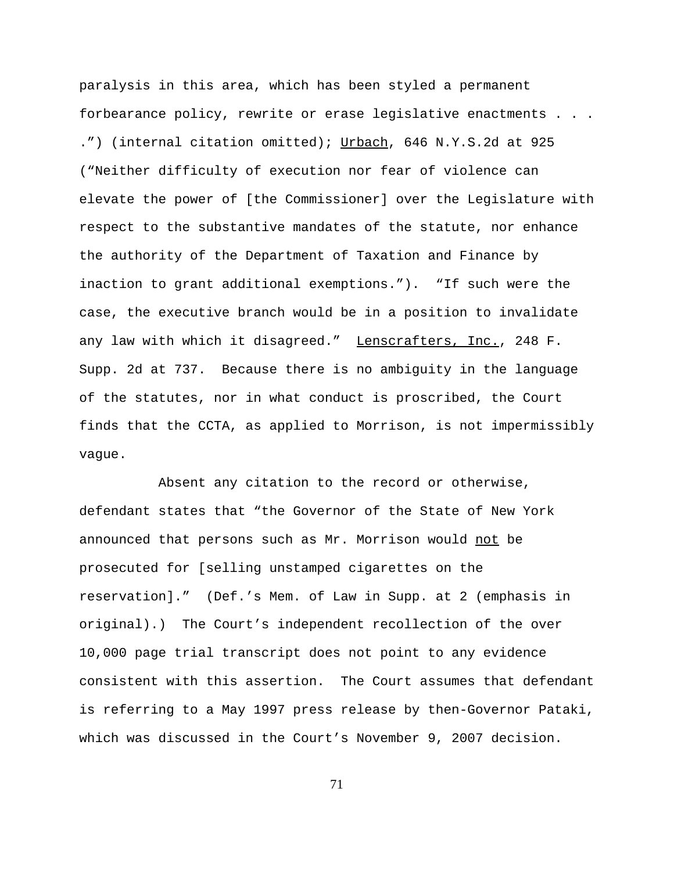paralysis in this area, which has been styled a permanent forbearance policy, rewrite or erase legislative enactments . . .

.") (internal citation omitted); Urbach, 646 N.Y.S.2d at 925 ("Neither difficulty of execution nor fear of violence can elevate the power of [the Commissioner] over the Legislature with respect to the substantive mandates of the statute, nor enhance the authority of the Department of Taxation and Finance by inaction to grant additional exemptions."). "If such were the case, the executive branch would be in a position to invalidate any law with which it disagreed." Lenscrafters, Inc., 248 F. Supp. 2d at 737. Because there is no ambiguity in the language of the statutes, nor in what conduct is proscribed, the Court finds that the CCTA, as applied to Morrison, is not impermissibly vague.

Absent any citation to the record or otherwise, defendant states that "the Governor of the State of New York announced that persons such as Mr. Morrison would not be prosecuted for [selling unstamped cigarettes on the reservation]." (Def.'s Mem. of Law in Supp. at 2 (emphasis in original).) The Court's independent recollection of the over 10,000 page trial transcript does not point to any evidence consistent with this assertion. The Court assumes that defendant is referring to a May 1997 press release by then-Governor Pataki, which was discussed in the Court's November 9, 2007 decision.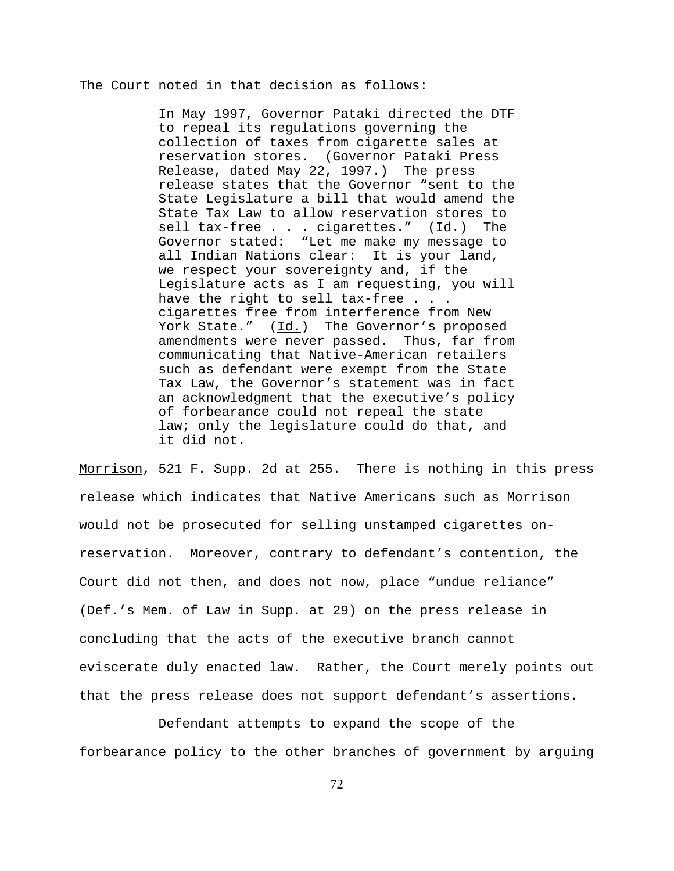The Court noted in that decision as follows:

In May 1997, Governor Pataki directed the DTF to repeal its regulations governing the collection of taxes from cigarette sales at reservation stores. (Governor Pataki Press Release, dated May 22, 1997.) The press release states that the Governor "sent to the State Legislature a bill that would amend the State Tax Law to allow reservation stores to sell tax-free . . . cigarettes." (Id.) The Governor stated: "Let me make my message to all Indian Nations clear: It is your land, we respect your sovereignty and, if the Legislature acts as I am requesting, you will have the right to sell tax-free . . . cigarettes free from interference from New York State."  $(\underline{Id.})$  The Governor's proposed amendments were never passed. Thus, far from communicating that Native-American retailers such as defendant were exempt from the State Tax Law, the Governor's statement was in fact an acknowledgment that the executive's policy of forbearance could not repeal the state law; only the legislature could do that, and it did not.

Morrison, 521 F. Supp. 2d at 255. There is nothing in this press release which indicates that Native Americans such as Morrison would not be prosecuted for selling unstamped cigarettes onreservation. Moreover, contrary to defendant's contention, the Court did not then, and does not now, place "undue reliance" (Def.'s Mem. of Law in Supp. at 29) on the press release in concluding that the acts of the executive branch cannot eviscerate duly enacted law. Rather, the Court merely points out that the press release does not support defendant's assertions.

Defendant attempts to expand the scope of the forbearance policy to the other branches of government by arguing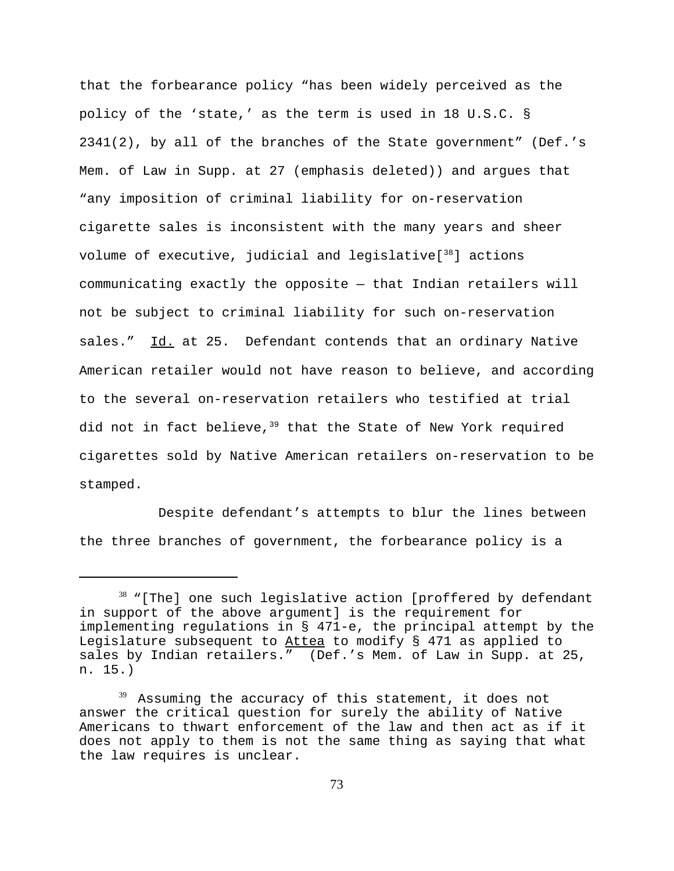that the forbearance policy "has been widely perceived as the policy of the 'state,' as the term is used in 18 U.S.C. § 2341(2), by all of the branches of the State government" (Def.'s Mem. of Law in Supp. at 27 (emphasis deleted)) and argues that "any imposition of criminal liability for on-reservation cigarette sales is inconsistent with the many years and sheer volume of executive, judicial and legislative $[38]$  actions communicating exactly the opposite — that Indian retailers will not be subject to criminal liability for such on-reservation sales." Id. at 25. Defendant contends that an ordinary Native American retailer would not have reason to believe, and according to the several on-reservation retailers who testified at trial did not in fact believe,  $39$  that the State of New York required cigarettes sold by Native American retailers on-reservation to be stamped.

Despite defendant's attempts to blur the lines between the three branches of government, the forbearance policy is a

 $38$  "[The] one such legislative action [proffered by defendant in support of the above argument] is the requirement for implementing regulations in § 471-e, the principal attempt by the Legislature subsequent to Attea to modify § 471 as applied to sales by Indian retailers." (Def.'s Mem. of Law in Supp. at 25, n. 15.)

 $39$  Assuming the accuracy of this statement, it does not answer the critical question for surely the ability of Native Americans to thwart enforcement of the law and then act as if it does not apply to them is not the same thing as saying that what the law requires is unclear.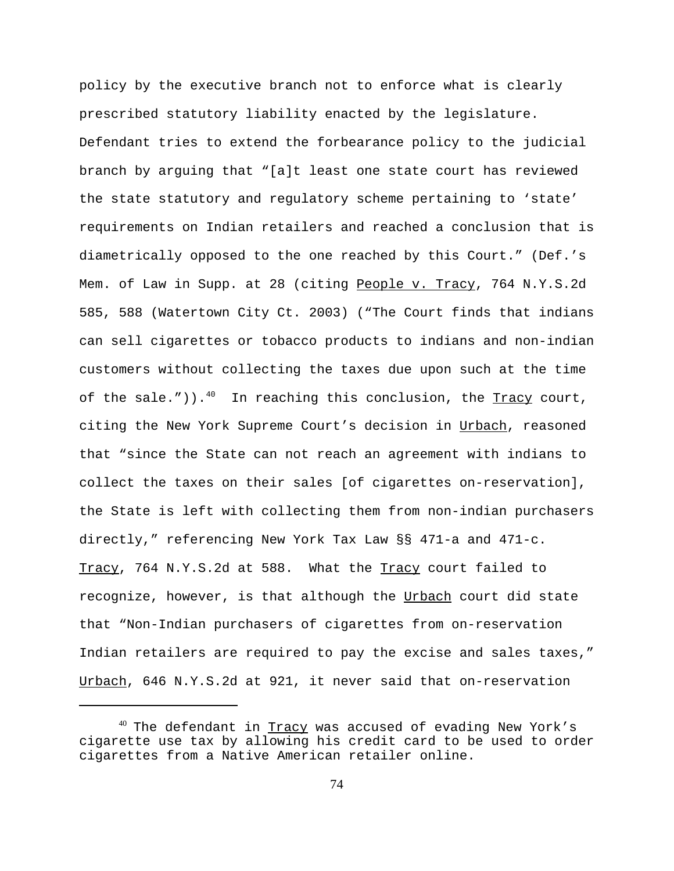policy by the executive branch not to enforce what is clearly prescribed statutory liability enacted by the legislature. Defendant tries to extend the forbearance policy to the judicial branch by arguing that "[a]t least one state court has reviewed the state statutory and regulatory scheme pertaining to 'state' requirements on Indian retailers and reached a conclusion that is diametrically opposed to the one reached by this Court." (Def.'s Mem. of Law in Supp. at 28 (citing People v. Tracy, 764 N.Y.S.2d 585, 588 (Watertown City Ct. 2003) ("The Court finds that indians can sell cigarettes or tobacco products to indians and non-indian customers without collecting the taxes due upon such at the time of the sale.")).<sup>40</sup> In reaching this conclusion, the Tracy court, citing the New York Supreme Court's decision in Urbach, reasoned that "since the State can not reach an agreement with indians to collect the taxes on their sales [of cigarettes on-reservation], the State is left with collecting them from non-indian purchasers directly," referencing New York Tax Law §§ 471-a and 471-c. Tracy, 764 N.Y.S.2d at 588. What the Tracy court failed to recognize, however, is that although the Urbach court did state that "Non-Indian purchasers of cigarettes from on-reservation Indian retailers are required to pay the excise and sales taxes," Urbach, 646 N.Y.S.2d at 921, it never said that on-reservation

 $40$  The defendant in  $Tracy$  was accused of evading New York's cigarette use tax by allowing his credit card to be used to order cigarettes from a Native American retailer online.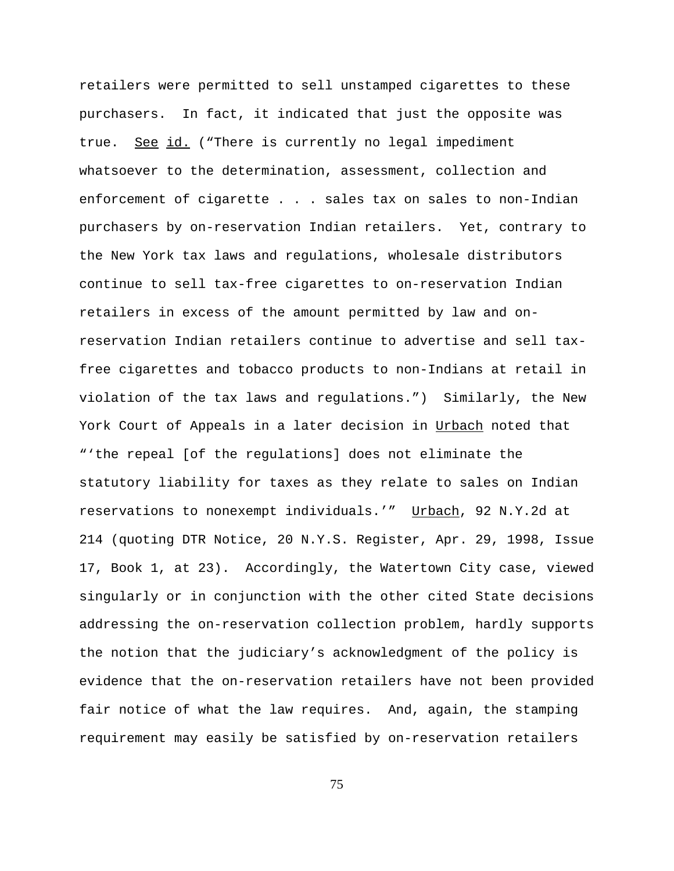retailers were permitted to sell unstamped cigarettes to these purchasers. In fact, it indicated that just the opposite was true. See id. ("There is currently no legal impediment whatsoever to the determination, assessment, collection and enforcement of cigarette . . . sales tax on sales to non-Indian purchasers by on-reservation Indian retailers. Yet, contrary to the New York tax laws and regulations, wholesale distributors continue to sell tax-free cigarettes to on-reservation Indian retailers in excess of the amount permitted by law and onreservation Indian retailers continue to advertise and sell taxfree cigarettes and tobacco products to non-Indians at retail in violation of the tax laws and regulations.") Similarly, the New York Court of Appeals in a later decision in Urbach noted that "'the repeal [of the regulations] does not eliminate the statutory liability for taxes as they relate to sales on Indian reservations to nonexempt individuals.'" Urbach, 92 N.Y.2d at 214 (quoting DTR Notice, 20 N.Y.S. Register, Apr. 29, 1998, Issue 17, Book 1, at 23). Accordingly, the Watertown City case, viewed singularly or in conjunction with the other cited State decisions addressing the on-reservation collection problem, hardly supports the notion that the judiciary's acknowledgment of the policy is evidence that the on-reservation retailers have not been provided fair notice of what the law requires. And, again, the stamping requirement may easily be satisfied by on-reservation retailers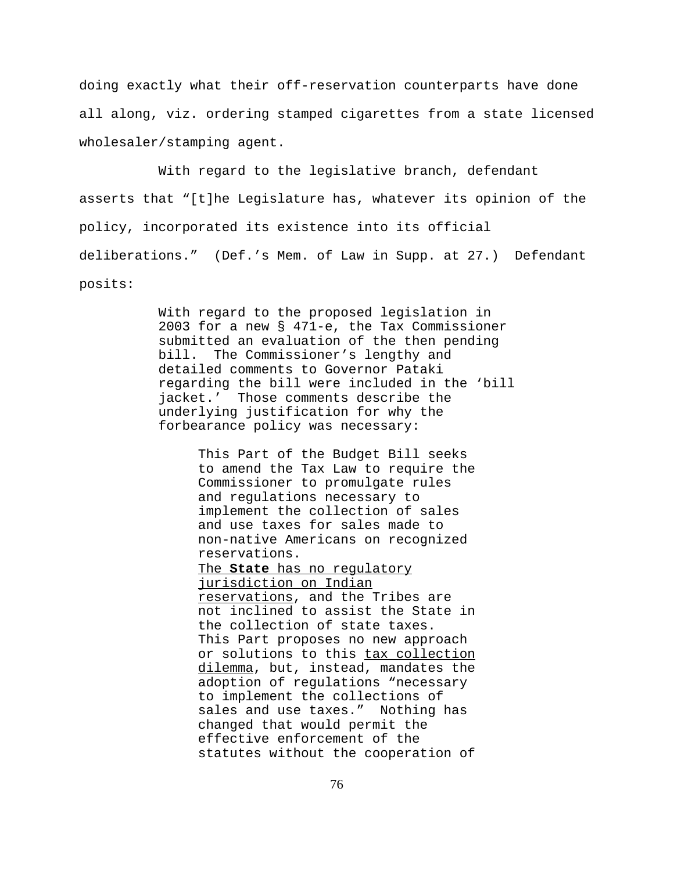doing exactly what their off-reservation counterparts have done all along, viz. ordering stamped cigarettes from a state licensed wholesaler/stamping agent.

 With regard to the legislative branch, defendant asserts that "[t]he Legislature has, whatever its opinion of the policy, incorporated its existence into its official deliberations." (Def.'s Mem. of Law in Supp. at 27.) Defendant posits:

> With regard to the proposed legislation in 2003 for a new § 471-e, the Tax Commissioner submitted an evaluation of the then pending bill. The Commissioner's lengthy and detailed comments to Governor Pataki regarding the bill were included in the 'bill jacket.' Those comments describe the underlying justification for why the forbearance policy was necessary:

> > This Part of the Budget Bill seeks to amend the Tax Law to require the Commissioner to promulgate rules and regulations necessary to implement the collection of sales and use taxes for sales made to non-native Americans on recognized reservations.

> > The **State** has no regulatory jurisdiction on Indian reservations, and the Tribes are not inclined to assist the State in the collection of state taxes. This Part proposes no new approach or solutions to this tax collection dilemma, but, instead, mandates the adoption of regulations "necessary to implement the collections of sales and use taxes." Nothing has changed that would permit the effective enforcement of the statutes without the cooperation of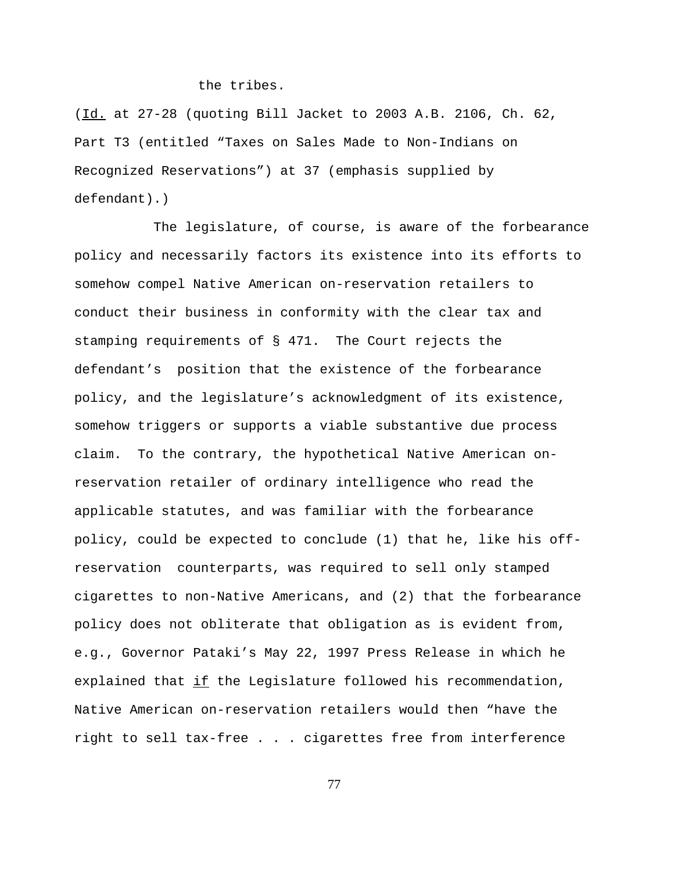## the tribes.

(Id. at 27-28 (quoting Bill Jacket to 2003 A.B. 2106, Ch. 62, Part T3 (entitled "Taxes on Sales Made to Non-Indians on Recognized Reservations") at 37 (emphasis supplied by defendant).)

The legislature, of course, is aware of the forbearance policy and necessarily factors its existence into its efforts to somehow compel Native American on-reservation retailers to conduct their business in conformity with the clear tax and stamping requirements of § 471. The Court rejects the defendant's position that the existence of the forbearance policy, and the legislature's acknowledgment of its existence, somehow triggers or supports a viable substantive due process claim. To the contrary, the hypothetical Native American onreservation retailer of ordinary intelligence who read the applicable statutes, and was familiar with the forbearance policy, could be expected to conclude (1) that he, like his offreservation counterparts, was required to sell only stamped cigarettes to non-Native Americans, and (2) that the forbearance policy does not obliterate that obligation as is evident from, e.g., Governor Pataki's May 22, 1997 Press Release in which he explained that if the Legislature followed his recommendation, Native American on-reservation retailers would then "have the right to sell tax-free . . . cigarettes free from interference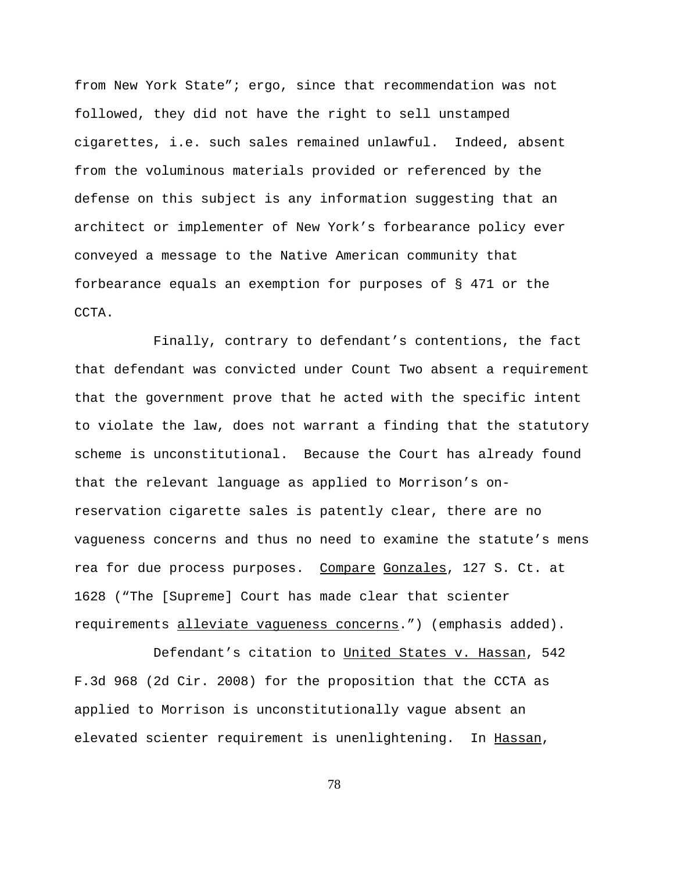from New York State"; ergo, since that recommendation was not followed, they did not have the right to sell unstamped cigarettes, i.e. such sales remained unlawful. Indeed, absent from the voluminous materials provided or referenced by the defense on this subject is any information suggesting that an architect or implementer of New York's forbearance policy ever conveyed a message to the Native American community that forbearance equals an exemption for purposes of § 471 or the CCTA.

Finally, contrary to defendant's contentions, the fact that defendant was convicted under Count Two absent a requirement that the government prove that he acted with the specific intent to violate the law, does not warrant a finding that the statutory scheme is unconstitutional. Because the Court has already found that the relevant language as applied to Morrison's onreservation cigarette sales is patently clear, there are no vagueness concerns and thus no need to examine the statute's mens rea for due process purposes. Compare Gonzales, 127 S. Ct. at 1628 ("The [Supreme] Court has made clear that scienter requirements alleviate vagueness concerns.") (emphasis added).

 Defendant's citation to United States v. Hassan, 542 F.3d 968 (2d Cir. 2008) for the proposition that the CCTA as applied to Morrison is unconstitutionally vague absent an elevated scienter requirement is unenlightening. In Hassan,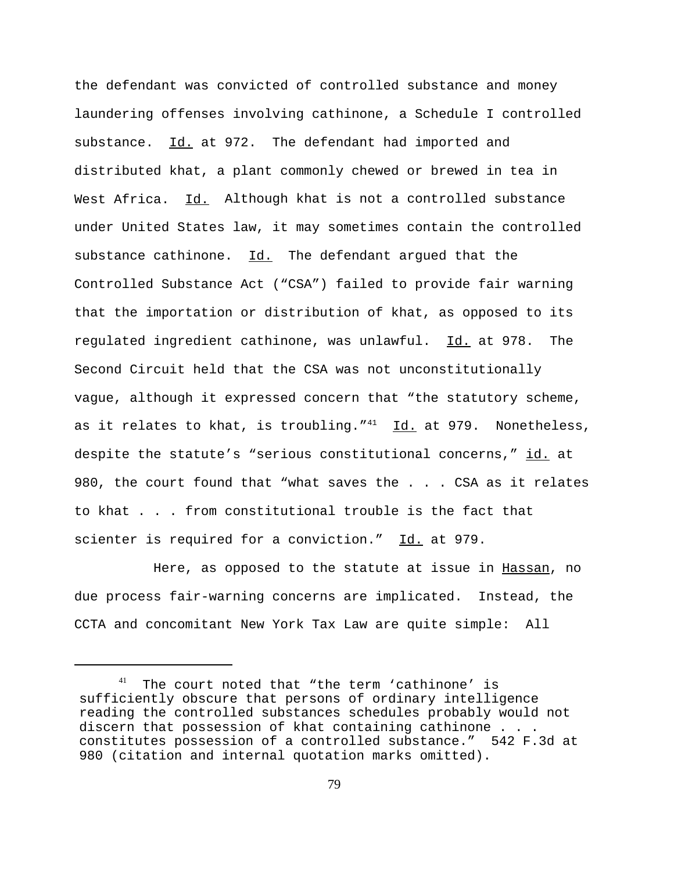the defendant was convicted of controlled substance and money laundering offenses involving cathinone, a Schedule I controlled substance. Id. at 972. The defendant had imported and distributed khat, a plant commonly chewed or brewed in tea in West Africa. Id. Although khat is not a controlled substance under United States law, it may sometimes contain the controlled substance cathinone.  $Id.$  The defendant argued that the Controlled Substance Act ("CSA") failed to provide fair warning that the importation or distribution of khat, as opposed to its regulated ingredient cathinone, was unlawful. Id. at 978. The Second Circuit held that the CSA was not unconstitutionally vague, although it expressed concern that "the statutory scheme, as it relates to khat, is troubling." $41$  Id. at 979. Nonetheless, despite the statute's "serious constitutional concerns," id. at 980, the court found that "what saves the . . . CSA as it relates to khat . . . from constitutional trouble is the fact that scienter is required for a conviction." Id. at 979.

Here, as opposed to the statute at issue in Hassan, no due process fair-warning concerns are implicated. Instead, the CCTA and concomitant New York Tax Law are quite simple: All

<sup>&</sup>lt;sup>41</sup> The court noted that "the term 'cathinone' is sufficiently obscure that persons of ordinary intelligence reading the controlled substances schedules probably would not discern that possession of khat containing cathinone . . . constitutes possession of a controlled substance." 542 F.3d at 980 (citation and internal quotation marks omitted).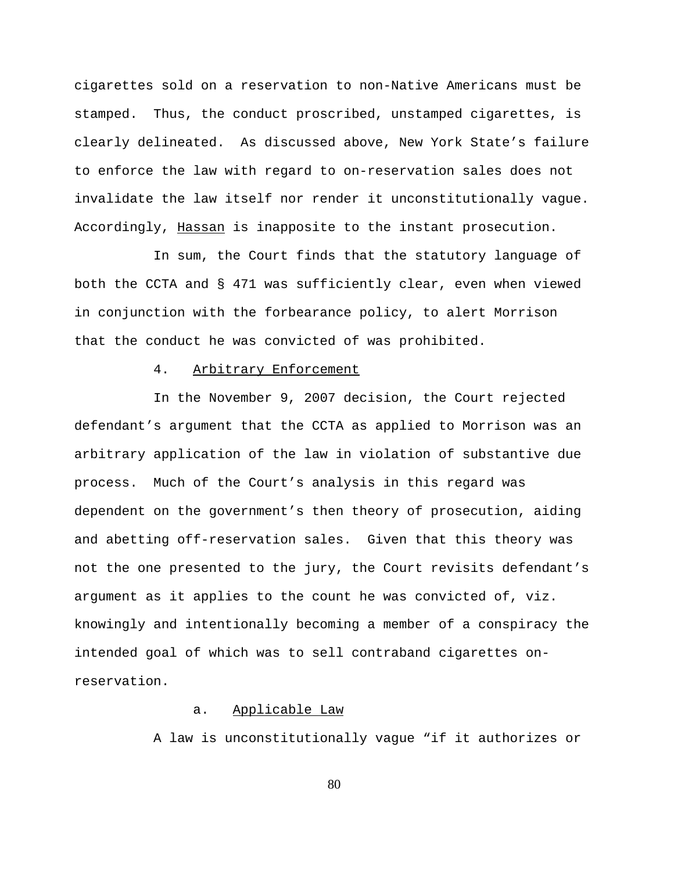cigarettes sold on a reservation to non-Native Americans must be stamped. Thus, the conduct proscribed, unstamped cigarettes, is clearly delineated. As discussed above, New York State's failure to enforce the law with regard to on-reservation sales does not invalidate the law itself nor render it unconstitutionally vague. Accordingly, Hassan is inapposite to the instant prosecution.

In sum, the Court finds that the statutory language of both the CCTA and § 471 was sufficiently clear, even when viewed in conjunction with the forbearance policy, to alert Morrison that the conduct he was convicted of was prohibited.

## 4. Arbitrary Enforcement

In the November 9, 2007 decision, the Court rejected defendant's argument that the CCTA as applied to Morrison was an arbitrary application of the law in violation of substantive due process. Much of the Court's analysis in this regard was dependent on the government's then theory of prosecution, aiding and abetting off-reservation sales. Given that this theory was not the one presented to the jury, the Court revisits defendant's argument as it applies to the count he was convicted of, viz. knowingly and intentionally becoming a member of a conspiracy the intended goal of which was to sell contraband cigarettes onreservation.

### a. Applicable Law

A law is unconstitutionally vague "if it authorizes or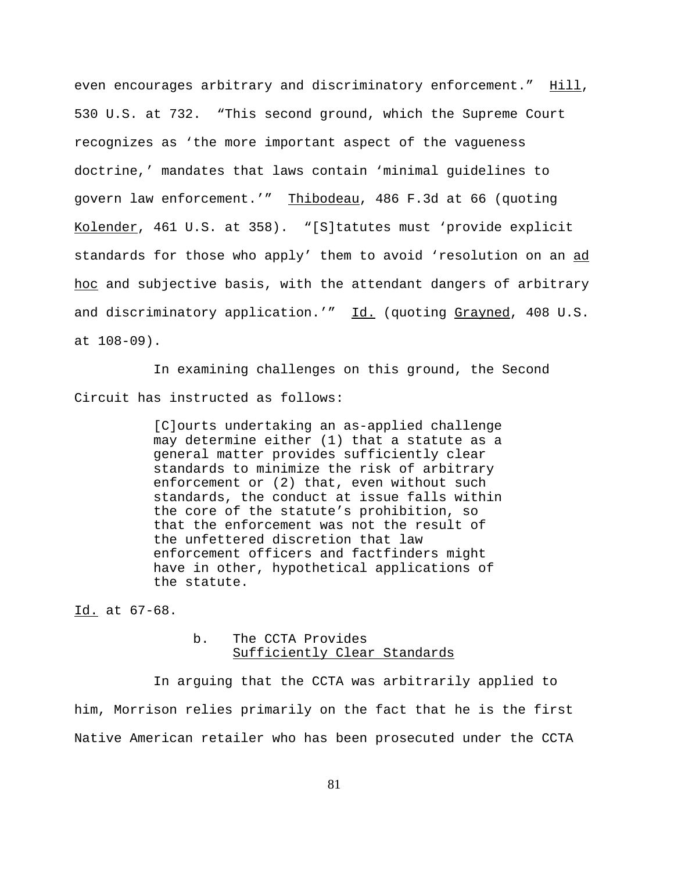even encourages arbitrary and discriminatory enforcement." Hill, 530 U.S. at 732. "This second ground, which the Supreme Court recognizes as 'the more important aspect of the vagueness doctrine,' mandates that laws contain 'minimal guidelines to govern law enforcement.'" Thibodeau, 486 F.3d at 66 (quoting Kolender, 461 U.S. at 358). "[S]tatutes must 'provide explicit standards for those who apply' them to avoid 'resolution on an ad hoc and subjective basis, with the attendant dangers of arbitrary and discriminatory application.'" Id. (quoting Grayned, 408 U.S. at 108-09).

In examining challenges on this ground, the Second Circuit has instructed as follows:

> [C]ourts undertaking an as-applied challenge may determine either (1) that a statute as a general matter provides sufficiently clear standards to minimize the risk of arbitrary enforcement or (2) that, even without such standards, the conduct at issue falls within the core of the statute's prohibition, so that the enforcement was not the result of the unfettered discretion that law enforcement officers and factfinders might have in other, hypothetical applications of the statute.

Id. at 67-68.

### b. The CCTA Provides Sufficiently Clear Standards

In arguing that the CCTA was arbitrarily applied to him, Morrison relies primarily on the fact that he is the first Native American retailer who has been prosecuted under the CCTA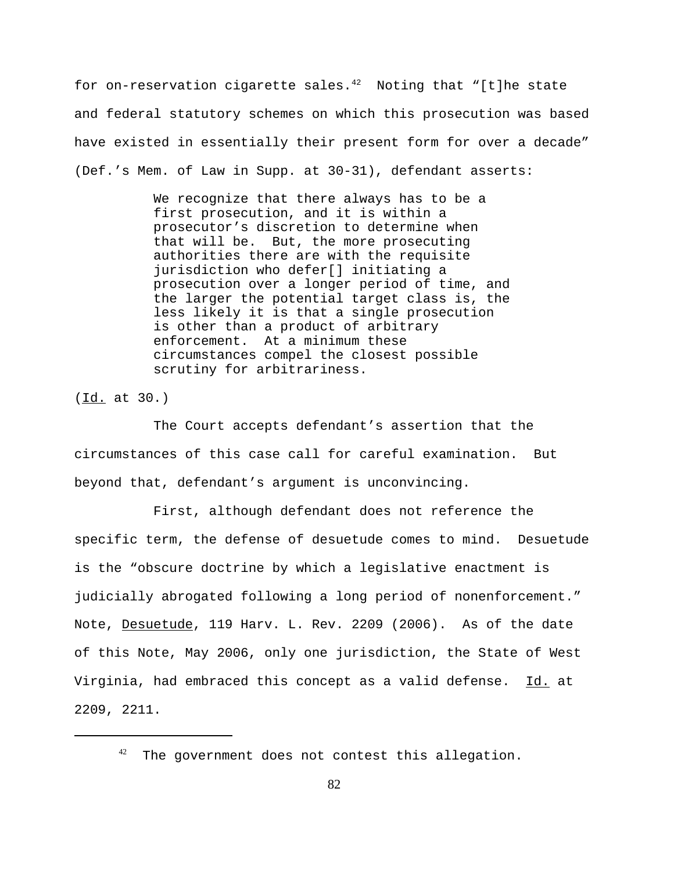for on-reservation cigarette sales. $42$  Noting that "[t]he state and federal statutory schemes on which this prosecution was based have existed in essentially their present form for over a decade" (Def.'s Mem. of Law in Supp. at 30-31), defendant asserts:

> We recognize that there always has to be a first prosecution, and it is within a prosecutor's discretion to determine when that will be. But, the more prosecuting authorities there are with the requisite jurisdiction who defer[] initiating a prosecution over a longer period of time, and the larger the potential target class is, the less likely it is that a single prosecution is other than a product of arbitrary enforcement. At a minimum these circumstances compel the closest possible scrutiny for arbitrariness.

(Id. at 30.)

The Court accepts defendant's assertion that the circumstances of this case call for careful examination. But beyond that, defendant's argument is unconvincing.

First, although defendant does not reference the specific term, the defense of desuetude comes to mind. Desuetude is the "obscure doctrine by which a legislative enactment is judicially abrogated following a long period of nonenforcement." Note, Desuetude, 119 Harv. L. Rev. 2209 (2006). As of the date of this Note, May 2006, only one jurisdiction, the State of West Virginia, had embraced this concept as a valid defense. Id. at 2209, 2211.

 $42$  The government does not contest this allegation.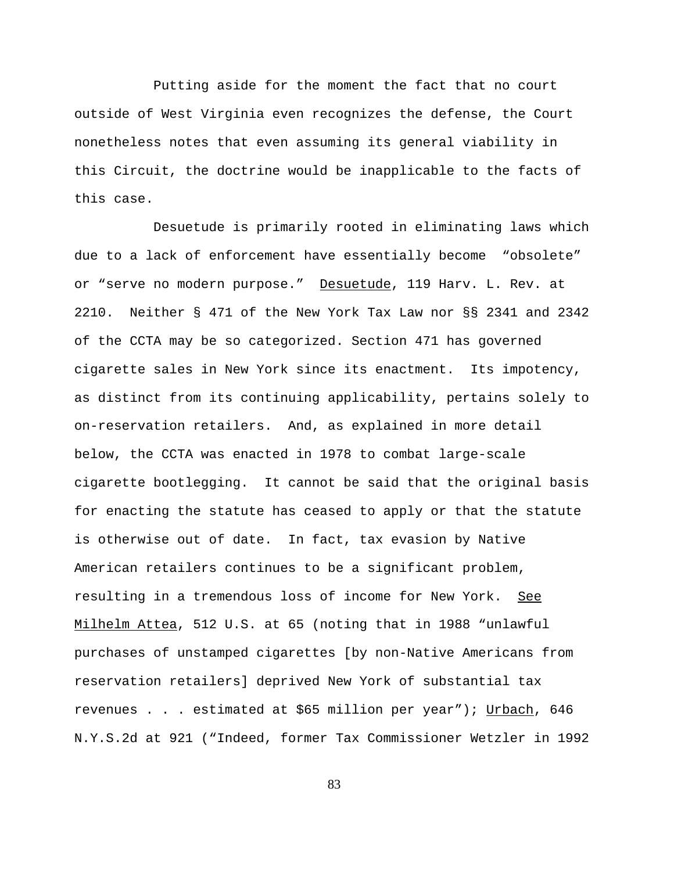Putting aside for the moment the fact that no court outside of West Virginia even recognizes the defense, the Court nonetheless notes that even assuming its general viability in this Circuit, the doctrine would be inapplicable to the facts of this case.

Desuetude is primarily rooted in eliminating laws which due to a lack of enforcement have essentially become "obsolete" or "serve no modern purpose." Desuetude, 119 Harv. L. Rev. at 2210. Neither § 471 of the New York Tax Law nor §§ 2341 and 2342 of the CCTA may be so categorized. Section 471 has governed cigarette sales in New York since its enactment. Its impotency, as distinct from its continuing applicability, pertains solely to on-reservation retailers. And, as explained in more detail below, the CCTA was enacted in 1978 to combat large-scale cigarette bootlegging. It cannot be said that the original basis for enacting the statute has ceased to apply or that the statute is otherwise out of date. In fact, tax evasion by Native American retailers continues to be a significant problem, resulting in a tremendous loss of income for New York. See Milhelm Attea, 512 U.S. at 65 (noting that in 1988 "unlawful purchases of unstamped cigarettes [by non-Native Americans from reservation retailers] deprived New York of substantial tax revenues . . . estimated at \$65 million per year"); Urbach, 646 N.Y.S.2d at 921 ("Indeed, former Tax Commissioner Wetzler in 1992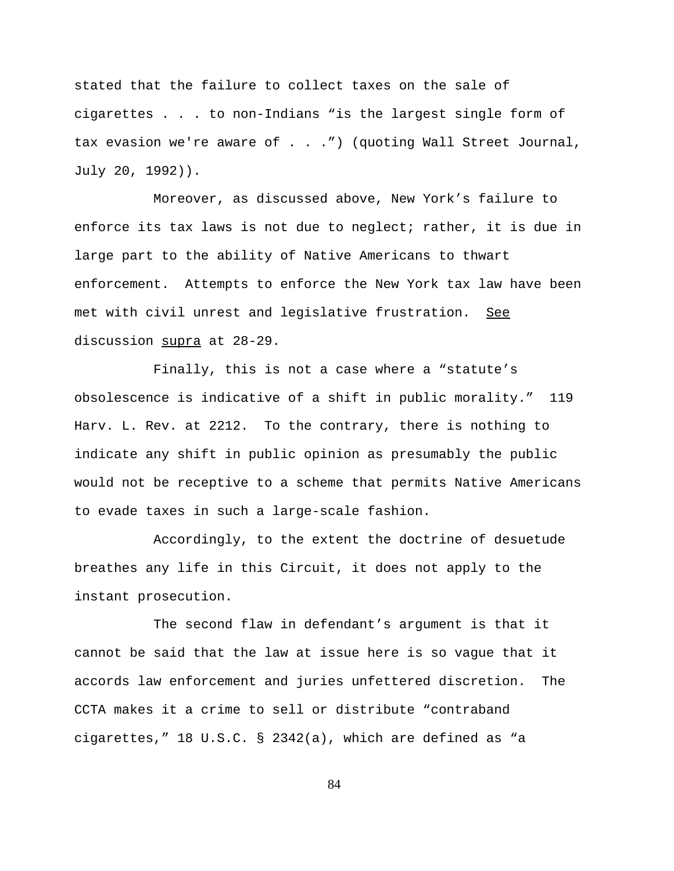stated that the failure to collect taxes on the sale of cigarettes . . . to non-Indians "is the largest single form of tax evasion we're aware of . . .") (quoting Wall Street Journal, July 20, 1992)).

Moreover, as discussed above, New York's failure to enforce its tax laws is not due to neglect; rather, it is due in large part to the ability of Native Americans to thwart enforcement. Attempts to enforce the New York tax law have been met with civil unrest and legislative frustration. See discussion supra at 28-29.

Finally, this is not a case where a "statute's obsolescence is indicative of a shift in public morality." 119 Harv. L. Rev. at 2212. To the contrary, there is nothing to indicate any shift in public opinion as presumably the public would not be receptive to a scheme that permits Native Americans to evade taxes in such a large-scale fashion.

Accordingly, to the extent the doctrine of desuetude breathes any life in this Circuit, it does not apply to the instant prosecution.

The second flaw in defendant's argument is that it cannot be said that the law at issue here is so vague that it accords law enforcement and juries unfettered discretion. The CCTA makes it a crime to sell or distribute "contraband cigarettes," 18 U.S.C. § 2342(a), which are defined as "a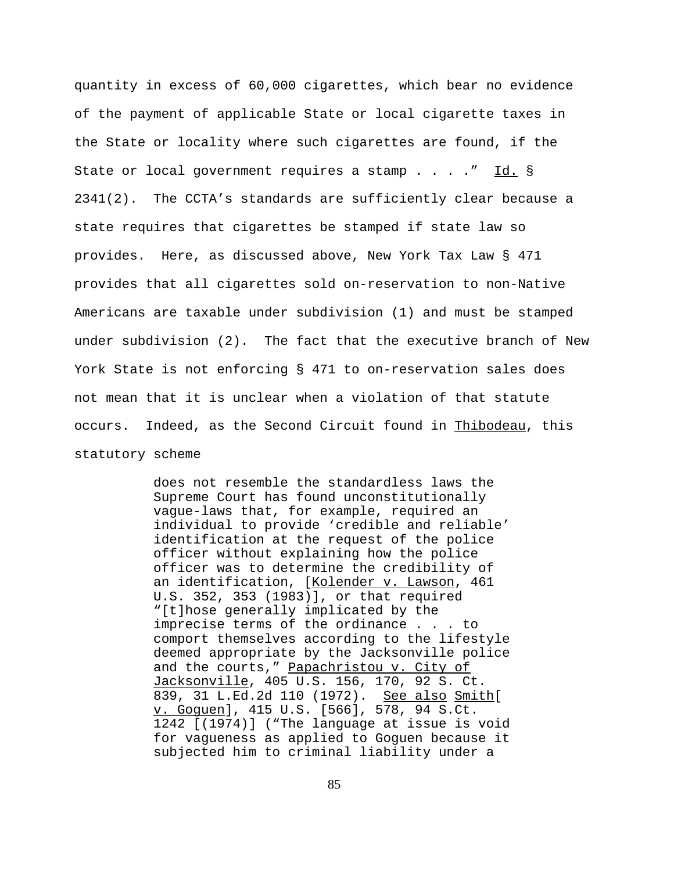quantity in excess of 60,000 cigarettes, which bear no evidence of the payment of applicable State or local cigarette taxes in the State or locality where such cigarettes are found, if the State or local government requires a stamp . . . . " Id. § 2341(2). The CCTA's standards are sufficiently clear because a state requires that cigarettes be stamped if state law so provides. Here, as discussed above, New York Tax Law § 471 provides that all cigarettes sold on-reservation to non-Native Americans are taxable under subdivision (1) and must be stamped under subdivision (2). The fact that the executive branch of New York State is not enforcing § 471 to on-reservation sales does not mean that it is unclear when a violation of that statute occurs. Indeed, as the Second Circuit found in Thibodeau, this statutory scheme

> does not resemble the standardless laws the Supreme Court has found unconstitutionally vague-laws that, for example, required an individual to provide 'credible and reliable' identification at the request of the police officer without explaining how the police officer was to determine the credibility of an identification, [Kolender v. Lawson, 461 U.S. 352, 353 (1983)], or that required "[t]hose generally implicated by the imprecise terms of the ordinance . . . to comport themselves according to the lifestyle deemed appropriate by the Jacksonville police and the courts," Papachristou v. City of Jacksonville, 405 U.S. 156, 170, 92 S. Ct. 839, 31 L.Ed.2d 110 (1972). See also Smith[ v. Goguen], 415 U.S. [566], 578, 94 S.Ct. 1242 [(1974)] ("The language at issue is void for vagueness as applied to Goguen because it subjected him to criminal liability under a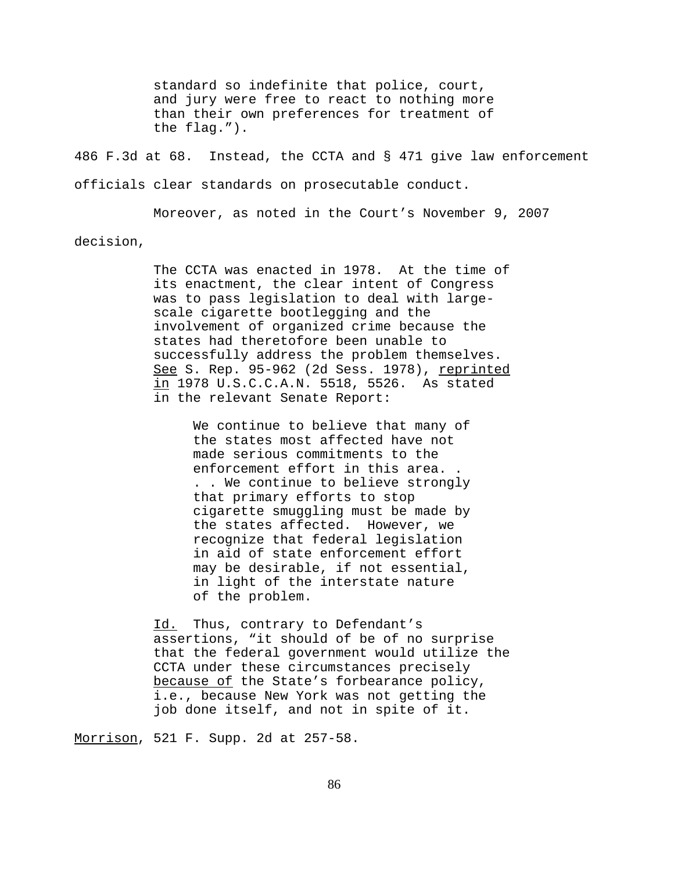standard so indefinite that police, court, and jury were free to react to nothing more than their own preferences for treatment of the flag.").

486 F.3d at 68. Instead, the CCTA and § 471 give law enforcement officials clear standards on prosecutable conduct.

Moreover, as noted in the Court's November 9, 2007 decision,

> The CCTA was enacted in 1978. At the time of its enactment, the clear intent of Congress was to pass legislation to deal with largescale cigarette bootlegging and the involvement of organized crime because the states had theretofore been unable to successfully address the problem themselves. See S. Rep. 95-962 (2d Sess. 1978), reprinted in 1978 U.S.C.C.A.N. 5518, 5526. As stated in the relevant Senate Report:

> > We continue to believe that many of the states most affected have not made serious commitments to the enforcement effort in this area. . . . We continue to believe strongly that primary efforts to stop cigarette smuggling must be made by the states affected. However, we recognize that federal legislation in aid of state enforcement effort may be desirable, if not essential, in light of the interstate nature of the problem.

Id. Thus, contrary to Defendant's assertions, "it should of be of no surprise that the federal government would utilize the CCTA under these circumstances precisely because of the State's forbearance policy, i.e., because New York was not getting the job done itself, and not in spite of it.

Morrison, 521 F. Supp. 2d at 257-58.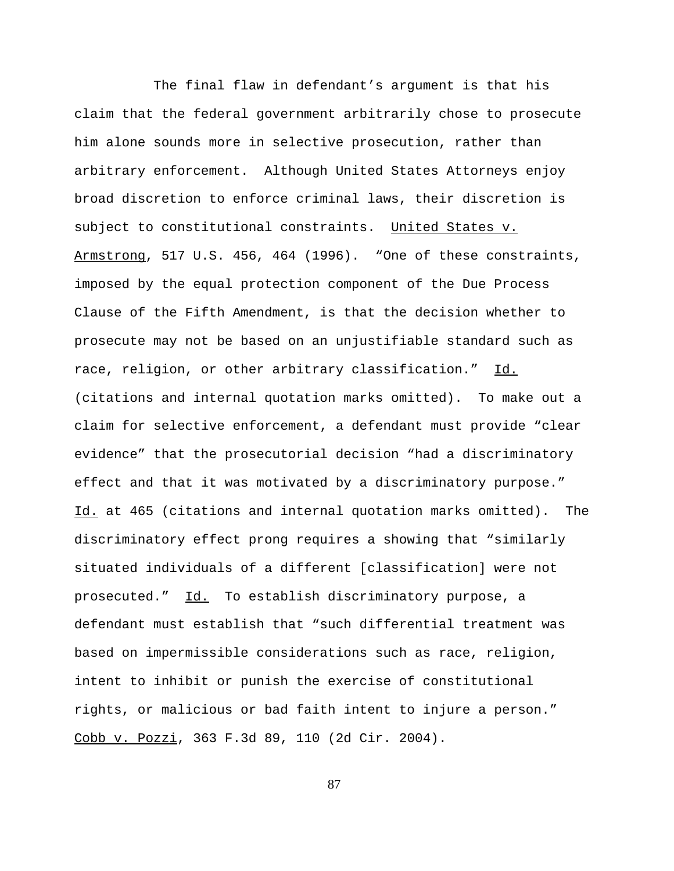The final flaw in defendant's argument is that his claim that the federal government arbitrarily chose to prosecute him alone sounds more in selective prosecution, rather than arbitrary enforcement. Although United States Attorneys enjoy broad discretion to enforce criminal laws, their discretion is subject to constitutional constraints. United States v. Armstrong, 517 U.S. 456, 464 (1996). "One of these constraints, imposed by the equal protection component of the Due Process Clause of the Fifth Amendment, is that the decision whether to prosecute may not be based on an unjustifiable standard such as race, religion, or other arbitrary classification." Id. (citations and internal quotation marks omitted). To make out a claim for selective enforcement, a defendant must provide "clear evidence" that the prosecutorial decision "had a discriminatory effect and that it was motivated by a discriminatory purpose." Id. at 465 (citations and internal quotation marks omitted). The discriminatory effect prong requires a showing that "similarly situated individuals of a different [classification] were not prosecuted." Id. To establish discriminatory purpose, a defendant must establish that "such differential treatment was based on impermissible considerations such as race, religion, intent to inhibit or punish the exercise of constitutional rights, or malicious or bad faith intent to injure a person." Cobb v. Pozzi, 363 F.3d 89, 110 (2d Cir. 2004).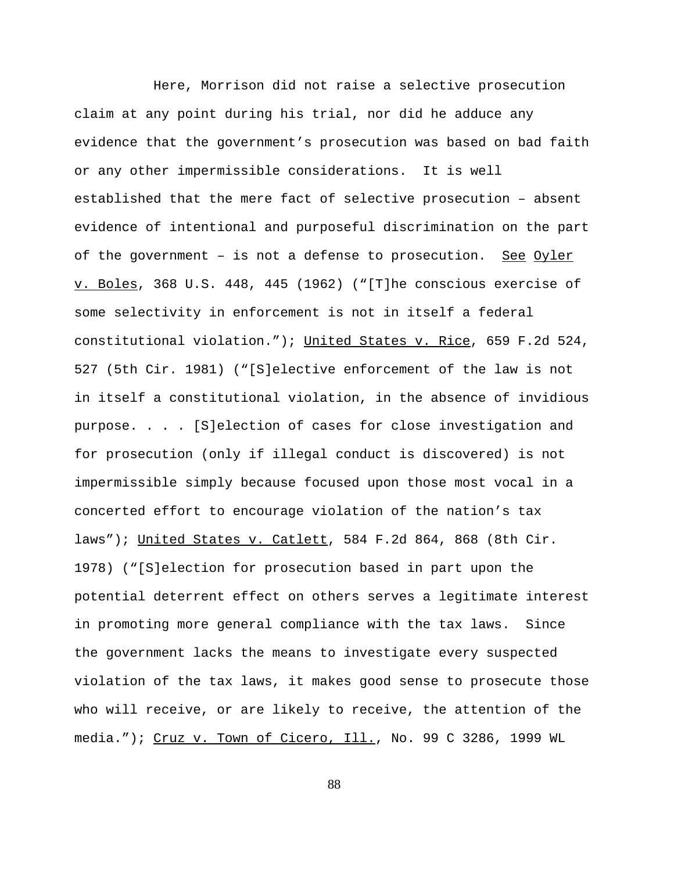Here, Morrison did not raise a selective prosecution claim at any point during his trial, nor did he adduce any evidence that the government's prosecution was based on bad faith or any other impermissible considerations. It is well established that the mere fact of selective prosecution – absent evidence of intentional and purposeful discrimination on the part of the government - is not a defense to prosecution. See Oyler v. Boles, 368 U.S. 448, 445 (1962) ("[T]he conscious exercise of some selectivity in enforcement is not in itself a federal constitutional violation."); United States v. Rice, 659 F.2d 524, 527 (5th Cir. 1981) ("[S]elective enforcement of the law is not in itself a constitutional violation, in the absence of invidious purpose. . . . [S]election of cases for close investigation and for prosecution (only if illegal conduct is discovered) is not impermissible simply because focused upon those most vocal in a concerted effort to encourage violation of the nation's tax laws"); United States v. Catlett, 584 F.2d 864, 868 (8th Cir. 1978) ("[S]election for prosecution based in part upon the potential deterrent effect on others serves a legitimate interest in promoting more general compliance with the tax laws. Since the government lacks the means to investigate every suspected violation of the tax laws, it makes good sense to prosecute those who will receive, or are likely to receive, the attention of the media."); Cruz v. Town of Cicero, Ill., No. 99 C 3286, 1999 WL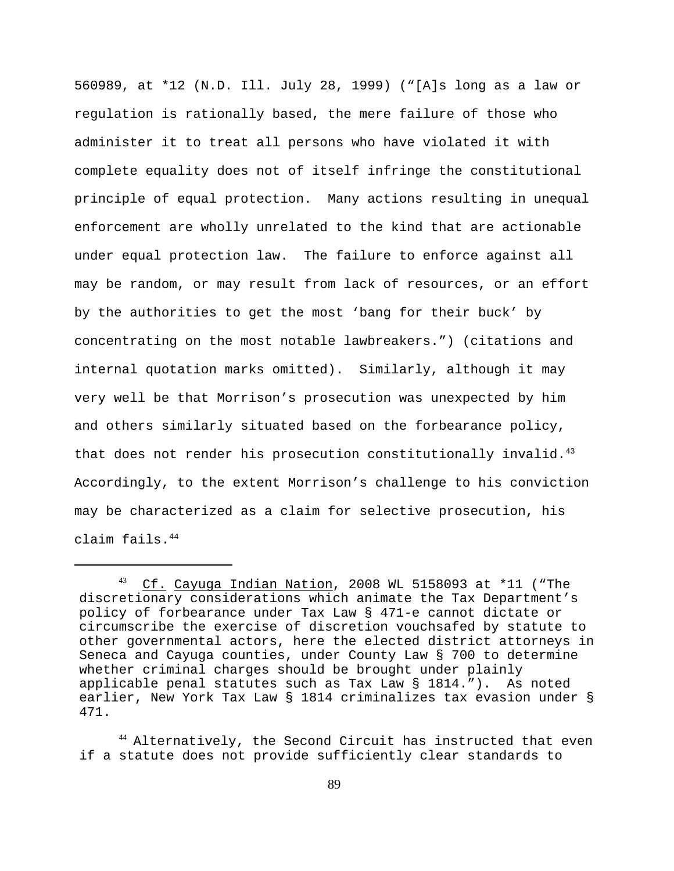560989, at \*12 (N.D. Ill. July 28, 1999) ("[A]s long as a law or regulation is rationally based, the mere failure of those who administer it to treat all persons who have violated it with complete equality does not of itself infringe the constitutional principle of equal protection. Many actions resulting in unequal enforcement are wholly unrelated to the kind that are actionable under equal protection law. The failure to enforce against all may be random, or may result from lack of resources, or an effort by the authorities to get the most 'bang for their buck' by concentrating on the most notable lawbreakers.") (citations and internal quotation marks omitted). Similarly, although it may very well be that Morrison's prosecution was unexpected by him and others similarly situated based on the forbearance policy, that does not render his prosecution constitutionally invalid. $43$ Accordingly, to the extent Morrison's challenge to his conviction may be characterized as a claim for selective prosecution, his claim fails.44

 $^{43}$  Cf. Cayuga Indian Nation, 2008 WL 5158093 at \*11 ("The discretionary considerations which animate the Tax Department's policy of forbearance under Tax Law § 471-e cannot dictate or circumscribe the exercise of discretion vouchsafed by statute to other governmental actors, here the elected district attorneys in Seneca and Cayuga counties, under County Law § 700 to determine whether criminal charges should be brought under plainly applicable penal statutes such as Tax Law § 1814."). As noted earlier, New York Tax Law § 1814 criminalizes tax evasion under § 471.

<sup>&</sup>lt;sup>44</sup> Alternatively, the Second Circuit has instructed that even if a statute does not provide sufficiently clear standards to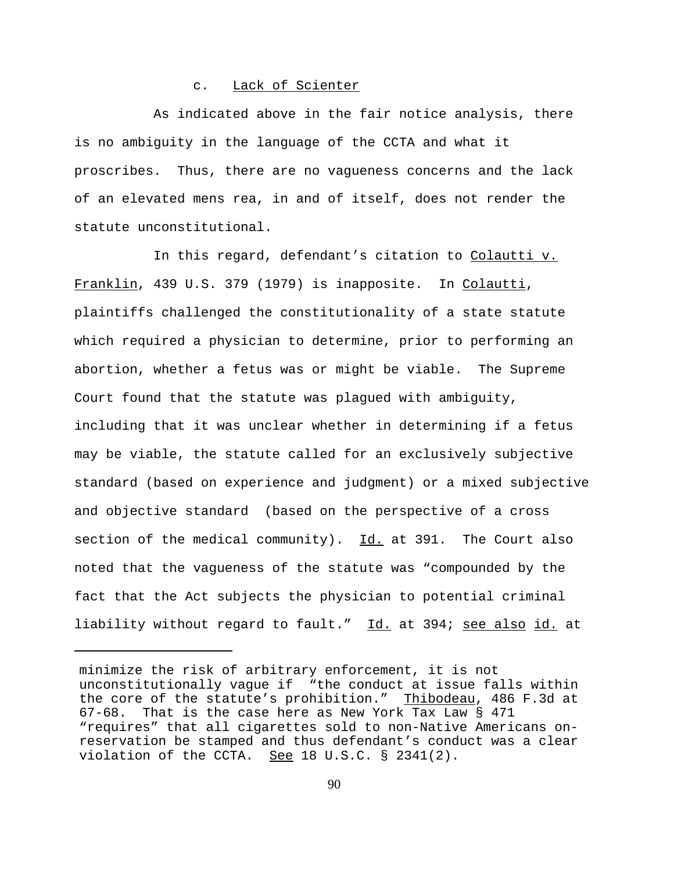### c. Lack of Scienter

As indicated above in the fair notice analysis, there is no ambiguity in the language of the CCTA and what it proscribes. Thus, there are no vagueness concerns and the lack of an elevated mens rea, in and of itself, does not render the statute unconstitutional.

In this regard, defendant's citation to Colautti v. Franklin, 439 U.S. 379 (1979) is inapposite. In Colautti, plaintiffs challenged the constitutionality of a state statute which required a physician to determine, prior to performing an abortion, whether a fetus was or might be viable. The Supreme Court found that the statute was plagued with ambiguity, including that it was unclear whether in determining if a fetus may be viable, the statute called for an exclusively subjective standard (based on experience and judgment) or a mixed subjective and objective standard (based on the perspective of a cross section of the medical community).  $Id.$  at 391. The Court also noted that the vagueness of the statute was "compounded by the fact that the Act subjects the physician to potential criminal liability without regard to fault." Id. at 394; see also id. at

minimize the risk of arbitrary enforcement, it is not unconstitutionally vague if "the conduct at issue falls within the core of the statute's prohibition." Thibodeau, 486 F.3d at 67-68. That is the case here as New York Tax Law § 471 "requires" that all cigarettes sold to non-Native Americans onreservation be stamped and thus defendant's conduct was a clear violation of the CCTA. See 18 U.S.C.  $\S$  2341(2).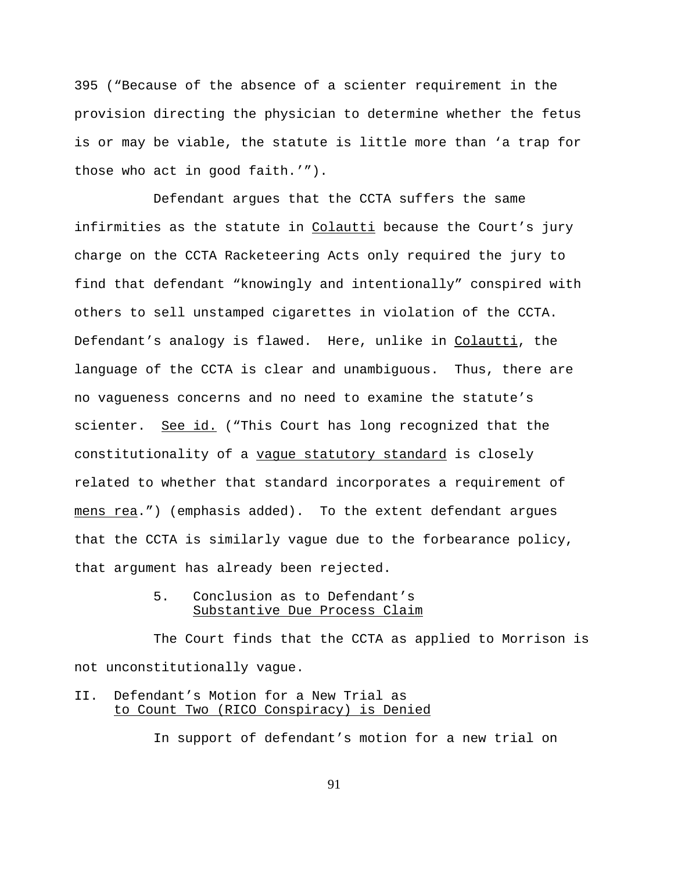395 ("Because of the absence of a scienter requirement in the provision directing the physician to determine whether the fetus is or may be viable, the statute is little more than 'a trap for those who act in good faith.'").

Defendant argues that the CCTA suffers the same infirmities as the statute in Colautti because the Court's jury charge on the CCTA Racketeering Acts only required the jury to find that defendant "knowingly and intentionally" conspired with others to sell unstamped cigarettes in violation of the CCTA. Defendant's analogy is flawed. Here, unlike in Colautti, the language of the CCTA is clear and unambiguous. Thus, there are no vagueness concerns and no need to examine the statute's scienter. See id. ("This Court has long recognized that the constitutionality of a vague statutory standard is closely related to whether that standard incorporates a requirement of mens rea.") (emphasis added). To the extent defendant argues that the CCTA is similarly vague due to the forbearance policy, that argument has already been rejected.

## 5. Conclusion as to Defendant's Substantive Due Process Claim

The Court finds that the CCTA as applied to Morrison is not unconstitutionally vague.

# II. Defendant's Motion for a New Trial as to Count Two (RICO Conspiracy) is Denied

In support of defendant's motion for a new trial on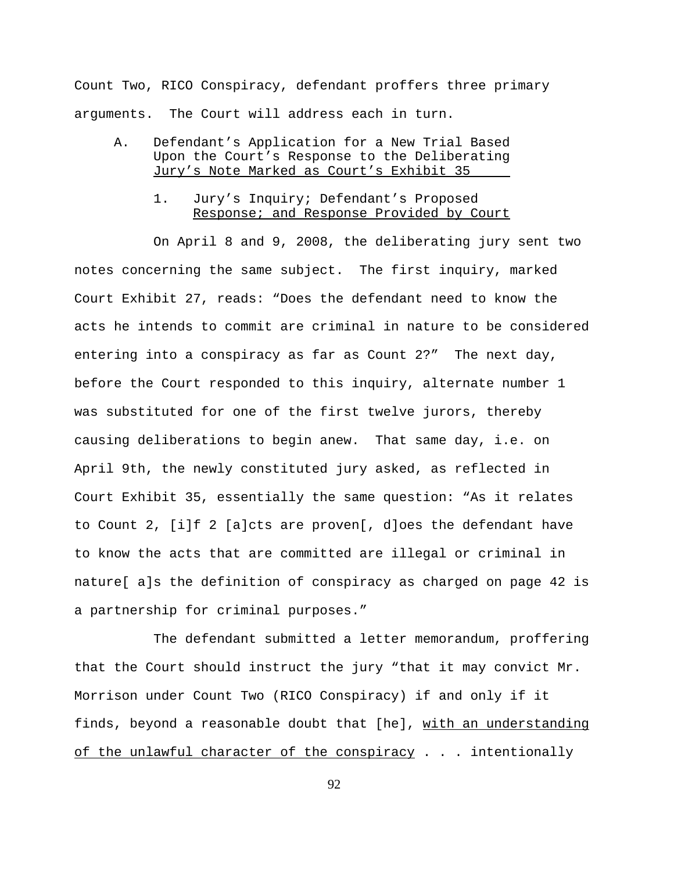Count Two, RICO Conspiracy, defendant proffers three primary arguments. The Court will address each in turn.

- A. Defendant's Application for a New Trial Based Upon the Court's Response to the Deliberating Jury's Note Marked as Court's Exhibit 35
	- 1. Jury's Inquiry; Defendant's Proposed Response; and Response Provided by Court

On April 8 and 9, 2008, the deliberating jury sent two notes concerning the same subject. The first inquiry, marked Court Exhibit 27, reads: "Does the defendant need to know the acts he intends to commit are criminal in nature to be considered entering into a conspiracy as far as Count 2?" The next day, before the Court responded to this inquiry, alternate number 1 was substituted for one of the first twelve jurors, thereby causing deliberations to begin anew. That same day, i.e. on April 9th, the newly constituted jury asked, as reflected in Court Exhibit 35, essentially the same question: "As it relates to Count 2, [i]f 2 [a]cts are proven[, d]oes the defendant have to know the acts that are committed are illegal or criminal in nature[ a]s the definition of conspiracy as charged on page 42 is a partnership for criminal purposes."

The defendant submitted a letter memorandum, proffering that the Court should instruct the jury "that it may convict Mr. Morrison under Count Two (RICO Conspiracy) if and only if it finds, beyond a reasonable doubt that [he], with an understanding of the unlawful character of the conspiracy . . . intentionally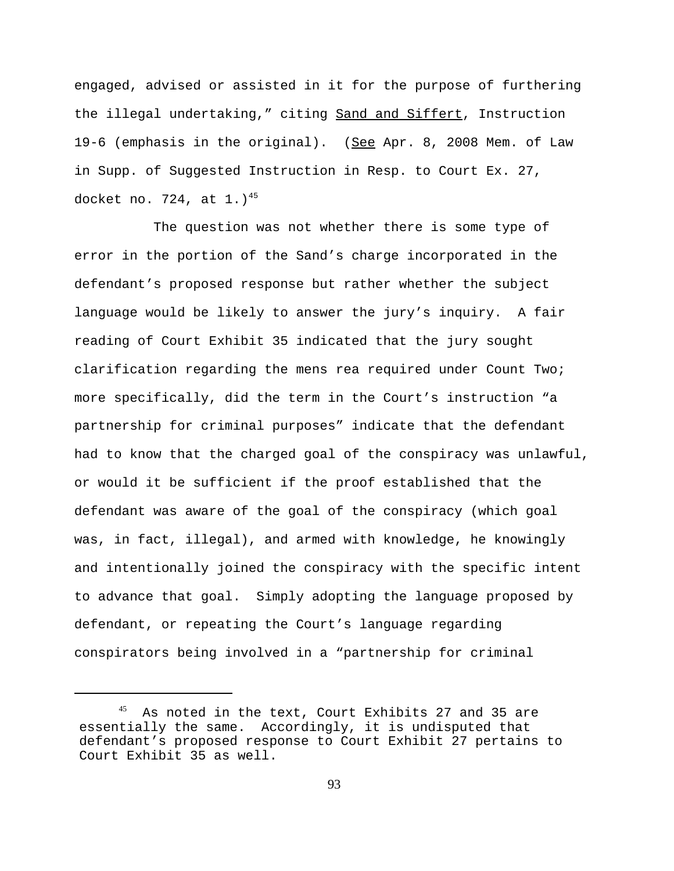engaged, advised or assisted in it for the purpose of furthering the illegal undertaking," citing Sand and Siffert, Instruction 19-6 (emphasis in the original). (See Apr. 8, 2008 Mem. of Law in Supp. of Suggested Instruction in Resp. to Court Ex. 27, docket no. 724, at  $1.1^{45}$ 

The question was not whether there is some type of error in the portion of the Sand's charge incorporated in the defendant's proposed response but rather whether the subject language would be likely to answer the jury's inquiry. A fair reading of Court Exhibit 35 indicated that the jury sought clarification regarding the mens rea required under Count Two; more specifically, did the term in the Court's instruction "a partnership for criminal purposes" indicate that the defendant had to know that the charged goal of the conspiracy was unlawful, or would it be sufficient if the proof established that the defendant was aware of the goal of the conspiracy (which goal was, in fact, illegal), and armed with knowledge, he knowingly and intentionally joined the conspiracy with the specific intent to advance that goal. Simply adopting the language proposed by defendant, or repeating the Court's language regarding conspirators being involved in a "partnership for criminal

<sup>&</sup>lt;sup>45</sup> As noted in the text, Court Exhibits 27 and 35 are essentially the same. Accordingly, it is undisputed that defendant's proposed response to Court Exhibit 27 pertains to Court Exhibit 35 as well.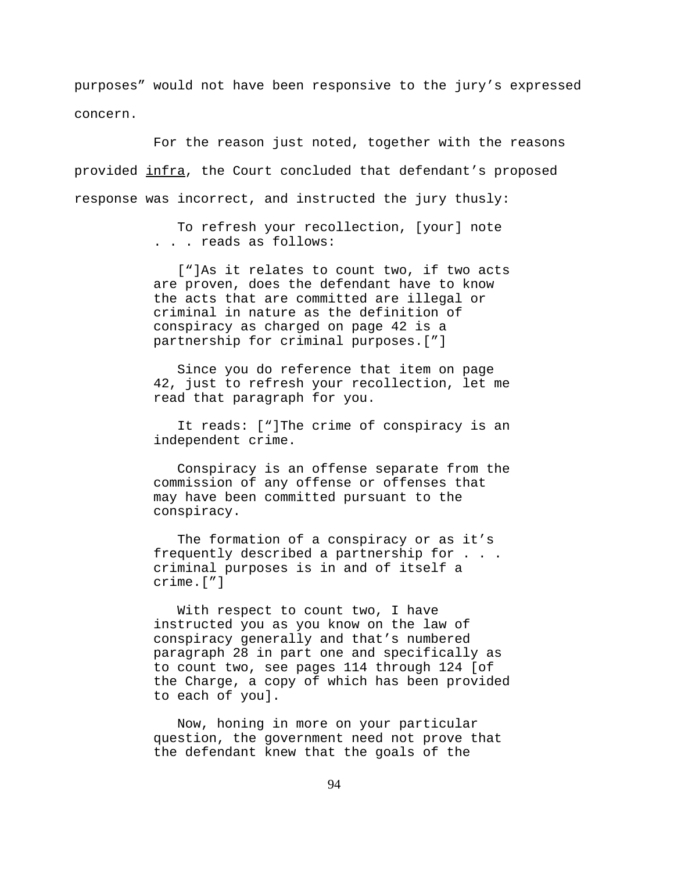purposes" would not have been responsive to the jury's expressed concern.

For the reason just noted, together with the reasons provided infra, the Court concluded that defendant's proposed response was incorrect, and instructed the jury thusly:

> To refresh your recollection, [your] note . . . reads as follows:

 ["]As it relates to count two, if two acts are proven, does the defendant have to know the acts that are committed are illegal or criminal in nature as the definition of conspiracy as charged on page 42 is a partnership for criminal purposes.["]

 Since you do reference that item on page 42, just to refresh your recollection, let me read that paragraph for you.

 It reads: ["]The crime of conspiracy is an independent crime.

 Conspiracy is an offense separate from the commission of any offense or offenses that may have been committed pursuant to the conspiracy.

 The formation of a conspiracy or as it's frequently described a partnership for . . . criminal purposes is in and of itself a crime.["]

 With respect to count two, I have instructed you as you know on the law of conspiracy generally and that's numbered paragraph 28 in part one and specifically as to count two, see pages 114 through 124 [of the Charge, a copy of which has been provided to each of you].

 Now, honing in more on your particular question, the government need not prove that the defendant knew that the goals of the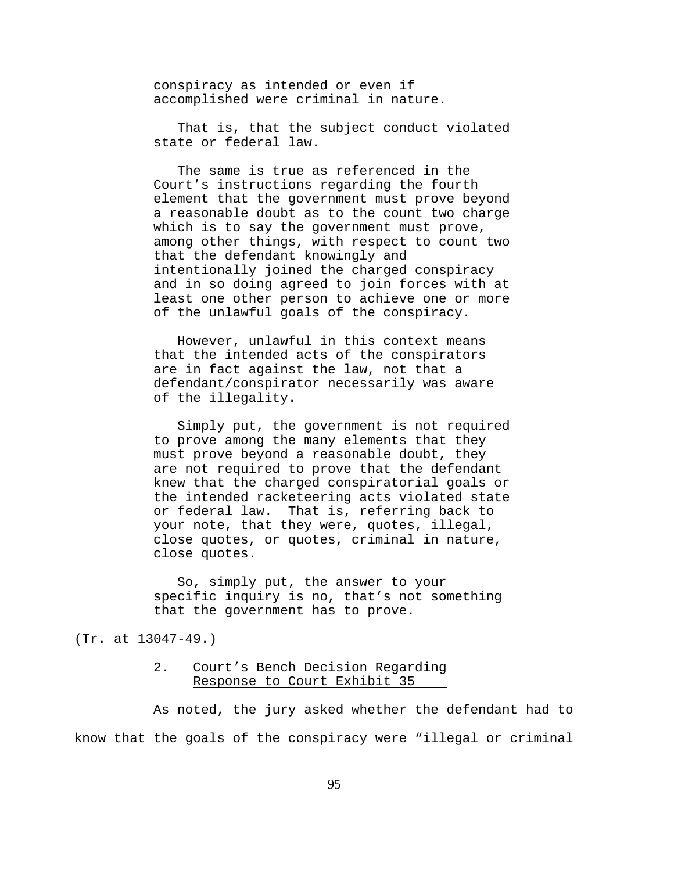conspiracy as intended or even if accomplished were criminal in nature.

 That is, that the subject conduct violated state or federal law.

 The same is true as referenced in the Court's instructions regarding the fourth element that the government must prove beyond a reasonable doubt as to the count two charge which is to say the government must prove, among other things, with respect to count two that the defendant knowingly and intentionally joined the charged conspiracy and in so doing agreed to join forces with at least one other person to achieve one or more of the unlawful goals of the conspiracy.

 However, unlawful in this context means that the intended acts of the conspirators are in fact against the law, not that a defendant/conspirator necessarily was aware of the illegality.

 Simply put, the government is not required to prove among the many elements that they must prove beyond a reasonable doubt, they are not required to prove that the defendant knew that the charged conspiratorial goals or the intended racketeering acts violated state or federal law. That is, referring back to your note, that they were, quotes, illegal, close quotes, or quotes, criminal in nature, close quotes.

 So, simply put, the answer to your specific inquiry is no, that's not something that the government has to prove.

(Tr. at 13047-49.)

### 2. Court's Bench Decision Regarding Response to Court Exhibit 35

As noted, the jury asked whether the defendant had to know that the goals of the conspiracy were "illegal or criminal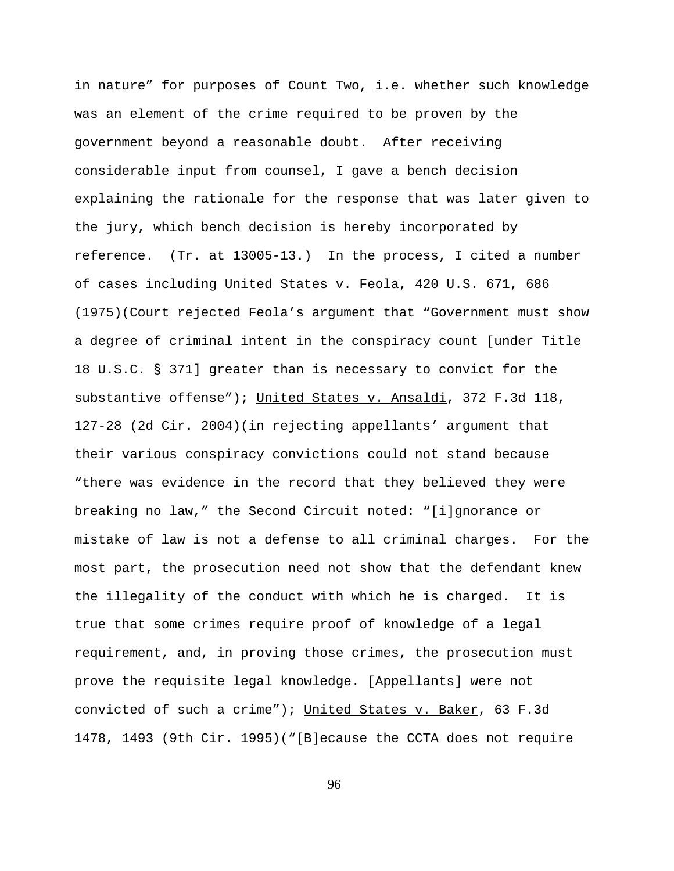in nature" for purposes of Count Two, i.e. whether such knowledge was an element of the crime required to be proven by the government beyond a reasonable doubt. After receiving considerable input from counsel, I gave a bench decision explaining the rationale for the response that was later given to the jury, which bench decision is hereby incorporated by reference. (Tr. at 13005-13.) In the process, I cited a number of cases including United States v. Feola, 420 U.S. 671, 686 (1975)(Court rejected Feola's argument that "Government must show a degree of criminal intent in the conspiracy count [under Title 18 U.S.C. § 371] greater than is necessary to convict for the substantive offense"); United States v. Ansaldi, 372 F.3d 118, 127-28 (2d Cir. 2004)(in rejecting appellants' argument that their various conspiracy convictions could not stand because "there was evidence in the record that they believed they were breaking no law," the Second Circuit noted: "[i]gnorance or mistake of law is not a defense to all criminal charges. For the most part, the prosecution need not show that the defendant knew the illegality of the conduct with which he is charged. It is true that some crimes require proof of knowledge of a legal requirement, and, in proving those crimes, the prosecution must prove the requisite legal knowledge. [Appellants] were not convicted of such a crime"); United States v. Baker, 63 F.3d 1478, 1493 (9th Cir. 1995)("[B]ecause the CCTA does not require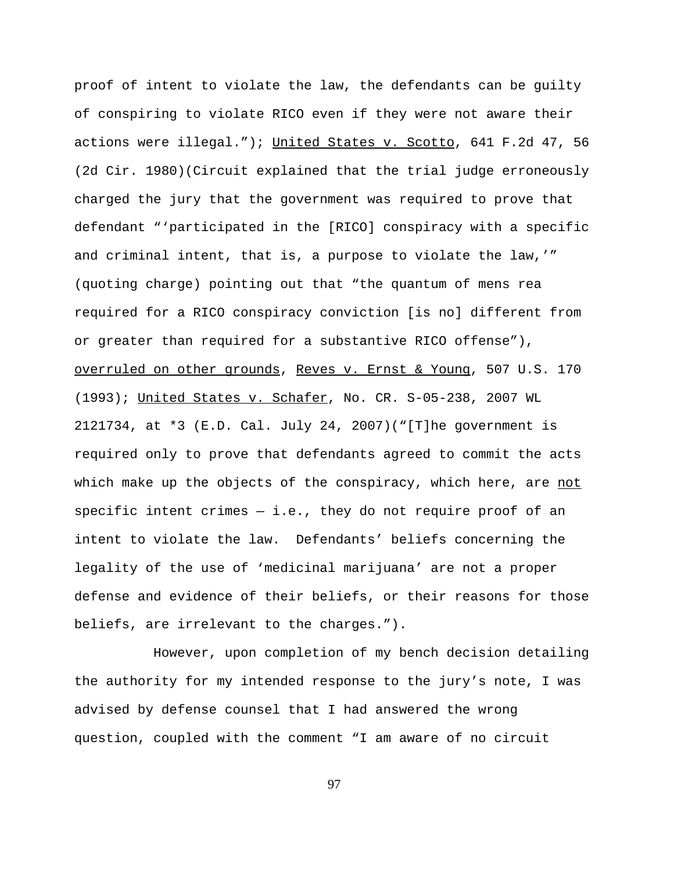proof of intent to violate the law, the defendants can be guilty of conspiring to violate RICO even if they were not aware their actions were illegal."); United States v. Scotto, 641 F.2d 47, 56 (2d Cir. 1980)(Circuit explained that the trial judge erroneously charged the jury that the government was required to prove that defendant "'participated in the [RICO] conspiracy with a specific and criminal intent, that is, a purpose to violate the law,'" (quoting charge) pointing out that "the quantum of mens rea required for a RICO conspiracy conviction [is no] different from or greater than required for a substantive RICO offense"), overruled on other grounds, Reves v. Ernst & Young, 507 U.S. 170 (1993); United States v. Schafer, No. CR. S-05-238, 2007 WL 2121734, at \*3 (E.D. Cal. July 24, 2007)("[T]he government is required only to prove that defendants agreed to commit the acts which make up the objects of the conspiracy, which here, are not specific intent crimes  $-$  i.e., they do not require proof of an intent to violate the law. Defendants' beliefs concerning the legality of the use of 'medicinal marijuana' are not a proper defense and evidence of their beliefs, or their reasons for those beliefs, are irrelevant to the charges.").

However, upon completion of my bench decision detailing the authority for my intended response to the jury's note, I was advised by defense counsel that I had answered the wrong question, coupled with the comment "I am aware of no circuit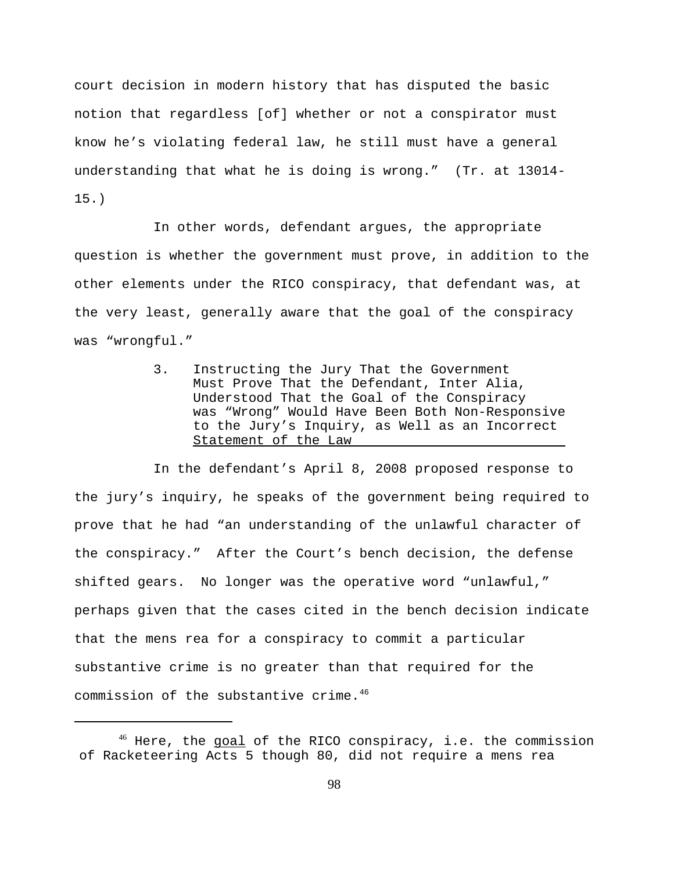court decision in modern history that has disputed the basic notion that regardless [of] whether or not a conspirator must know he's violating federal law, he still must have a general understanding that what he is doing is wrong." (Tr. at 13014- 15.)

In other words, defendant argues, the appropriate question is whether the government must prove, in addition to the other elements under the RICO conspiracy, that defendant was, at the very least, generally aware that the goal of the conspiracy was "wrongful."

> 3. Instructing the Jury That the Government Must Prove That the Defendant, Inter Alia, Understood That the Goal of the Conspiracy was "Wrong" Would Have Been Both Non-Responsive to the Jury's Inquiry, as Well as an Incorrect Statement of the Law

In the defendant's April 8, 2008 proposed response to the jury's inquiry, he speaks of the government being required to prove that he had "an understanding of the unlawful character of the conspiracy." After the Court's bench decision, the defense shifted gears. No longer was the operative word "unlawful," perhaps given that the cases cited in the bench decision indicate that the mens rea for a conspiracy to commit a particular substantive crime is no greater than that required for the commission of the substantive crime.<sup>46</sup>

<sup>&</sup>lt;sup>46</sup> Here, the **goal** of the RICO conspiracy, i.e. the commission of Racketeering Acts 5 though 80, did not require a mens rea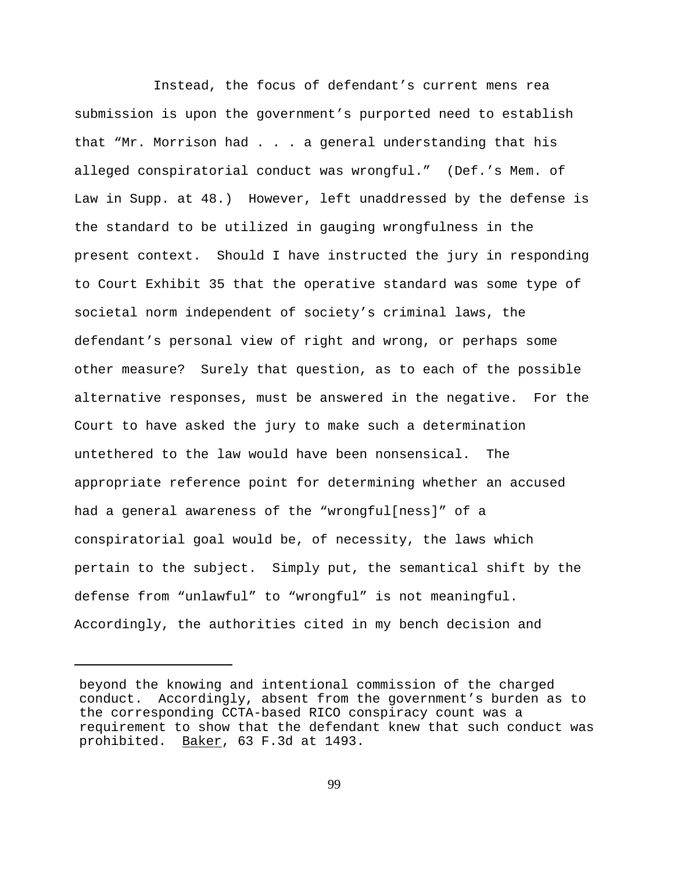Instead, the focus of defendant's current mens rea submission is upon the government's purported need to establish that "Mr. Morrison had . . . a general understanding that his alleged conspiratorial conduct was wrongful." (Def.'s Mem. of Law in Supp. at 48.) However, left unaddressed by the defense is the standard to be utilized in gauging wrongfulness in the present context. Should I have instructed the jury in responding to Court Exhibit 35 that the operative standard was some type of societal norm independent of society's criminal laws, the defendant's personal view of right and wrong, or perhaps some other measure? Surely that question, as to each of the possible alternative responses, must be answered in the negative. For the Court to have asked the jury to make such a determination untethered to the law would have been nonsensical. The appropriate reference point for determining whether an accused had a general awareness of the "wrongful[ness]" of a conspiratorial goal would be, of necessity, the laws which pertain to the subject. Simply put, the semantical shift by the defense from "unlawful" to "wrongful" is not meaningful. Accordingly, the authorities cited in my bench decision and

beyond the knowing and intentional commission of the charged conduct. Accordingly, absent from the government's burden as to the corresponding CCTA-based RICO conspiracy count was a requirement to show that the defendant knew that such conduct was prohibited. Baker, 63 F.3d at 1493.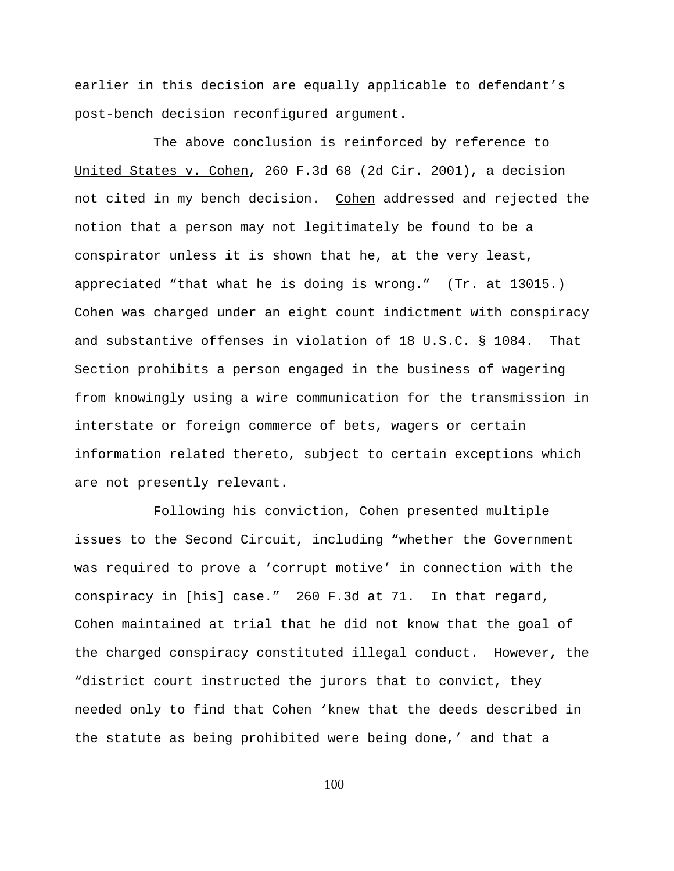earlier in this decision are equally applicable to defendant's post-bench decision reconfigured argument.

The above conclusion is reinforced by reference to United States v. Cohen, 260 F.3d 68 (2d Cir. 2001), a decision not cited in my bench decision. Cohen addressed and rejected the notion that a person may not legitimately be found to be a conspirator unless it is shown that he, at the very least, appreciated "that what he is doing is wrong." (Tr. at 13015.) Cohen was charged under an eight count indictment with conspiracy and substantive offenses in violation of 18 U.S.C. § 1084. That Section prohibits a person engaged in the business of wagering from knowingly using a wire communication for the transmission in interstate or foreign commerce of bets, wagers or certain information related thereto, subject to certain exceptions which are not presently relevant.

Following his conviction, Cohen presented multiple issues to the Second Circuit, including "whether the Government was required to prove a 'corrupt motive' in connection with the conspiracy in [his] case." 260 F.3d at 71. In that regard, Cohen maintained at trial that he did not know that the goal of the charged conspiracy constituted illegal conduct. However, the "district court instructed the jurors that to convict, they needed only to find that Cohen 'knew that the deeds described in the statute as being prohibited were being done,' and that a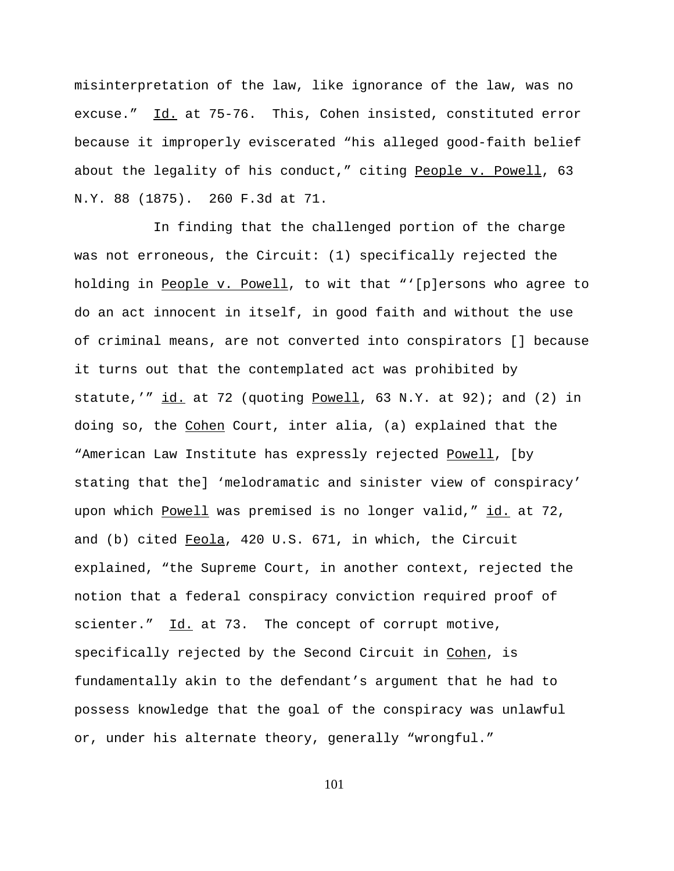misinterpretation of the law, like ignorance of the law, was no excuse." Id. at 75-76. This, Cohen insisted, constituted error because it improperly eviscerated "his alleged good-faith belief about the legality of his conduct," citing People v. Powell, 63 N.Y. 88 (1875). 260 F.3d at 71.

In finding that the challenged portion of the charge was not erroneous, the Circuit: (1) specifically rejected the holding in People v. Powell, to wit that "'[p]ersons who agree to do an act innocent in itself, in good faith and without the use of criminal means, are not converted into conspirators [] because it turns out that the contemplated act was prohibited by statute,'" id. at 72 (quoting Powell, 63 N.Y. at 92); and (2) in doing so, the Cohen Court, inter alia, (a) explained that the "American Law Institute has expressly rejected Powell, [by stating that the] 'melodramatic and sinister view of conspiracy' upon which Powell was premised is no longer valid," id. at 72, and (b) cited Feola, 420 U.S. 671, in which, the Circuit explained, "the Supreme Court, in another context, rejected the notion that a federal conspiracy conviction required proof of scienter." Id. at 73. The concept of corrupt motive, specifically rejected by the Second Circuit in Cohen, is fundamentally akin to the defendant's argument that he had to possess knowledge that the goal of the conspiracy was unlawful or, under his alternate theory, generally "wrongful."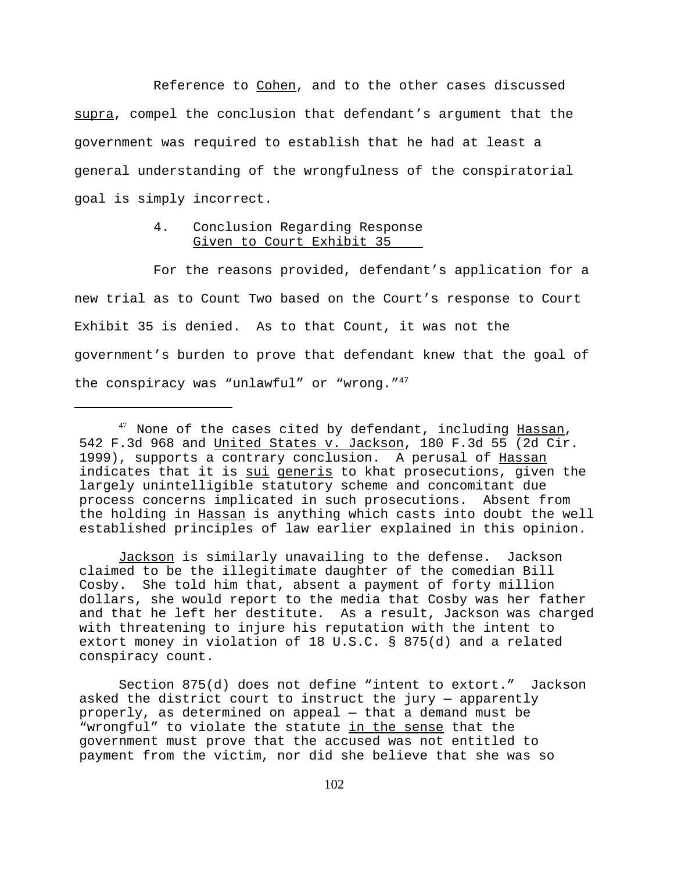Reference to Cohen, and to the other cases discussed supra, compel the conclusion that defendant's argument that the government was required to establish that he had at least a general understanding of the wrongfulness of the conspiratorial goal is simply incorrect.

## 4. Conclusion Regarding Response Given to Court Exhibit 35

For the reasons provided, defendant's application for a new trial as to Count Two based on the Court's response to Court Exhibit 35 is denied. As to that Count, it was not the government's burden to prove that defendant knew that the goal of the conspiracy was "unlawful" or "wrong."<sup>47</sup>

 Jackson is similarly unavailing to the defense. Jackson claimed to be the illegitimate daughter of the comedian Bill Cosby. She told him that, absent a payment of forty million dollars, she would report to the media that Cosby was her father and that he left her destitute. As a result, Jackson was charged with threatening to injure his reputation with the intent to extort money in violation of 18 U.S.C. § 875(d) and a related conspiracy count.

Section 875(d) does not define "intent to extort." Jackson asked the district court to instruct the jury — apparently properly, as determined on appeal — that a demand must be "wrongful" to violate the statute in the sense that the government must prove that the accused was not entitled to payment from the victim, nor did she believe that she was so

<sup>&</sup>lt;sup>47</sup> None of the cases cited by defendant, including Hassan, 542 F.3d 968 and United States v. Jackson, 180 F.3d 55 (2d Cir. 1999), supports a contrary conclusion. A perusal of Hassan indicates that it is sui generis to khat prosecutions, given the largely unintelligible statutory scheme and concomitant due process concerns implicated in such prosecutions. Absent from the holding in Hassan is anything which casts into doubt the well established principles of law earlier explained in this opinion.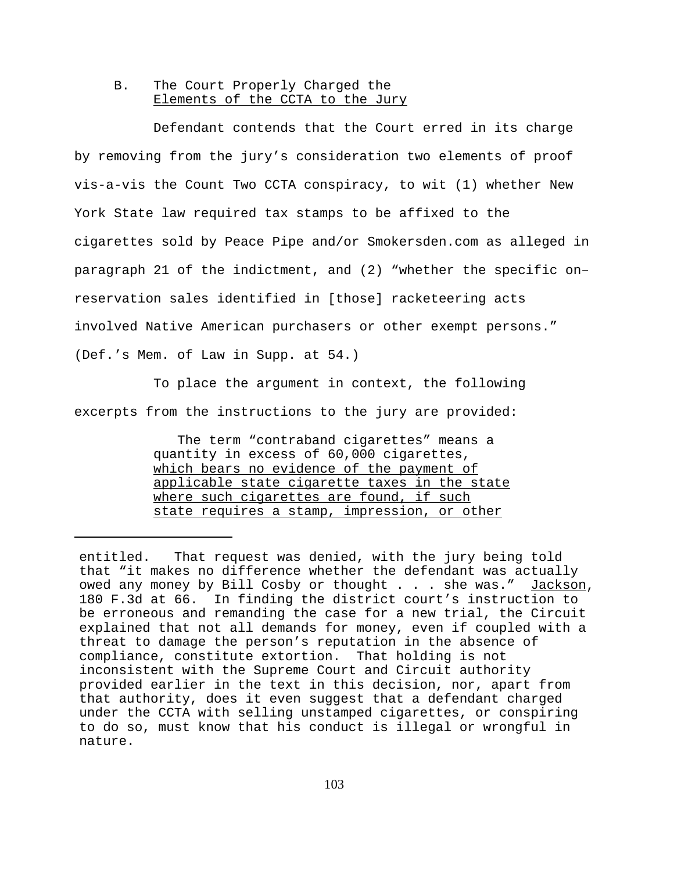### B. The Court Properly Charged the Elements of the CCTA to the Jury

Defendant contends that the Court erred in its charge by removing from the jury's consideration two elements of proof vis-a-vis the Count Two CCTA conspiracy, to wit (1) whether New York State law required tax stamps to be affixed to the cigarettes sold by Peace Pipe and/or Smokersden.com as alleged in paragraph 21 of the indictment, and (2) "whether the specific on– reservation sales identified in [those] racketeering acts involved Native American purchasers or other exempt persons." (Def.'s Mem. of Law in Supp. at 54.)

To place the argument in context, the following excerpts from the instructions to the jury are provided:

> The term "contraband cigarettes" means a quantity in excess of 60,000 cigarettes, which bears no evidence of the payment of applicable state cigarette taxes in the state where such cigarettes are found, if such state requires a stamp, impression, or other

entitled. That request was denied, with the jury being told that "it makes no difference whether the defendant was actually owed any money by Bill Cosby or thought . . . she was." Jackson, 180 F.3d at 66. In finding the district court's instruction to be erroneous and remanding the case for a new trial, the Circuit explained that not all demands for money, even if coupled with a threat to damage the person's reputation in the absence of compliance, constitute extortion. That holding is not inconsistent with the Supreme Court and Circuit authority provided earlier in the text in this decision, nor, apart from that authority, does it even suggest that a defendant charged under the CCTA with selling unstamped cigarettes, or conspiring to do so, must know that his conduct is illegal or wrongful in nature.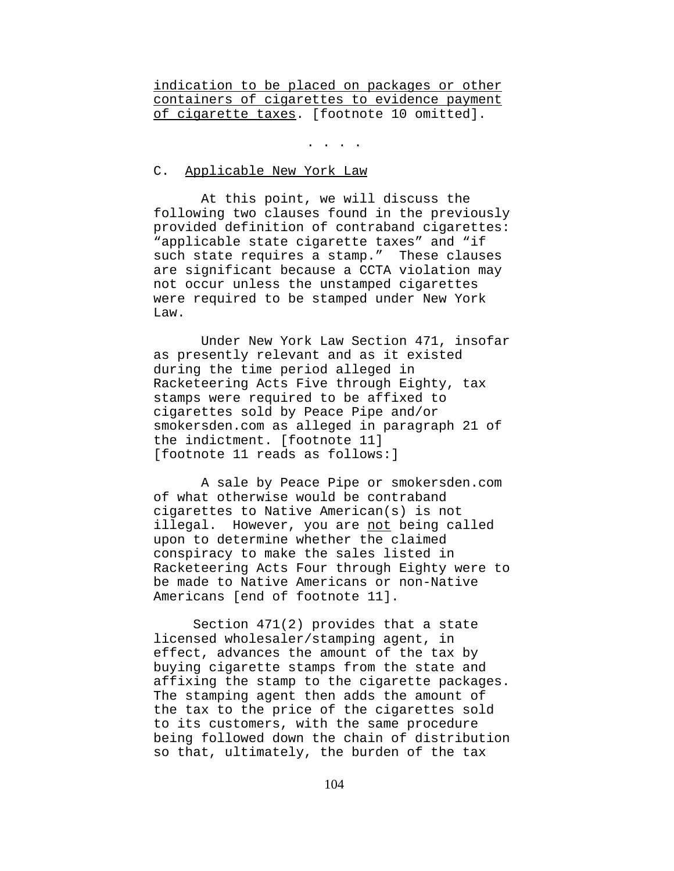indication to be placed on packages or other containers of cigarettes to evidence payment of cigarette taxes. [footnote 10 omitted].

. . . .

#### C. Applicable New York Law

 At this point, we will discuss the following two clauses found in the previously provided definition of contraband cigarettes: "applicable state cigarette taxes" and "if such state requires a stamp." These clauses are significant because a CCTA violation may not occur unless the unstamped cigarettes were required to be stamped under New York Law.

 Under New York Law Section 471, insofar as presently relevant and as it existed during the time period alleged in Racketeering Acts Five through Eighty, tax stamps were required to be affixed to cigarettes sold by Peace Pipe and/or smokersden.com as alleged in paragraph 21 of the indictment. [footnote 11] [footnote 11 reads as follows:]

 A sale by Peace Pipe or smokersden.com of what otherwise would be contraband cigarettes to Native American(s) is not illegal. However, you are not being called upon to determine whether the claimed conspiracy to make the sales listed in Racketeering Acts Four through Eighty were to be made to Native Americans or non-Native Americans [end of footnote 11].

Section 471(2) provides that a state licensed wholesaler/stamping agent, in effect, advances the amount of the tax by buying cigarette stamps from the state and affixing the stamp to the cigarette packages. The stamping agent then adds the amount of the tax to the price of the cigarettes sold to its customers, with the same procedure being followed down the chain of distribution so that, ultimately, the burden of the tax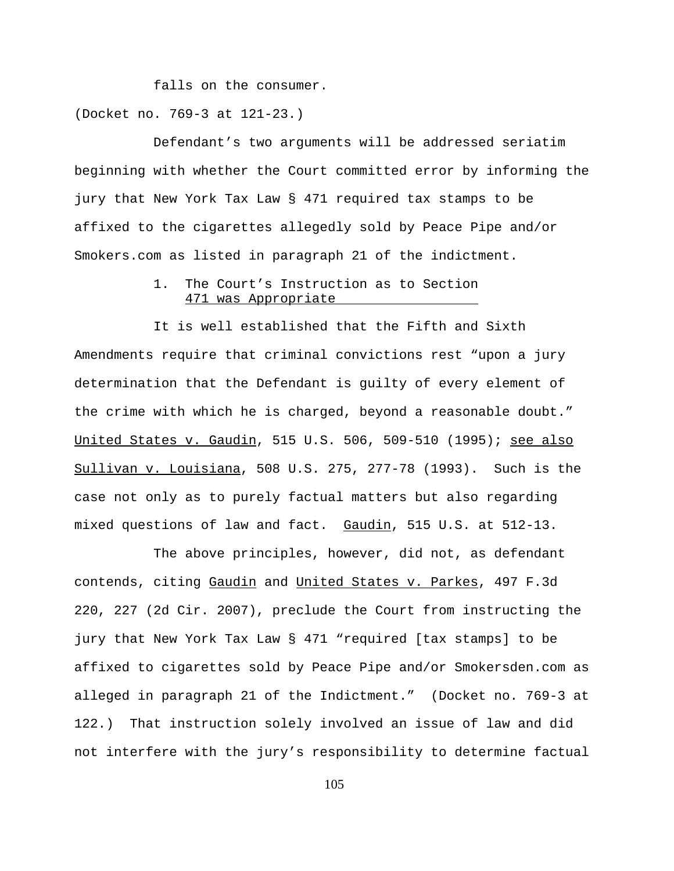falls on the consumer. (Docket no. 769-3 at 121-23.)

Defendant's two arguments will be addressed seriatim beginning with whether the Court committed error by informing the jury that New York Tax Law § 471 required tax stamps to be affixed to the cigarettes allegedly sold by Peace Pipe and/or Smokers.com as listed in paragraph 21 of the indictment.

## 1. The Court's Instruction as to Section 471 was Appropriate

It is well established that the Fifth and Sixth Amendments require that criminal convictions rest "upon a jury determination that the Defendant is guilty of every element of the crime with which he is charged, beyond a reasonable doubt." United States v. Gaudin, 515 U.S. 506, 509-510 (1995); see also Sullivan v. Louisiana, 508 U.S. 275, 277-78 (1993). Such is the case not only as to purely factual matters but also regarding mixed questions of law and fact. Gaudin, 515 U.S. at 512-13.

The above principles, however, did not, as defendant contends, citing Gaudin and United States v. Parkes, 497 F.3d 220, 227 (2d Cir. 2007), preclude the Court from instructing the jury that New York Tax Law § 471 "required [tax stamps] to be affixed to cigarettes sold by Peace Pipe and/or Smokersden.com as alleged in paragraph 21 of the Indictment." (Docket no. 769-3 at 122.) That instruction solely involved an issue of law and did not interfere with the jury's responsibility to determine factual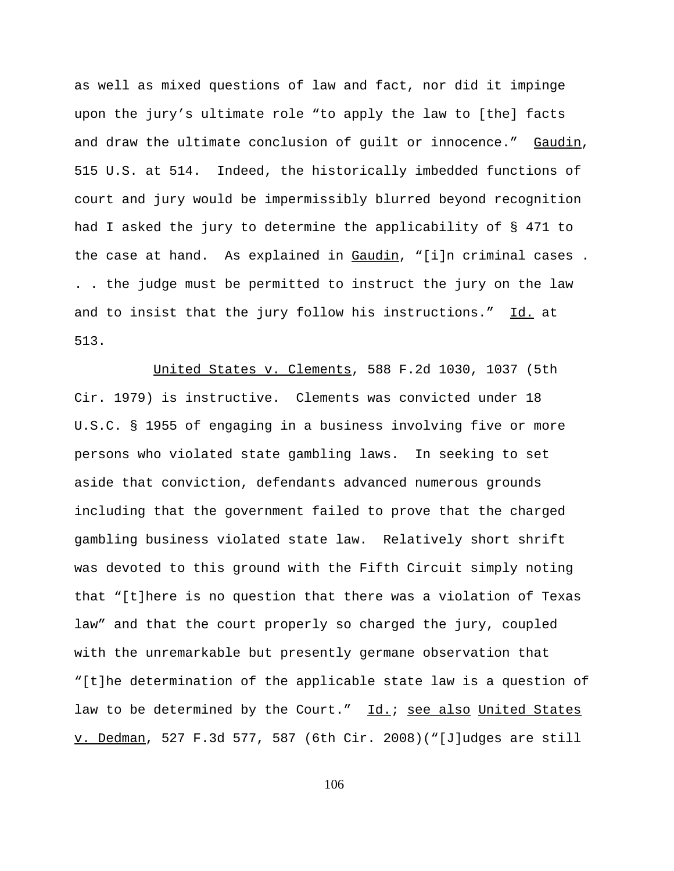as well as mixed questions of law and fact, nor did it impinge upon the jury's ultimate role "to apply the law to [the] facts and draw the ultimate conclusion of guilt or innocence." Gaudin, 515 U.S. at 514. Indeed, the historically imbedded functions of court and jury would be impermissibly blurred beyond recognition had I asked the jury to determine the applicability of § 471 to the case at hand. As explained in Gaudin, "[i]n criminal cases. . . the judge must be permitted to instruct the jury on the law and to insist that the jury follow his instructions." Id. at 513.

United States v. Clements, 588 F.2d 1030, 1037 (5th Cir. 1979) is instructive. Clements was convicted under 18 U.S.C. § 1955 of engaging in a business involving five or more persons who violated state gambling laws. In seeking to set aside that conviction, defendants advanced numerous grounds including that the government failed to prove that the charged gambling business violated state law. Relatively short shrift was devoted to this ground with the Fifth Circuit simply noting that "[t]here is no question that there was a violation of Texas law" and that the court properly so charged the jury, coupled with the unremarkable but presently germane observation that "[t]he determination of the applicable state law is a question of law to be determined by the Court." Id.; see also United States v. Dedman, 527 F.3d 577, 587 (6th Cir. 2008)("[J]udges are still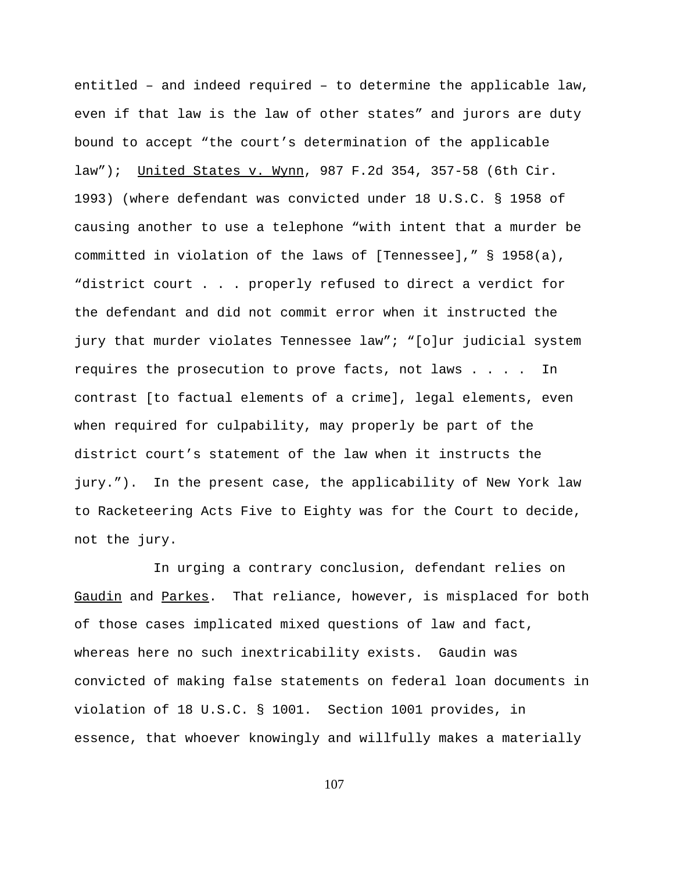entitled – and indeed required – to determine the applicable law, even if that law is the law of other states" and jurors are duty bound to accept "the court's determination of the applicable law"); United States v. Wynn, 987 F.2d 354, 357-58 (6th Cir. 1993) (where defendant was convicted under 18 U.S.C. § 1958 of causing another to use a telephone "with intent that a murder be committed in violation of the laws of [Tennessee]," § 1958(a), "district court . . . properly refused to direct a verdict for the defendant and did not commit error when it instructed the jury that murder violates Tennessee law"; "[o]ur judicial system requires the prosecution to prove facts, not laws . . . . In contrast [to factual elements of a crime], legal elements, even when required for culpability, may properly be part of the district court's statement of the law when it instructs the jury."). In the present case, the applicability of New York law to Racketeering Acts Five to Eighty was for the Court to decide, not the jury.

In urging a contrary conclusion, defendant relies on Gaudin and Parkes. That reliance, however, is misplaced for both of those cases implicated mixed questions of law and fact, whereas here no such inextricability exists. Gaudin was convicted of making false statements on federal loan documents in violation of 18 U.S.C. § 1001. Section 1001 provides, in essence, that whoever knowingly and willfully makes a materially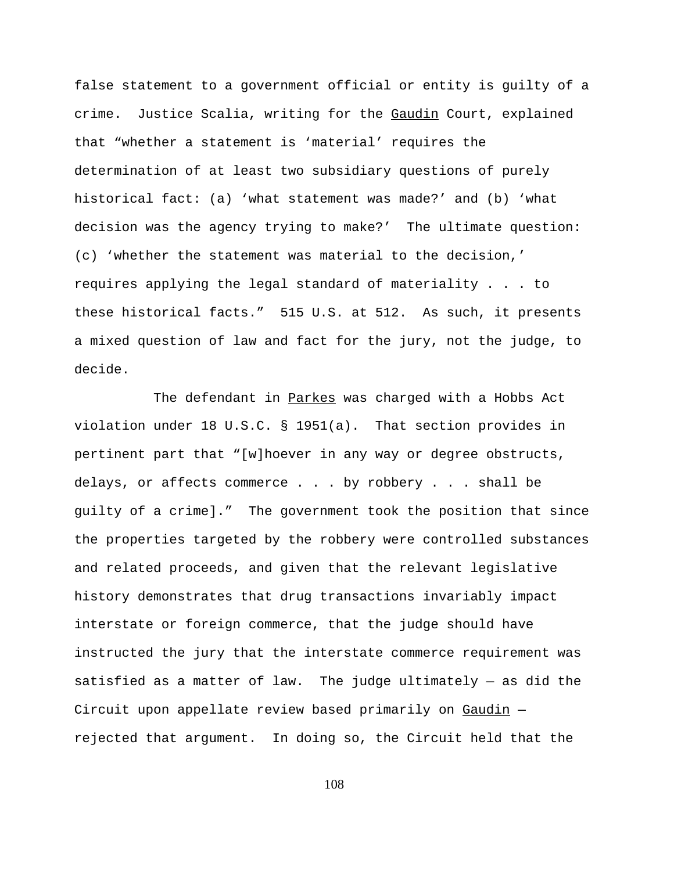false statement to a government official or entity is guilty of a crime. Justice Scalia, writing for the Gaudin Court, explained that "whether a statement is 'material' requires the determination of at least two subsidiary questions of purely historical fact: (a) 'what statement was made?' and (b) 'what decision was the agency trying to make?' The ultimate question: (c) 'whether the statement was material to the decision,' requires applying the legal standard of materiality . . . to these historical facts." 515 U.S. at 512. As such, it presents a mixed question of law and fact for the jury, not the judge, to decide.

The defendant in Parkes was charged with a Hobbs Act violation under 18 U.S.C. § 1951(a). That section provides in pertinent part that "[w]hoever in any way or degree obstructs, delays, or affects commerce . . . by robbery . . . shall be guilty of a crime]." The government took the position that since the properties targeted by the robbery were controlled substances and related proceeds, and given that the relevant legislative history demonstrates that drug transactions invariably impact interstate or foreign commerce, that the judge should have instructed the jury that the interstate commerce requirement was satisfied as a matter of law. The judge ultimately — as did the Circuit upon appellate review based primarily on Gaudin rejected that argument. In doing so, the Circuit held that the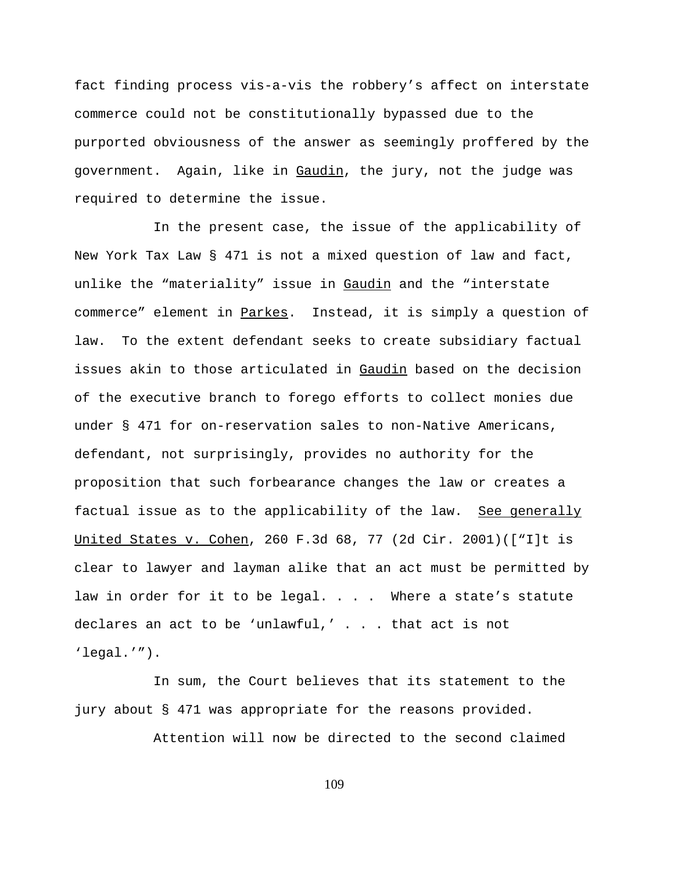fact finding process vis-a-vis the robbery's affect on interstate commerce could not be constitutionally bypassed due to the purported obviousness of the answer as seemingly proffered by the government. Again, like in Gaudin, the jury, not the judge was required to determine the issue.

In the present case, the issue of the applicability of New York Tax Law § 471 is not a mixed question of law and fact, unlike the "materiality" issue in Gaudin and the "interstate commerce" element in Parkes. Instead, it is simply a question of law. To the extent defendant seeks to create subsidiary factual issues akin to those articulated in Gaudin based on the decision of the executive branch to forego efforts to collect monies due under § 471 for on-reservation sales to non-Native Americans, defendant, not surprisingly, provides no authority for the proposition that such forbearance changes the law or creates a factual issue as to the applicability of the law. See generally United States v. Cohen, 260 F.3d 68, 77 (2d Cir. 2001)(["I]t is clear to lawyer and layman alike that an act must be permitted by law in order for it to be legal. . . . Where a state's statute declares an act to be 'unlawful,' . . . that act is not 'legal.'").

In sum, the Court believes that its statement to the jury about § 471 was appropriate for the reasons provided.

Attention will now be directed to the second claimed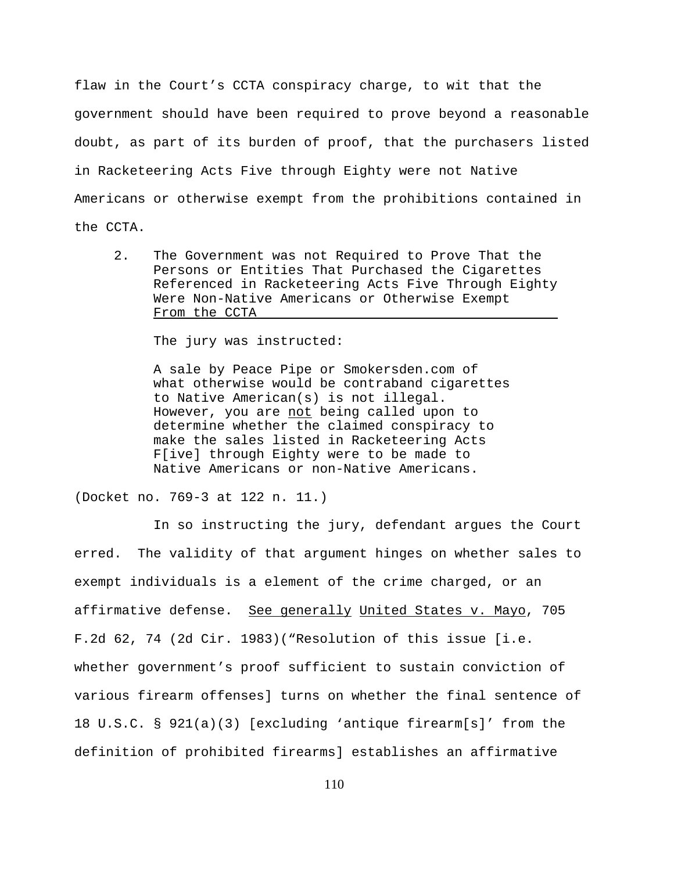flaw in the Court's CCTA conspiracy charge, to wit that the government should have been required to prove beyond a reasonable doubt, as part of its burden of proof, that the purchasers listed in Racketeering Acts Five through Eighty were not Native Americans or otherwise exempt from the prohibitions contained in the CCTA.

2. The Government was not Required to Prove That the Persons or Entities That Purchased the Cigarettes Referenced in Racketeering Acts Five Through Eighty Were Non-Native Americans or Otherwise Exempt From the CCTA

The jury was instructed:

A sale by Peace Pipe or Smokersden.com of what otherwise would be contraband cigarettes to Native American(s) is not illegal. However, you are not being called upon to determine whether the claimed conspiracy to make the sales listed in Racketeering Acts F[ive] through Eighty were to be made to Native Americans or non-Native Americans.

(Docket no. 769-3 at 122 n. 11.)

In so instructing the jury, defendant argues the Court erred. The validity of that argument hinges on whether sales to exempt individuals is a element of the crime charged, or an affirmative defense. See generally United States v. Mayo, 705 F.2d 62, 74 (2d Cir. 1983)("Resolution of this issue [i.e. whether government's proof sufficient to sustain conviction of various firearm offenses] turns on whether the final sentence of 18 U.S.C. § 921(a)(3) [excluding 'antique firearm[s]' from the definition of prohibited firearms] establishes an affirmative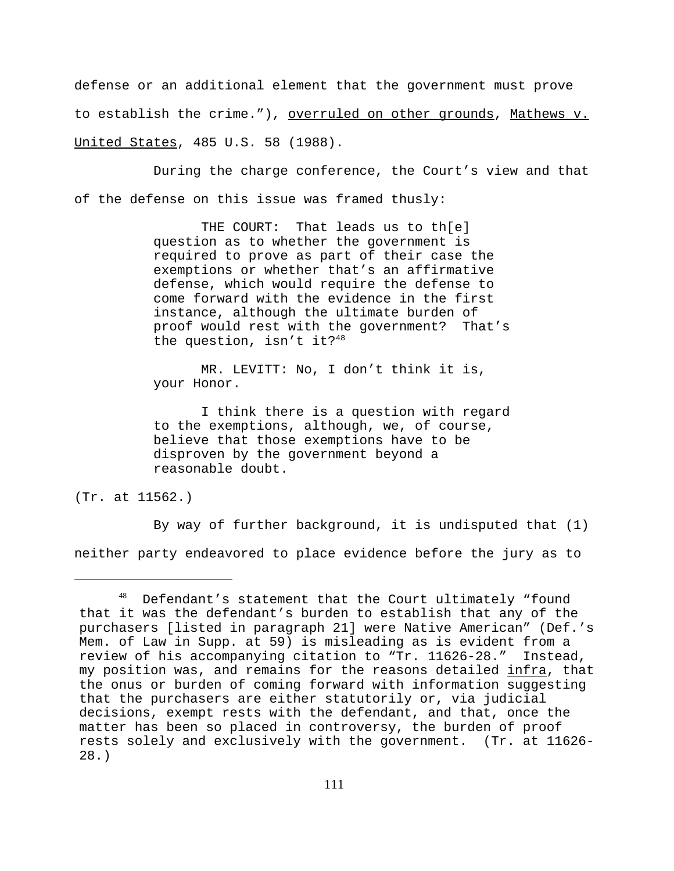defense or an additional element that the government must prove to establish the crime."), overruled on other grounds, Mathews v. United States, 485 U.S. 58 (1988).

During the charge conference, the Court's view and that of the defense on this issue was framed thusly:

> THE COURT: That leads us to th[e] question as to whether the government is required to prove as part of their case the exemptions or whether that's an affirmative defense, which would require the defense to come forward with the evidence in the first instance, although the ultimate burden of proof would rest with the government? That's the question, isn't it?<sup>48</sup>

 MR. LEVITT: No, I don't think it is, your Honor.

 I think there is a question with regard to the exemptions, although, we, of course, believe that those exemptions have to be disproven by the government beyond a reasonable doubt.

(Tr. at 11562.)

By way of further background, it is undisputed that (1) neither party endeavored to place evidence before the jury as to

<sup>48</sup> Defendant's statement that the Court ultimately "found that it was the defendant's burden to establish that any of the purchasers [listed in paragraph 21] were Native American" (Def.'s Mem. of Law in Supp. at 59) is misleading as is evident from a review of his accompanying citation to "Tr. 11626-28." Instead, my position was, and remains for the reasons detailed infra, that the onus or burden of coming forward with information suggesting that the purchasers are either statutorily or, via judicial decisions, exempt rests with the defendant, and that, once the matter has been so placed in controversy, the burden of proof rests solely and exclusively with the government. (Tr. at 11626- 28.)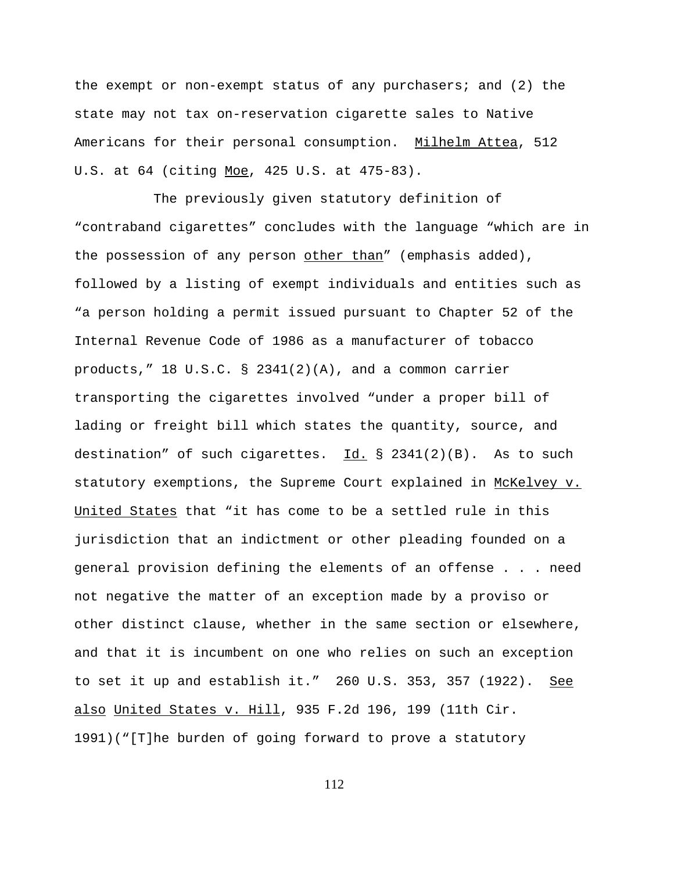the exempt or non-exempt status of any purchasers; and  $(2)$  the state may not tax on-reservation cigarette sales to Native Americans for their personal consumption. Milhelm Attea, 512 U.S. at 64 (citing Moe, 425 U.S. at 475-83).

The previously given statutory definition of "contraband cigarettes" concludes with the language "which are in the possession of any person other than" (emphasis added), followed by a listing of exempt individuals and entities such as "a person holding a permit issued pursuant to Chapter 52 of the Internal Revenue Code of 1986 as a manufacturer of tobacco products,"  $18 \text{ U.S.C.}$  §  $2341(2)(A)$ , and a common carrier transporting the cigarettes involved "under a proper bill of lading or freight bill which states the quantity, source, and destination" of such cigarettes. Id.  $\S$  2341(2)(B). As to such statutory exemptions, the Supreme Court explained in McKelvey v. United States that "it has come to be a settled rule in this jurisdiction that an indictment or other pleading founded on a general provision defining the elements of an offense . . . need not negative the matter of an exception made by a proviso or other distinct clause, whether in the same section or elsewhere, and that it is incumbent on one who relies on such an exception to set it up and establish it."  $260$  U.S. 353, 357 (1922). See also United States v. Hill, 935 F.2d 196, 199 (11th Cir. 1991)("[T]he burden of going forward to prove a statutory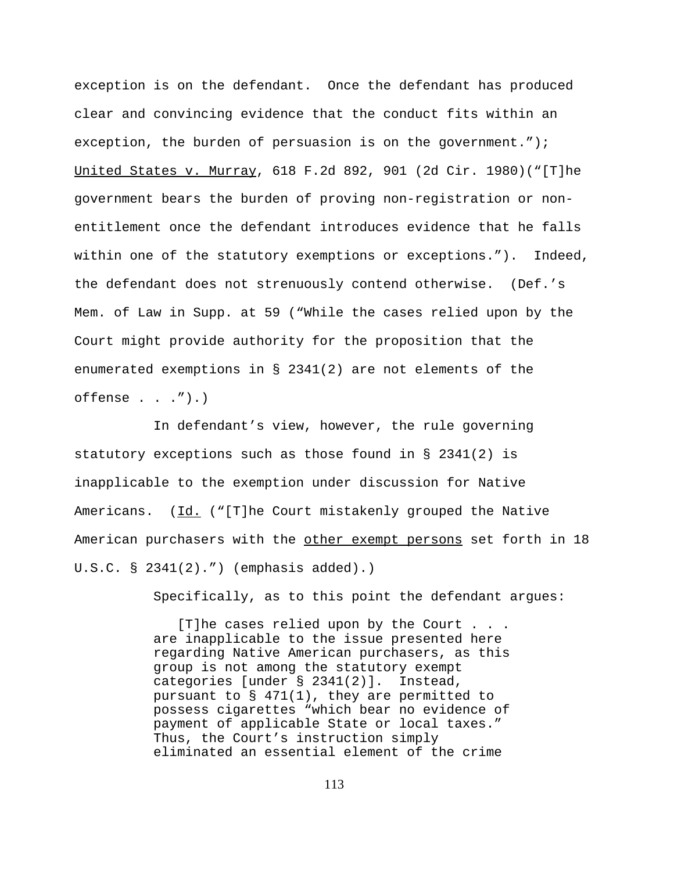exception is on the defendant. Once the defendant has produced clear and convincing evidence that the conduct fits within an exception, the burden of persuasion is on the government."); United States v. Murray, 618 F.2d 892, 901 (2d Cir. 1980)("[T]he government bears the burden of proving non-registration or nonentitlement once the defendant introduces evidence that he falls within one of the statutory exemptions or exceptions."). Indeed, the defendant does not strenuously contend otherwise. (Def.'s Mem. of Law in Supp. at 59 ("While the cases relied upon by the Court might provide authority for the proposition that the enumerated exemptions in § 2341(2) are not elements of the  $offense . . . '').$ 

In defendant's view, however, the rule governing statutory exceptions such as those found in § 2341(2) is inapplicable to the exemption under discussion for Native Americans. (Id. ("[T]he Court mistakenly grouped the Native American purchasers with the other exempt persons set forth in 18 U.S.C. § 2341(2).") (emphasis added).)

Specifically, as to this point the defendant argues:

 [T]he cases relied upon by the Court . . . are inapplicable to the issue presented here regarding Native American purchasers, as this group is not among the statutory exempt categories [under § 2341(2)]. Instead, pursuant to § 471(1), they are permitted to possess cigarettes "which bear no evidence of payment of applicable State or local taxes." Thus, the Court's instruction simply eliminated an essential element of the crime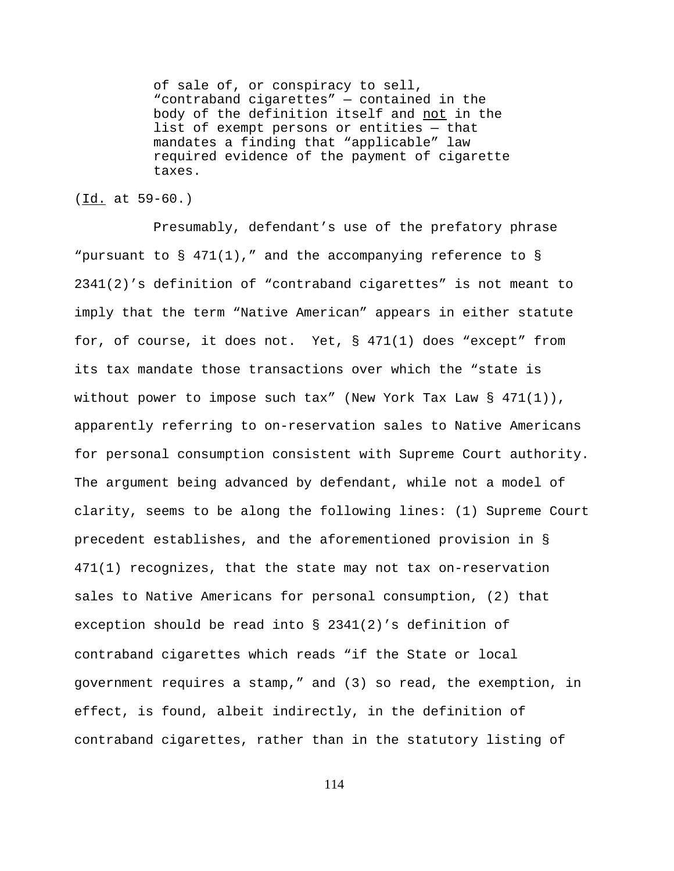of sale of, or conspiracy to sell, "contraband cigarettes" — contained in the body of the definition itself and not in the list of exempt persons or entities — that mandates a finding that "applicable" law required evidence of the payment of cigarette taxes.

#### (Id. at 59-60.)

Presumably, defendant's use of the prefatory phrase "pursuant to  $\S$  471(1)," and the accompanying reference to  $\S$ 2341(2)'s definition of "contraband cigarettes" is not meant to imply that the term "Native American" appears in either statute for, of course, it does not. Yet, § 471(1) does "except" from its tax mandate those transactions over which the "state is without power to impose such tax" (New York Tax Law § 471(1)), apparently referring to on-reservation sales to Native Americans for personal consumption consistent with Supreme Court authority. The argument being advanced by defendant, while not a model of clarity, seems to be along the following lines: (1) Supreme Court precedent establishes, and the aforementioned provision in § 471(1) recognizes, that the state may not tax on-reservation sales to Native Americans for personal consumption, (2) that exception should be read into § 2341(2)'s definition of contraband cigarettes which reads "if the State or local government requires a stamp," and (3) so read, the exemption, in effect, is found, albeit indirectly, in the definition of contraband cigarettes, rather than in the statutory listing of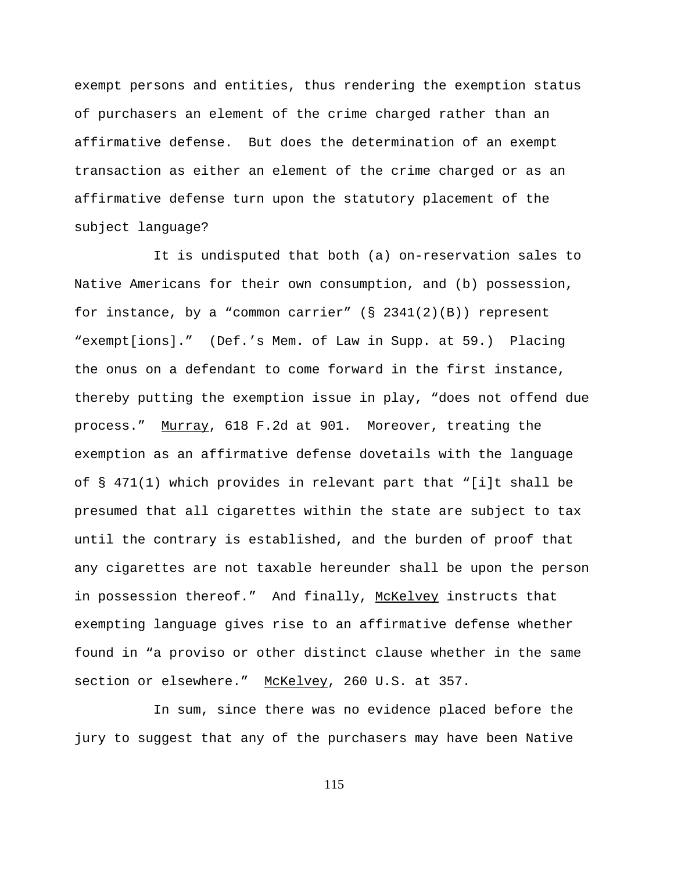exempt persons and entities, thus rendering the exemption status of purchasers an element of the crime charged rather than an affirmative defense. But does the determination of an exempt transaction as either an element of the crime charged or as an affirmative defense turn upon the statutory placement of the subject language?

It is undisputed that both (a) on-reservation sales to Native Americans for their own consumption, and (b) possession, for instance, by a "common carrier"  $(S \t2341(2)(B))$  represent "exempt[ions]." (Def.'s Mem. of Law in Supp. at 59.) Placing the onus on a defendant to come forward in the first instance, thereby putting the exemption issue in play, "does not offend due process." Murray, 618 F.2d at 901. Moreover, treating the exemption as an affirmative defense dovetails with the language of § 471(1) which provides in relevant part that "[i]t shall be presumed that all cigarettes within the state are subject to tax until the contrary is established, and the burden of proof that any cigarettes are not taxable hereunder shall be upon the person in possession thereof." And finally, McKelvey instructs that exempting language gives rise to an affirmative defense whether found in "a proviso or other distinct clause whether in the same section or elsewhere." McKelvey, 260 U.S. at 357.

In sum, since there was no evidence placed before the jury to suggest that any of the purchasers may have been Native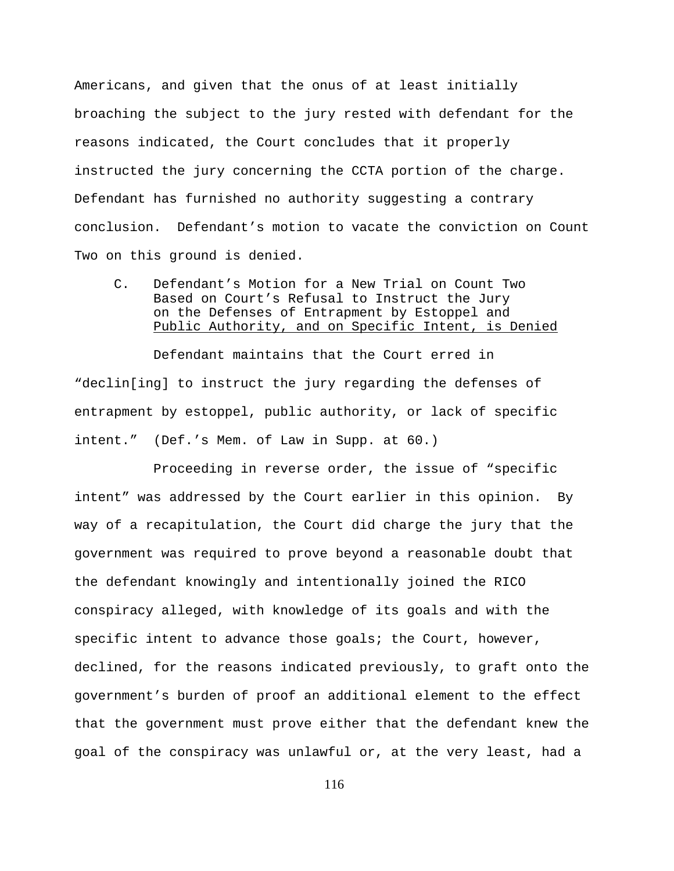Americans, and given that the onus of at least initially broaching the subject to the jury rested with defendant for the reasons indicated, the Court concludes that it properly instructed the jury concerning the CCTA portion of the charge. Defendant has furnished no authority suggesting a contrary conclusion. Defendant's motion to vacate the conviction on Count Two on this ground is denied.

C. Defendant's Motion for a New Trial on Count Two Based on Court's Refusal to Instruct the Jury on the Defenses of Entrapment by Estoppel and Public Authority, and on Specific Intent, is Denied

Defendant maintains that the Court erred in "declin[ing] to instruct the jury regarding the defenses of entrapment by estoppel, public authority, or lack of specific intent." (Def.'s Mem. of Law in Supp. at 60.)

Proceeding in reverse order, the issue of "specific intent" was addressed by the Court earlier in this opinion. By way of a recapitulation, the Court did charge the jury that the government was required to prove beyond a reasonable doubt that the defendant knowingly and intentionally joined the RICO conspiracy alleged, with knowledge of its goals and with the specific intent to advance those goals; the Court, however, declined, for the reasons indicated previously, to graft onto the government's burden of proof an additional element to the effect that the government must prove either that the defendant knew the goal of the conspiracy was unlawful or, at the very least, had a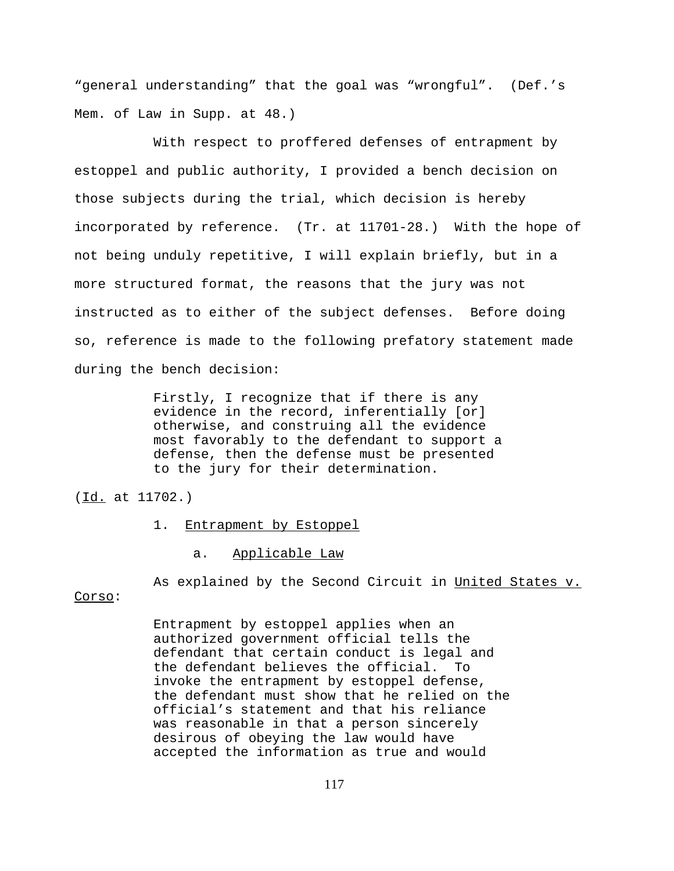"general understanding" that the goal was "wrongful". (Def.'s Mem. of Law in Supp. at 48.)

With respect to proffered defenses of entrapment by estoppel and public authority, I provided a bench decision on those subjects during the trial, which decision is hereby incorporated by reference. (Tr. at 11701-28.) With the hope of not being unduly repetitive, I will explain briefly, but in a more structured format, the reasons that the jury was not instructed as to either of the subject defenses. Before doing so, reference is made to the following prefatory statement made during the bench decision:

> Firstly, I recognize that if there is any evidence in the record, inferentially [or] otherwise, and construing all the evidence most favorably to the defendant to support a defense, then the defense must be presented to the jury for their determination.

(Id. at 11702.)

1. Entrapment by Estoppel

a. Applicable Law

Corso:

Entrapment by estoppel applies when an authorized government official tells the defendant that certain conduct is legal and the defendant believes the official. To invoke the entrapment by estoppel defense, the defendant must show that he relied on the official's statement and that his reliance was reasonable in that a person sincerely desirous of obeying the law would have accepted the information as true and would

As explained by the Second Circuit in United States v.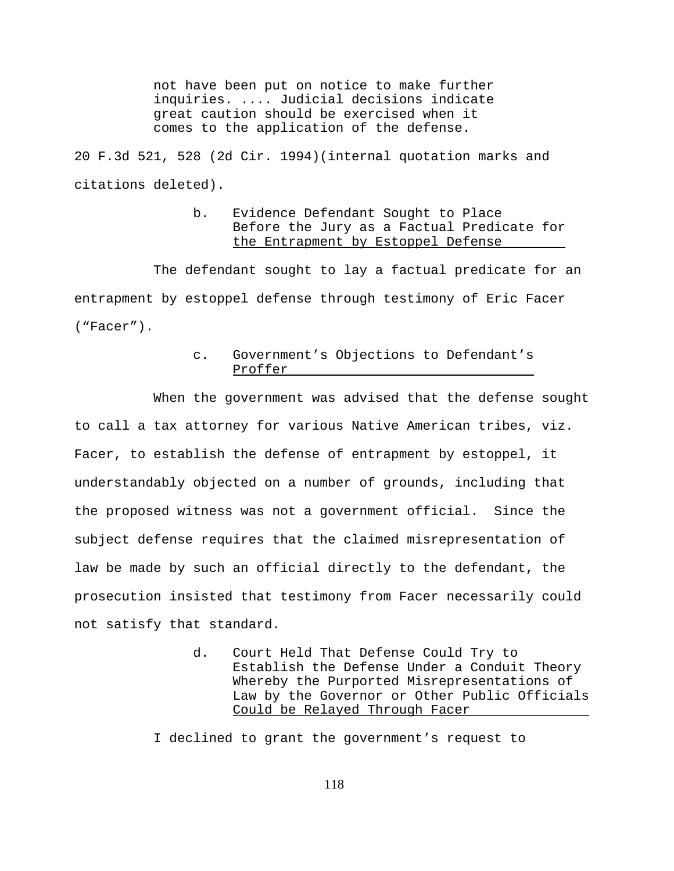not have been put on notice to make further inquiries. .... Judicial decisions indicate great caution should be exercised when it comes to the application of the defense.

20 F.3d 521, 528 (2d Cir. 1994)(internal quotation marks and citations deleted).

### b. Evidence Defendant Sought to Place Before the Jury as a Factual Predicate for the Entrapment by Estoppel Defense

The defendant sought to lay a factual predicate for an entrapment by estoppel defense through testimony of Eric Facer ("Facer").

### c. Government's Objections to Defendant's Proffer

When the government was advised that the defense sought to call a tax attorney for various Native American tribes, viz. Facer, to establish the defense of entrapment by estoppel, it understandably objected on a number of grounds, including that the proposed witness was not a government official. Since the subject defense requires that the claimed misrepresentation of law be made by such an official directly to the defendant, the prosecution insisted that testimony from Facer necessarily could not satisfy that standard.

> d. Court Held That Defense Could Try to Establish the Defense Under a Conduit Theory Whereby the Purported Misrepresentations of Law by the Governor or Other Public Officials Could be Relayed Through Facer

I declined to grant the government's request to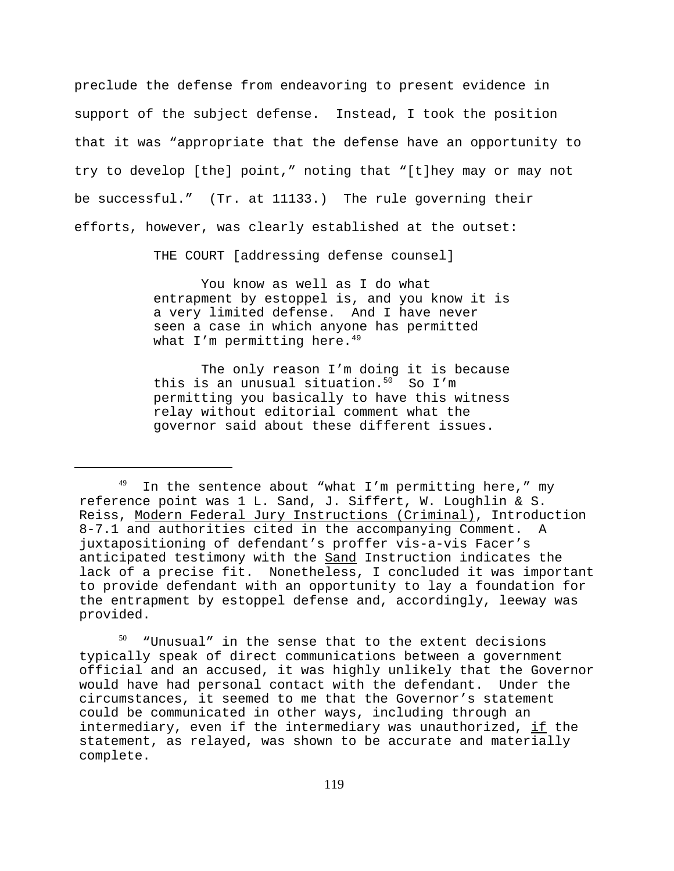preclude the defense from endeavoring to present evidence in support of the subject defense. Instead, I took the position that it was "appropriate that the defense have an opportunity to try to develop [the] point," noting that "[t]hey may or may not be successful." (Tr. at 11133.) The rule governing their efforts, however, was clearly established at the outset:

THE COURT [addressing defense counsel]

 You know as well as I do what entrapment by estoppel is, and you know it is a very limited defense. And I have never seen a case in which anyone has permitted what I'm permitting here. $49$ 

 The only reason I'm doing it is because this is an unusual situation. $50^\circ$  So I'm permitting you basically to have this witness relay without editorial comment what the governor said about these different issues.

 $50$  "Unusual" in the sense that to the extent decisions typically speak of direct communications between a government official and an accused, it was highly unlikely that the Governor would have had personal contact with the defendant. Under the circumstances, it seemed to me that the Governor's statement could be communicated in other ways, including through an intermediary, even if the intermediary was unauthorized, if the statement, as relayed, was shown to be accurate and materially complete.

 $49$  In the sentence about "what I'm permitting here," my reference point was 1 L. Sand, J. Siffert, W. Loughlin & S. Reiss, Modern Federal Jury Instructions (Criminal), Introduction 8-7.1 and authorities cited in the accompanying Comment. A juxtapositioning of defendant's proffer vis-a-vis Facer's anticipated testimony with the Sand Instruction indicates the lack of a precise fit. Nonetheless, I concluded it was important to provide defendant with an opportunity to lay a foundation for the entrapment by estoppel defense and, accordingly, leeway was provided.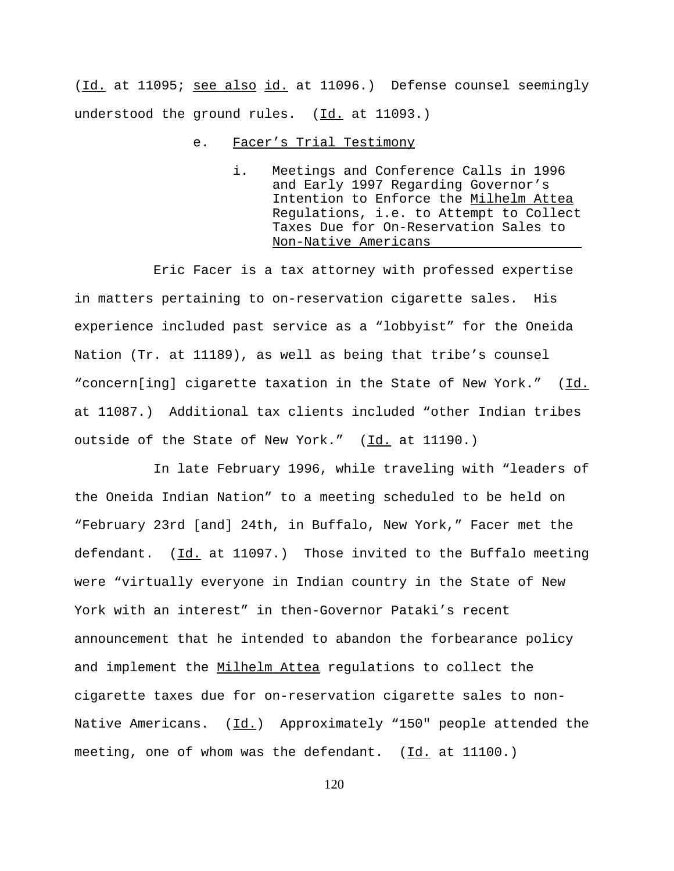(Id. at 11095; see also id. at 11096.) Defense counsel seemingly understood the ground rules.  $(\underline{Id.}]$  at 11093.)

- e. Facer's Trial Testimony
	- i. Meetings and Conference Calls in 1996 and Early 1997 Regarding Governor's Intention to Enforce the Milhelm Attea Regulations, i.e. to Attempt to Collect Taxes Due for On-Reservation Sales to Non-Native Americans

Eric Facer is a tax attorney with professed expertise in matters pertaining to on-reservation cigarette sales. His experience included past service as a "lobbyist" for the Oneida Nation (Tr. at 11189), as well as being that tribe's counsel "concern[ing] cigarette taxation in the State of New York." (Id. at 11087.) Additional tax clients included "other Indian tribes outside of the State of New York." (Id. at 11190.)

In late February 1996, while traveling with "leaders of the Oneida Indian Nation" to a meeting scheduled to be held on "February 23rd [and] 24th, in Buffalo, New York," Facer met the defendant. (Id. at 11097.) Those invited to the Buffalo meeting were "virtually everyone in Indian country in the State of New York with an interest" in then-Governor Pataki's recent announcement that he intended to abandon the forbearance policy and implement the Milhelm Attea regulations to collect the cigarette taxes due for on-reservation cigarette sales to non-Native Americans.  $(Id.)$  Approximately "150" people attended the meeting, one of whom was the defendant. (Id. at 11100.)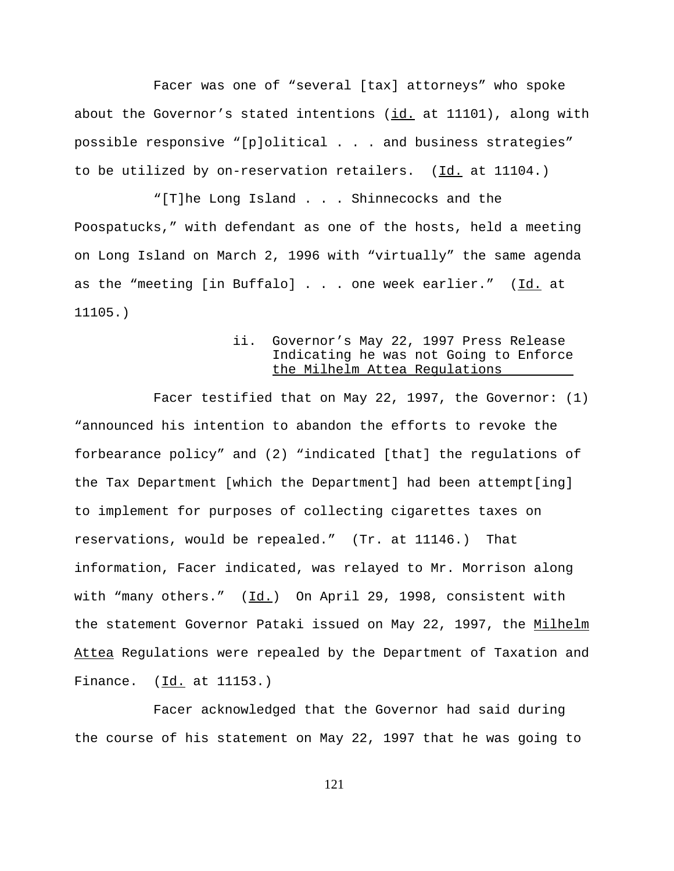Facer was one of "several [tax] attorneys" who spoke about the Governor's stated intentions (id. at 11101), along with possible responsive "[p]olitical . . . and business strategies" to be utilized by on-reservation retailers. (Id. at 11104.)

"[T]he Long Island . . . Shinnecocks and the Poospatucks," with defendant as one of the hosts, held a meeting on Long Island on March 2, 1996 with "virtually" the same agenda as the "meeting [in Buffalo] . . . one week earlier." (Id. at 11105.)

# ii. Governor's May 22, 1997 Press Release Indicating he was not Going to Enforce the Milhelm Attea Regulations

Facer testified that on May 22, 1997, the Governor: (1) "announced his intention to abandon the efforts to revoke the forbearance policy" and (2) "indicated [that] the regulations of the Tax Department [which the Department] had been attempt[ing] to implement for purposes of collecting cigarettes taxes on reservations, would be repealed." (Tr. at 11146.) That information, Facer indicated, was relayed to Mr. Morrison along with "many others."  $(\underline{Id.})$  On April 29, 1998, consistent with the statement Governor Pataki issued on May 22, 1997, the Milhelm Attea Regulations were repealed by the Department of Taxation and Finance. (Id. at 11153.)

Facer acknowledged that the Governor had said during the course of his statement on May 22, 1997 that he was going to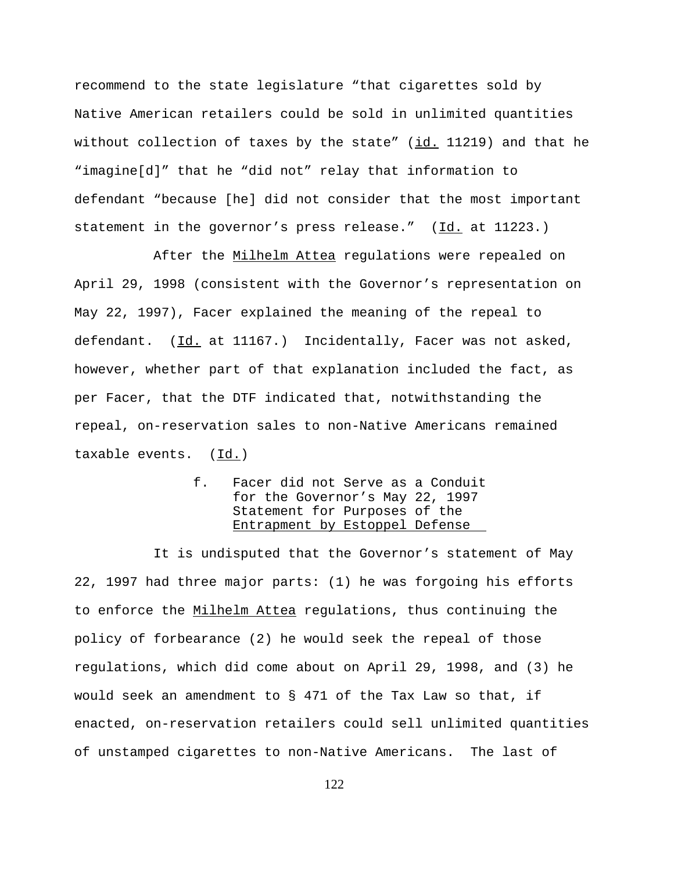recommend to the state legislature "that cigarettes sold by Native American retailers could be sold in unlimited quantities without collection of taxes by the state"  $(id. 11219)$  and that he "imagine[d]" that he "did not" relay that information to defendant "because [he] did not consider that the most important statement in the governor's press release." (Id. at 11223.)

After the Milhelm Attea regulations were repealed on April 29, 1998 (consistent with the Governor's representation on May 22, 1997), Facer explained the meaning of the repeal to defendant. (Id. at 11167.) Incidentally, Facer was not asked, however, whether part of that explanation included the fact, as per Facer, that the DTF indicated that, notwithstanding the repeal, on-reservation sales to non-Native Americans remained taxable events. (Id.)

> f. Facer did not Serve as a Conduit for the Governor's May 22, 1997 Statement for Purposes of the Entrapment by Estoppel Defense

It is undisputed that the Governor's statement of May 22, 1997 had three major parts: (1) he was forgoing his efforts to enforce the Milhelm Attea regulations, thus continuing the policy of forbearance (2) he would seek the repeal of those regulations, which did come about on April 29, 1998, and (3) he would seek an amendment to § 471 of the Tax Law so that, if enacted, on-reservation retailers could sell unlimited quantities of unstamped cigarettes to non-Native Americans. The last of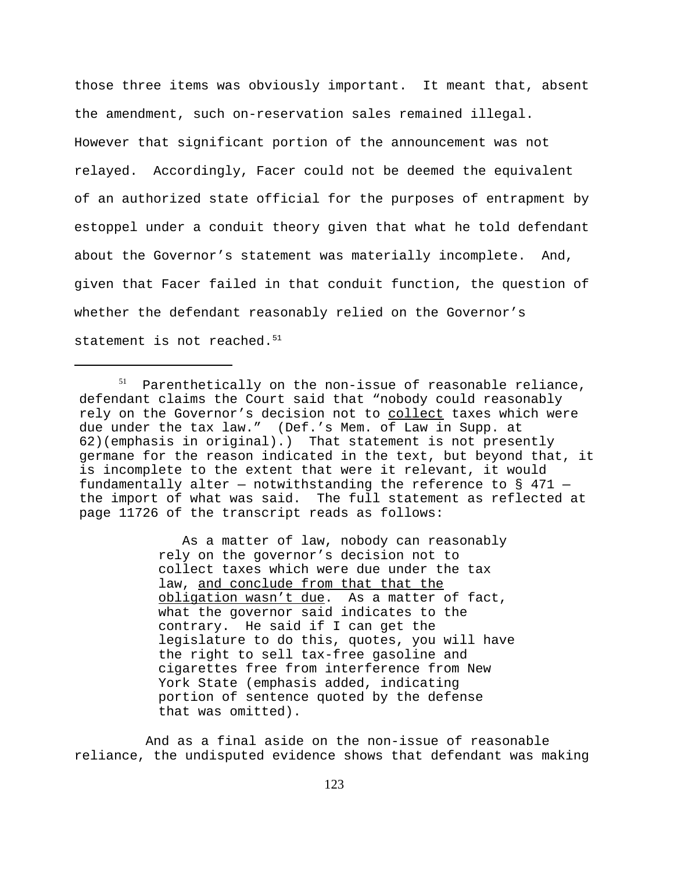those three items was obviously important. It meant that, absent the amendment, such on-reservation sales remained illegal. However that significant portion of the announcement was not relayed. Accordingly, Facer could not be deemed the equivalent of an authorized state official for the purposes of entrapment by estoppel under a conduit theory given that what he told defendant about the Governor's statement was materially incomplete. And, given that Facer failed in that conduit function, the question of whether the defendant reasonably relied on the Governor's statement is not reached. $51$ 

 As a matter of law, nobody can reasonably rely on the governor's decision not to collect taxes which were due under the tax law, and conclude from that that the obligation wasn't due. As a matter of fact, what the governor said indicates to the contrary. He said if I can get the legislature to do this, quotes, you will have the right to sell tax-free gasoline and cigarettes free from interference from New York State (emphasis added, indicating portion of sentence quoted by the defense that was omitted).

And as a final aside on the non-issue of reasonable reliance, the undisputed evidence shows that defendant was making

 $51$  Parenthetically on the non-issue of reasonable reliance, defendant claims the Court said that "nobody could reasonably rely on the Governor's decision not to collect taxes which were due under the tax law." (Def.'s Mem. of Law in Supp. at 62)(emphasis in original).) That statement is not presently germane for the reason indicated in the text, but beyond that, it is incomplete to the extent that were it relevant, it would fundamentally alter – notwithstanding the reference to  $\S$  471 – the import of what was said. The full statement as reflected at page 11726 of the transcript reads as follows: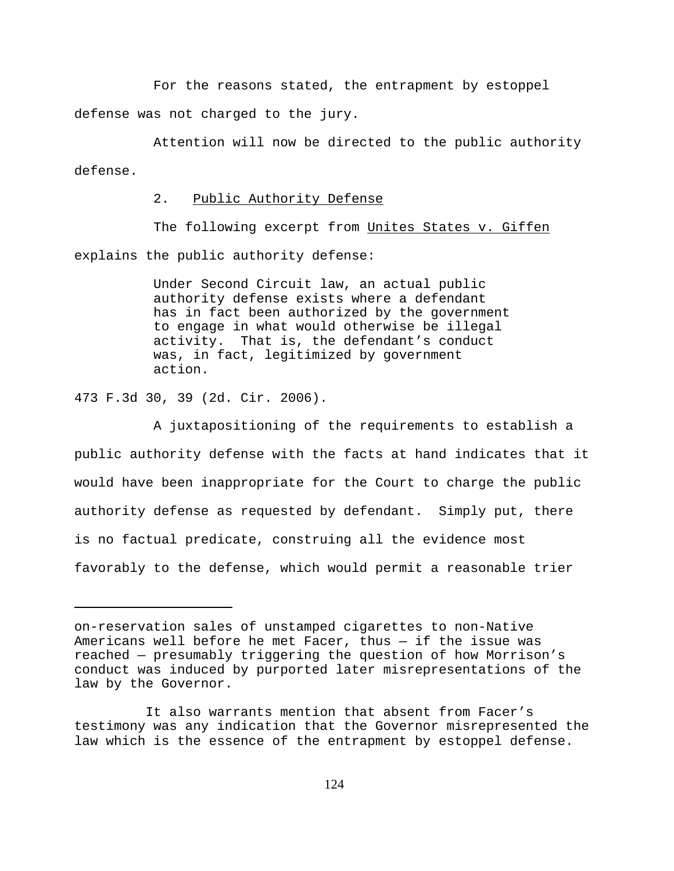For the reasons stated, the entrapment by estoppel defense was not charged to the jury.

Attention will now be directed to the public authority defense.

2. Public Authority Defense

The following excerpt from Unites States v. Giffen explains the public authority defense:

> Under Second Circuit law, an actual public authority defense exists where a defendant has in fact been authorized by the government to engage in what would otherwise be illegal activity. That is, the defendant's conduct was, in fact, legitimized by government action.

473 F.3d 30, 39 (2d. Cir. 2006).

A juxtapositioning of the requirements to establish a public authority defense with the facts at hand indicates that it would have been inappropriate for the Court to charge the public authority defense as requested by defendant. Simply put, there is no factual predicate, construing all the evidence most favorably to the defense, which would permit a reasonable trier

on-reservation sales of unstamped cigarettes to non-Native Americans well before he met Facer, thus — if the issue was reached — presumably triggering the question of how Morrison's conduct was induced by purported later misrepresentations of the law by the Governor.

It also warrants mention that absent from Facer's testimony was any indication that the Governor misrepresented the law which is the essence of the entrapment by estoppel defense.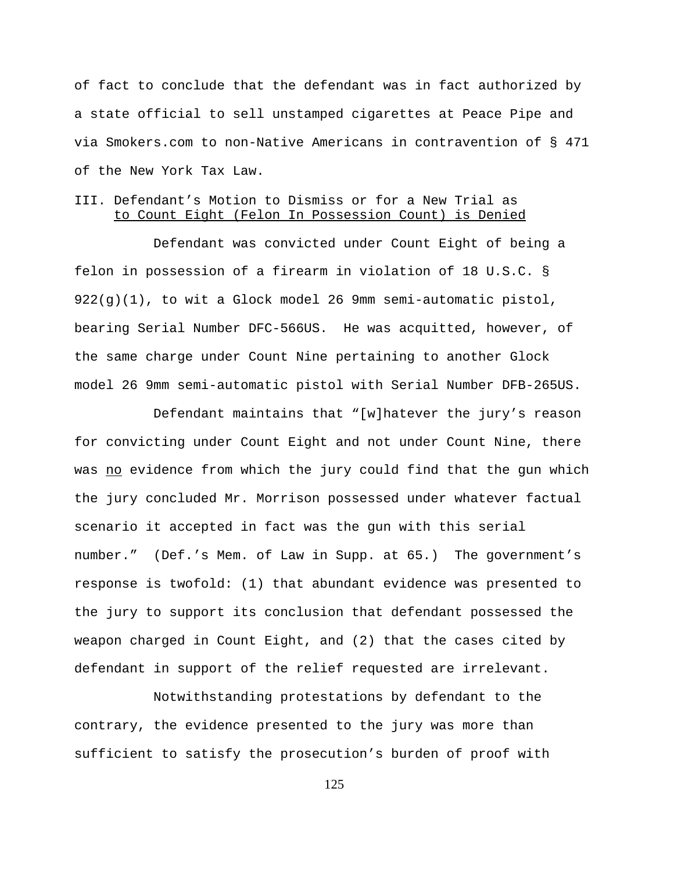of fact to conclude that the defendant was in fact authorized by a state official to sell unstamped cigarettes at Peace Pipe and via Smokers.com to non-Native Americans in contravention of § 471 of the New York Tax Law.

## III. Defendant's Motion to Dismiss or for a New Trial as to Count Eight (Felon In Possession Count) is Denied

Defendant was convicted under Count Eight of being a felon in possession of a firearm in violation of 18 U.S.C. § 922(g)(1), to wit a Glock model 26 9mm semi-automatic pistol, bearing Serial Number DFC-566US. He was acquitted, however, of the same charge under Count Nine pertaining to another Glock model 26 9mm semi-automatic pistol with Serial Number DFB-265US.

Defendant maintains that "[w]hatever the jury's reason for convicting under Count Eight and not under Count Nine, there was no evidence from which the jury could find that the gun which the jury concluded Mr. Morrison possessed under whatever factual scenario it accepted in fact was the gun with this serial number." (Def.'s Mem. of Law in Supp. at 65.) The government's response is twofold: (1) that abundant evidence was presented to the jury to support its conclusion that defendant possessed the weapon charged in Count Eight, and (2) that the cases cited by defendant in support of the relief requested are irrelevant.

Notwithstanding protestations by defendant to the contrary, the evidence presented to the jury was more than sufficient to satisfy the prosecution's burden of proof with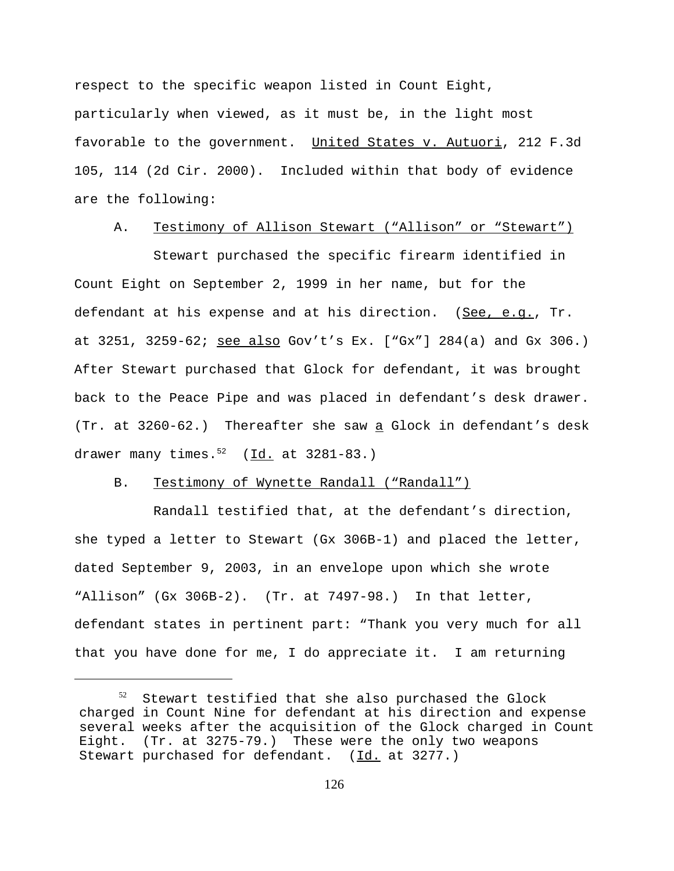respect to the specific weapon listed in Count Eight, particularly when viewed, as it must be, in the light most favorable to the government. United States v. Autuori, 212 F.3d 105, 114 (2d Cir. 2000). Included within that body of evidence are the following:

### A. Testimony of Allison Stewart ("Allison" or "Stewart")

 Stewart purchased the specific firearm identified in Count Eight on September 2, 1999 in her name, but for the defendant at his expense and at his direction. (See, e.g., Tr. at 3251, 3259-62; see also Gov't's Ex. ["Gx"] 284(a) and Gx 306.) After Stewart purchased that Glock for defendant, it was brought back to the Peace Pipe and was placed in defendant's desk drawer. (Tr. at 3260-62.) Thereafter she saw a Glock in defendant's desk drawer many times. $52 \left( \underline{Id.} \right)$  at 3281-83.)

### B. Testimony of Wynette Randall ("Randall")

Randall testified that, at the defendant's direction, she typed a letter to Stewart (Gx 306B-1) and placed the letter, dated September 9, 2003, in an envelope upon which she wrote "Allison" (Gx 306B-2). (Tr. at 7497-98.) In that letter, defendant states in pertinent part: "Thank you very much for all that you have done for me, I do appreciate it. I am returning

Stewart testified that she also purchased the Glock charged in Count Nine for defendant at his direction and expense several weeks after the acquisition of the Glock charged in Count Eight. (Tr. at 3275-79.) These were the only two weapons Stewart purchased for defendant. (Id. at 3277.)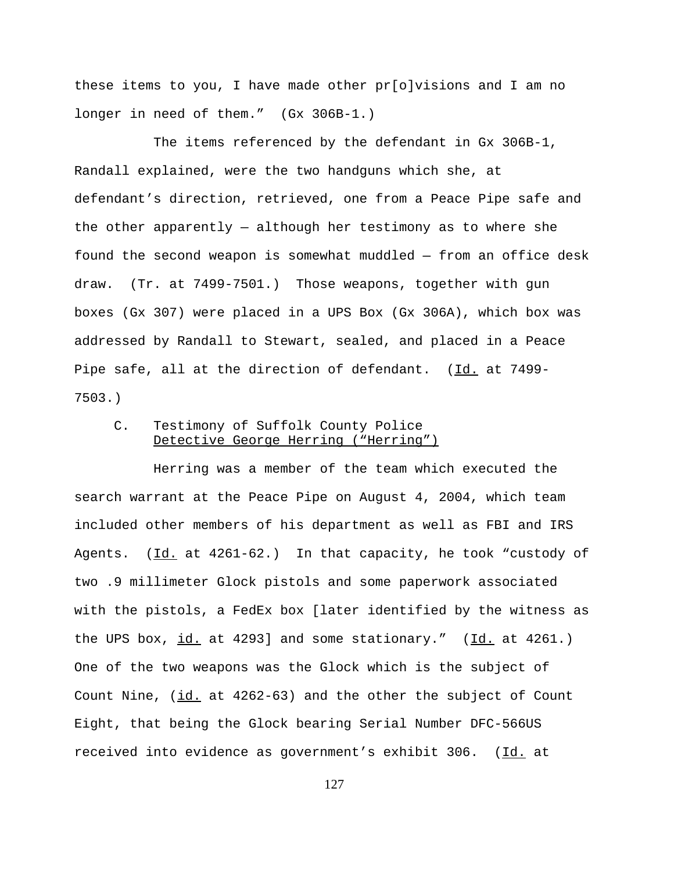these items to you, I have made other pr[o]visions and I am no longer in need of them." (Gx 306B-1.)

The items referenced by the defendant in Gx 306B-1, Randall explained, were the two handguns which she, at defendant's direction, retrieved, one from a Peace Pipe safe and the other apparently — although her testimony as to where she found the second weapon is somewhat muddled — from an office desk draw. (Tr. at 7499-7501.) Those weapons, together with gun boxes (Gx 307) were placed in a UPS Box (Gx 306A), which box was addressed by Randall to Stewart, sealed, and placed in a Peace Pipe safe, all at the direction of defendant. (Id. at 7499-7503.)

## C. Testimony of Suffolk County Police Detective George Herring ("Herring")

Herring was a member of the team which executed the search warrant at the Peace Pipe on August 4, 2004, which team included other members of his department as well as FBI and IRS Agents. (Id. at 4261-62.) In that capacity, he took "custody of two .9 millimeter Glock pistols and some paperwork associated with the pistols, a FedEx box [later identified by the witness as the UPS box,  $id.$  at 4293] and some stationary." ( $Id.$  at 4261.) One of the two weapons was the Glock which is the subject of Count Nine, (id. at 4262-63) and the other the subject of Count Eight, that being the Glock bearing Serial Number DFC-566US received into evidence as government's exhibit 306. (Id. at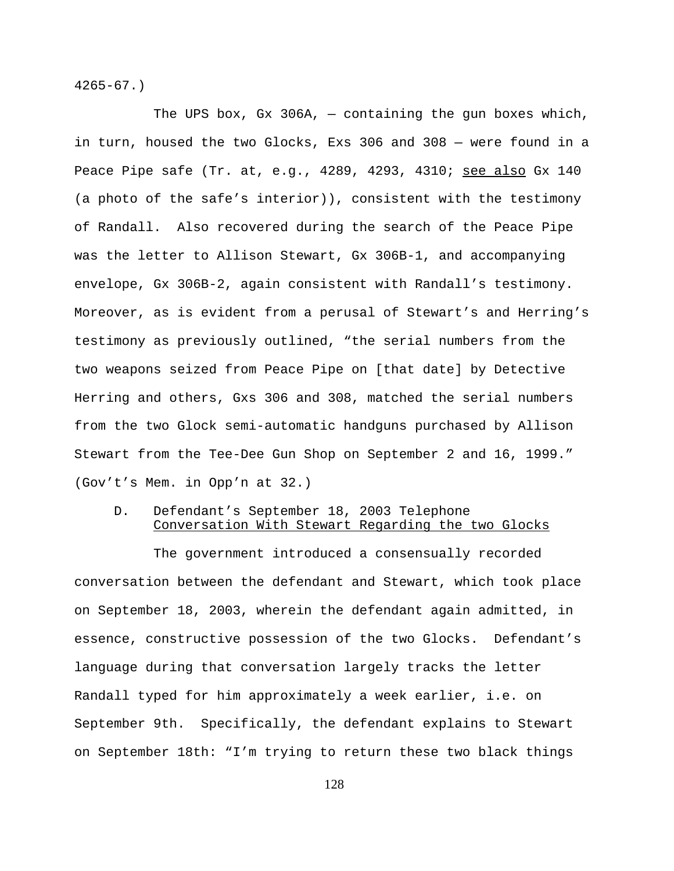4265-67.)

The UPS box, Gx 306A, — containing the gun boxes which, in turn, housed the two Glocks, Exs 306 and 308 — were found in a Peace Pipe safe (Tr. at, e.g., 4289, 4293, 4310; see also Gx 140 (a photo of the safe's interior)), consistent with the testimony of Randall. Also recovered during the search of the Peace Pipe was the letter to Allison Stewart, Gx 306B-1, and accompanying envelope, Gx 306B-2, again consistent with Randall's testimony. Moreover, as is evident from a perusal of Stewart's and Herring's testimony as previously outlined, "the serial numbers from the two weapons seized from Peace Pipe on [that date] by Detective Herring and others, Gxs 306 and 308, matched the serial numbers from the two Glock semi-automatic handguns purchased by Allison Stewart from the Tee-Dee Gun Shop on September 2 and 16, 1999." (Gov't's Mem. in Opp'n at 32.)

## D. Defendant's September 18, 2003 Telephone Conversation With Stewart Regarding the two Glocks

The government introduced a consensually recorded conversation between the defendant and Stewart, which took place on September 18, 2003, wherein the defendant again admitted, in essence, constructive possession of the two Glocks. Defendant's language during that conversation largely tracks the letter Randall typed for him approximately a week earlier, i.e. on September 9th. Specifically, the defendant explains to Stewart on September 18th: "I'm trying to return these two black things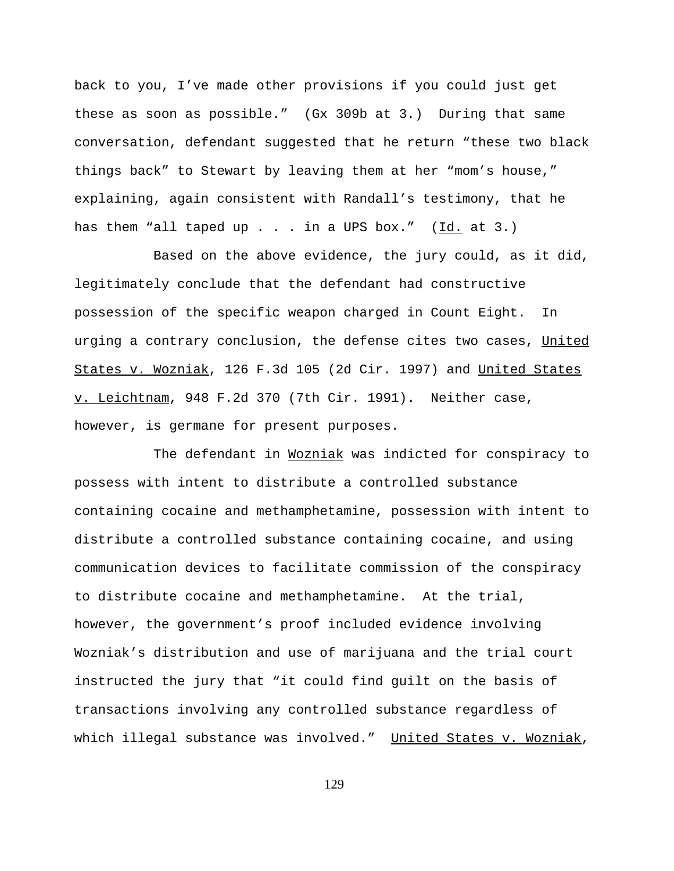back to you, I've made other provisions if you could just get these as soon as possible." (Gx 309b at 3.) During that same conversation, defendant suggested that he return "these two black things back" to Stewart by leaving them at her "mom's house," explaining, again consistent with Randall's testimony, that he has them "all taped up  $\ldots$  in a UPS box." (Id. at 3.)

Based on the above evidence, the jury could, as it did, legitimately conclude that the defendant had constructive possession of the specific weapon charged in Count Eight. In urging a contrary conclusion, the defense cites two cases, United States v. Wozniak, 126 F.3d 105 (2d Cir. 1997) and United States v. Leichtnam, 948 F.2d 370 (7th Cir. 1991). Neither case, however, is germane for present purposes.

The defendant in Wozniak was indicted for conspiracy to possess with intent to distribute a controlled substance containing cocaine and methamphetamine, possession with intent to distribute a controlled substance containing cocaine, and using communication devices to facilitate commission of the conspiracy to distribute cocaine and methamphetamine. At the trial, however, the government's proof included evidence involving Wozniak's distribution and use of marijuana and the trial court instructed the jury that "it could find guilt on the basis of transactions involving any controlled substance regardless of which illegal substance was involved." United States v. Wozniak,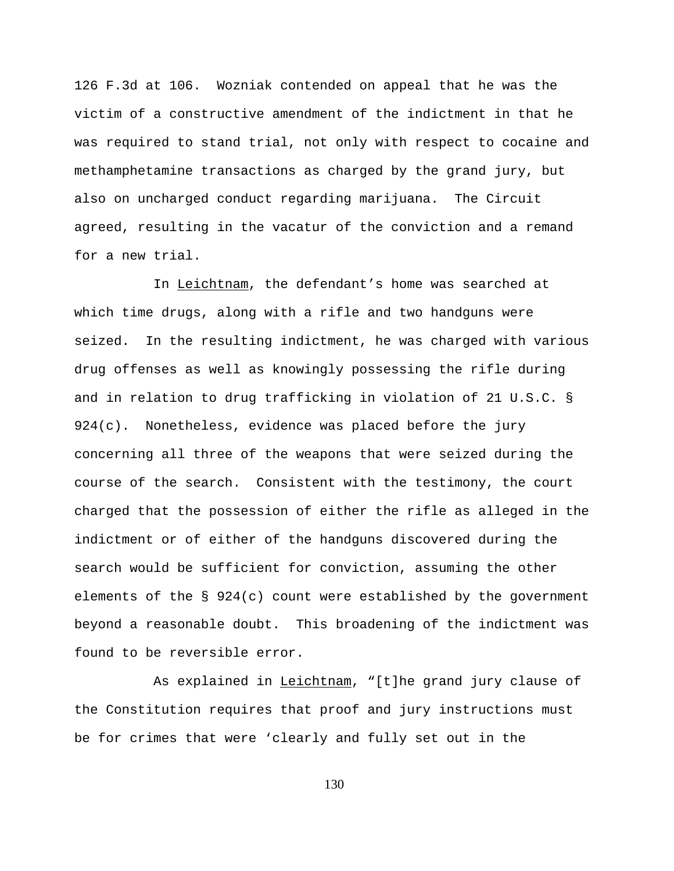126 F.3d at 106. Wozniak contended on appeal that he was the victim of a constructive amendment of the indictment in that he was required to stand trial, not only with respect to cocaine and methamphetamine transactions as charged by the grand jury, but also on uncharged conduct regarding marijuana. The Circuit agreed, resulting in the vacatur of the conviction and a remand for a new trial.

In Leichtnam, the defendant's home was searched at which time drugs, along with a rifle and two handguns were seized. In the resulting indictment, he was charged with various drug offenses as well as knowingly possessing the rifle during and in relation to drug trafficking in violation of 21 U.S.C. § 924(c). Nonetheless, evidence was placed before the jury concerning all three of the weapons that were seized during the course of the search. Consistent with the testimony, the court charged that the possession of either the rifle as alleged in the indictment or of either of the handguns discovered during the search would be sufficient for conviction, assuming the other elements of the  $\S$  924(c) count were established by the government beyond a reasonable doubt. This broadening of the indictment was found to be reversible error.

As explained in Leichtnam, "[t]he grand jury clause of the Constitution requires that proof and jury instructions must be for crimes that were 'clearly and fully set out in the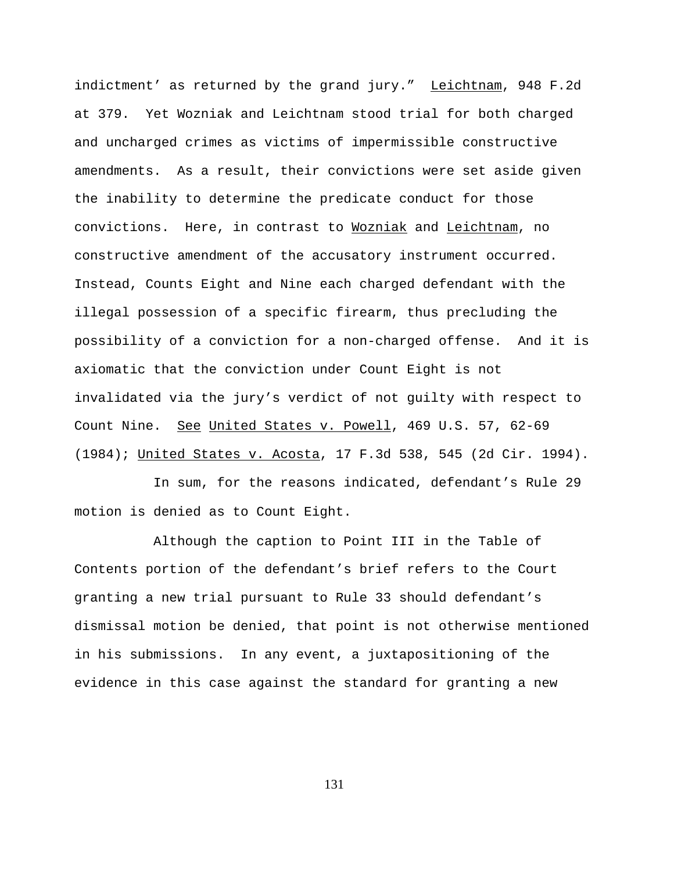indictment' as returned by the grand jury." Leichtnam, 948 F.2d at 379. Yet Wozniak and Leichtnam stood trial for both charged and uncharged crimes as victims of impermissible constructive amendments. As a result, their convictions were set aside given the inability to determine the predicate conduct for those convictions. Here, in contrast to Wozniak and Leichtnam, no constructive amendment of the accusatory instrument occurred. Instead, Counts Eight and Nine each charged defendant with the illegal possession of a specific firearm, thus precluding the possibility of a conviction for a non-charged offense. And it is axiomatic that the conviction under Count Eight is not invalidated via the jury's verdict of not guilty with respect to Count Nine. See United States v. Powell, 469 U.S. 57, 62-69 (1984); United States v. Acosta, 17 F.3d 538, 545 (2d Cir. 1994).

In sum, for the reasons indicated, defendant's Rule 29 motion is denied as to Count Eight.

Although the caption to Point III in the Table of Contents portion of the defendant's brief refers to the Court granting a new trial pursuant to Rule 33 should defendant's dismissal motion be denied, that point is not otherwise mentioned in his submissions. In any event, a juxtapositioning of the evidence in this case against the standard for granting a new